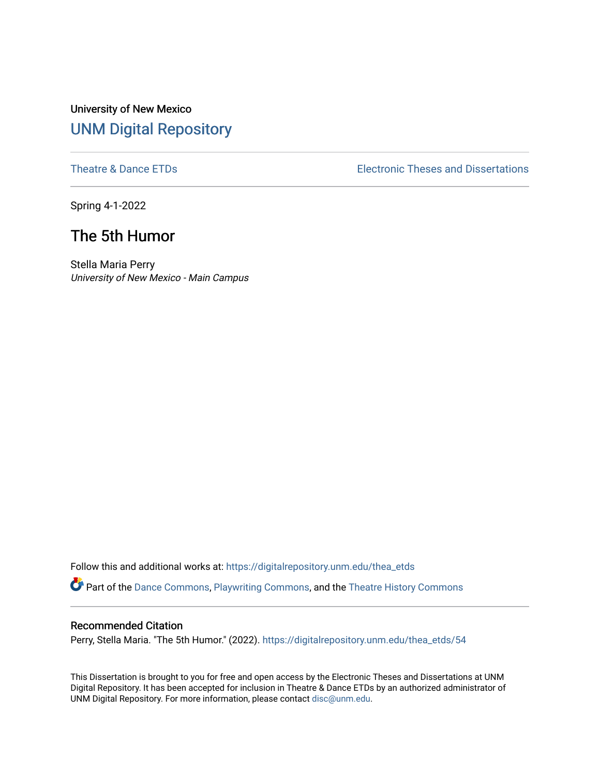# University of New Mexico [UNM Digital Repository](https://digitalrepository.unm.edu/)

[Theatre & Dance ETDs](https://digitalrepository.unm.edu/thea_etds) [Electronic Theses and Dissertations](https://digitalrepository.unm.edu/etds) 

Spring 4-1-2022

# The 5th Humor

Stella Maria Perry University of New Mexico - Main Campus

Follow this and additional works at: [https://digitalrepository.unm.edu/thea\\_etds](https://digitalrepository.unm.edu/thea_etds?utm_source=digitalrepository.unm.edu%2Fthea_etds%2F54&utm_medium=PDF&utm_campaign=PDFCoverPages)  Part of the [Dance Commons,](https://network.bepress.com/hgg/discipline/554?utm_source=digitalrepository.unm.edu%2Fthea_etds%2F54&utm_medium=PDF&utm_campaign=PDFCoverPages) [Playwriting Commons,](https://network.bepress.com/hgg/discipline/557?utm_source=digitalrepository.unm.edu%2Fthea_etds%2F54&utm_medium=PDF&utm_campaign=PDFCoverPages) and the [Theatre History Commons](https://network.bepress.com/hgg/discipline/553?utm_source=digitalrepository.unm.edu%2Fthea_etds%2F54&utm_medium=PDF&utm_campaign=PDFCoverPages) 

## Recommended Citation

Perry, Stella Maria. "The 5th Humor." (2022). [https://digitalrepository.unm.edu/thea\\_etds/54](https://digitalrepository.unm.edu/thea_etds/54?utm_source=digitalrepository.unm.edu%2Fthea_etds%2F54&utm_medium=PDF&utm_campaign=PDFCoverPages) 

This Dissertation is brought to you for free and open access by the Electronic Theses and Dissertations at UNM Digital Repository. It has been accepted for inclusion in Theatre & Dance ETDs by an authorized administrator of UNM Digital Repository. For more information, please contact [disc@unm.edu](mailto:disc@unm.edu).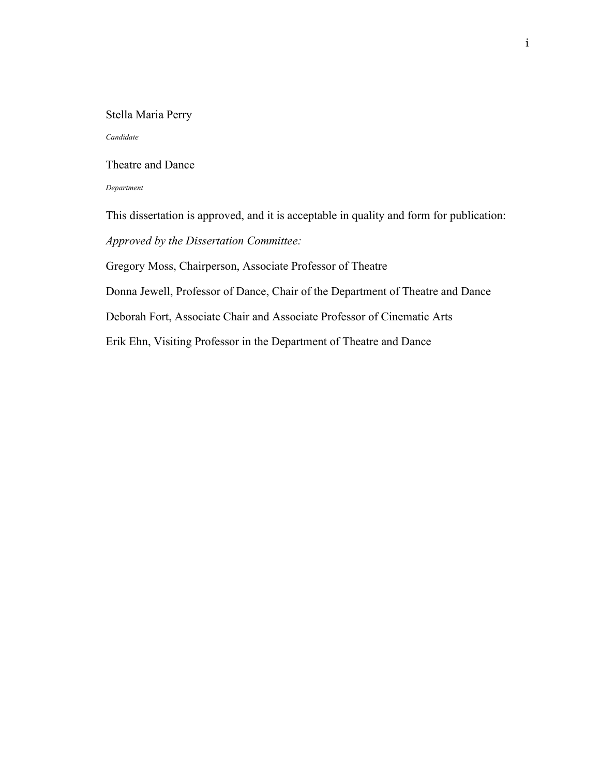#### <span id="page-1-0"></span>Stella Maria Perry

#### *Candidate*

## Theatre and Dance

#### *Department*

This dissertation is approved, and it is acceptable in quality and form for publication: *Approved by the Dissertation Committee:*

Gregory Moss, Chairperson, Associate Professor of Theatre

Donna Jewell, Professor of Dance, Chair of the Department of Theatre and Dance

Deborah Fort, Associate Chair and Associate Professor of Cinematic Arts

Erik Ehn, Visiting Professor in the Department of Theatre and Dance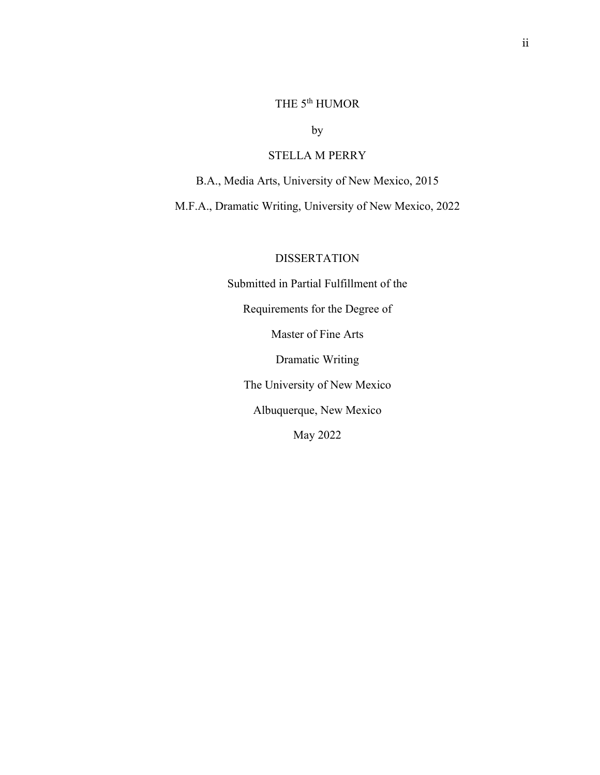# THE  $5^{\text{th}}$  HUMOR

by

## STELLA M PERRY

<span id="page-2-0"></span>B.A., Media Arts, University of New Mexico, 2015

M.F.A., Dramatic Writing, University of New Mexico, 2022

## DISSERTATION

Submitted in Partial Fulfillment of the Requirements for the Degree of Master of Fine Arts Dramatic Writing The University of New Mexico Albuquerque, New Mexico May 2022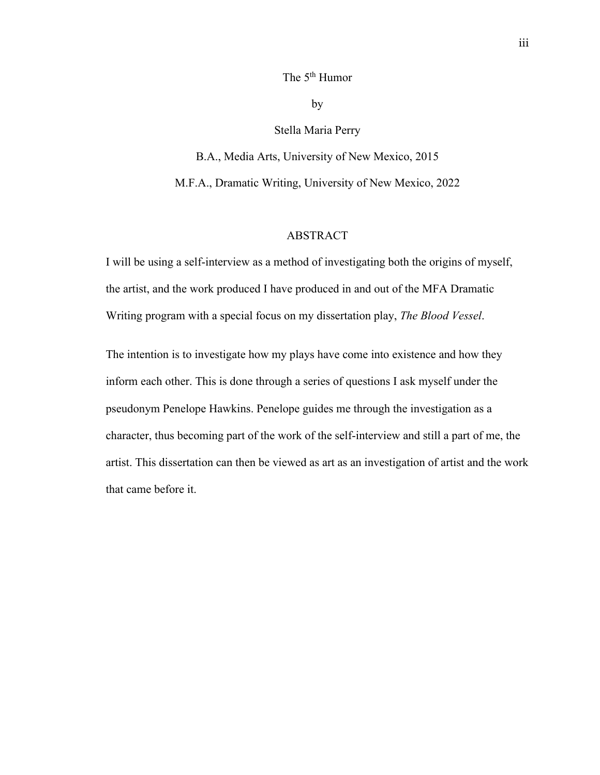## The 5<sup>th</sup> Humor

by

## Stella Maria Perry

B.A., Media Arts, University of New Mexico, 2015 M.F.A., Dramatic Writing, University of New Mexico, 2022

#### ABSTRACT

<span id="page-3-0"></span>I will be using a self-interview as a method of investigating both the origins of myself, the artist, and the work produced I have produced in and out of the MFA Dramatic Writing program with a special focus on my dissertation play, *The Blood Vessel*.

The intention is to investigate how my plays have come into existence and how they inform each other. This is done through a series of questions I ask myself under the pseudonym Penelope Hawkins. Penelope guides me through the investigation as a character, thus becoming part of the work of the self-interview and still a part of me, the artist. This dissertation can then be viewed as art as an investigation of artist and the work that came before it.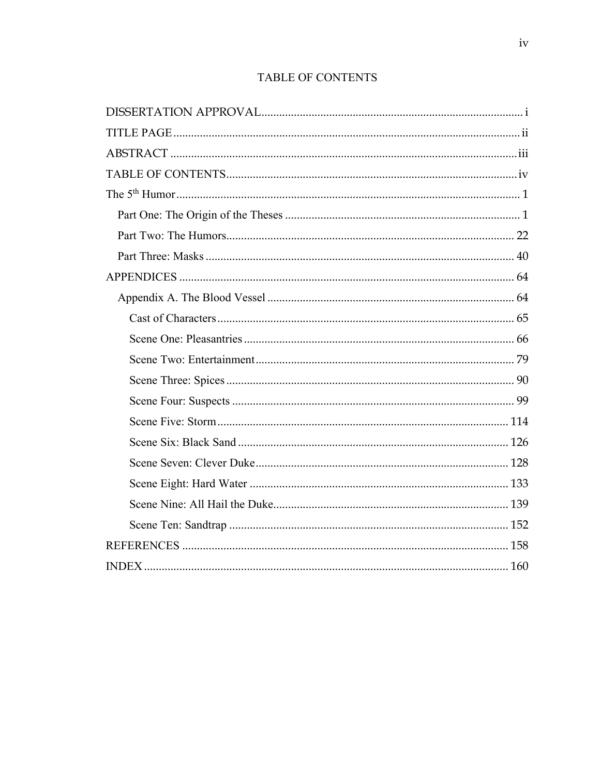## TABLE OF CONTENTS

<span id="page-4-0"></span>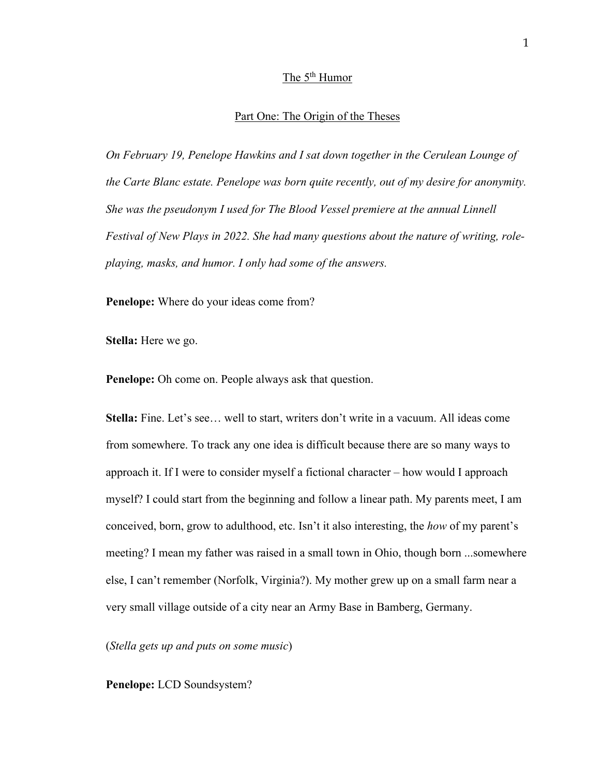## The 5<sup>th</sup> Humor

#### Part One: The Origin of the Theses

<span id="page-5-1"></span><span id="page-5-0"></span>*On February 19, Penelope Hawkins and I sat down together in the Cerulean Lounge of the Carte Blanc estate. Penelope was born quite recently, out of my desire for anonymity. She was the pseudonym I used for The Blood Vessel premiere at the annual Linnell Festival of New Plays in 2022. She had many questions about the nature of writing, roleplaying, masks, and humor. I only had some of the answers.* 

**Penelope:** Where do your ideas come from?

**Stella:** Here we go.

**Penelope:** Oh come on. People always ask that question.

**Stella:** Fine. Let's see… well to start, writers don't write in a vacuum. All ideas come from somewhere. To track any one idea is difficult because there are so many ways to approach it. If I were to consider myself a fictional character – how would I approach myself? I could start from the beginning and follow a linear path. My parents meet, I am conceived, born, grow to adulthood, etc. Isn't it also interesting, the *how* of my parent's meeting? I mean my father was raised in a small town in Ohio, though born ...somewhere else, I can't remember (Norfolk, Virginia?). My mother grew up on a small farm near a very small village outside of a city near an Army Base in Bamberg, Germany.

(*Stella gets up and puts on some music*)

**Penelope:** LCD Soundsystem?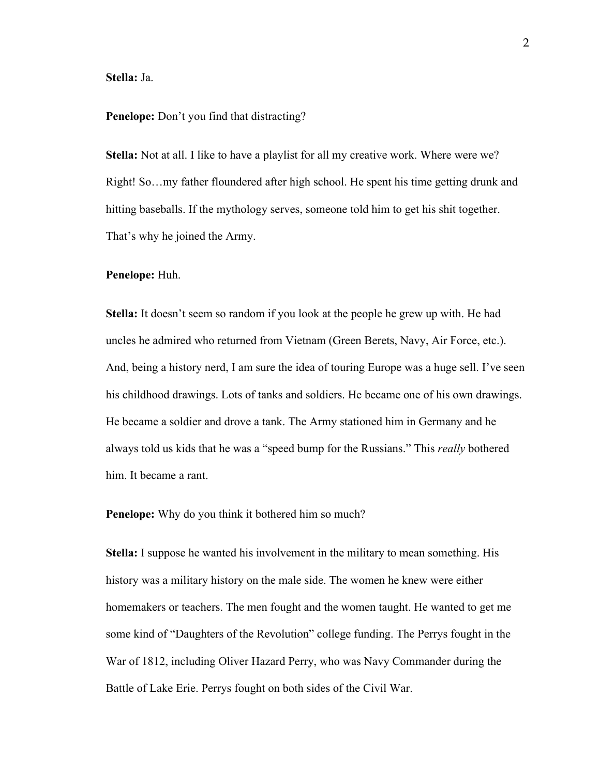#### **Stella:** Ja.

#### **Penelope:** Don't you find that distracting?

**Stella:** Not at all. I like to have a playlist for all my creative work. Where were we? Right! So…my father floundered after high school. He spent his time getting drunk and hitting baseballs. If the mythology serves, someone told him to get his shit together. That's why he joined the Army.

#### **Penelope:** Huh.

**Stella:** It doesn't seem so random if you look at the people he grew up with. He had uncles he admired who returned from Vietnam (Green Berets, Navy, Air Force, etc.). And, being a history nerd, I am sure the idea of touring Europe was a huge sell. I've seen his childhood drawings. Lots of tanks and soldiers. He became one of his own drawings. He became a soldier and drove a tank. The Army stationed him in Germany and he always told us kids that he was a "speed bump for the Russians." This *really* bothered him. It became a rant.

**Penelope:** Why do you think it bothered him so much?

**Stella:** I suppose he wanted his involvement in the military to mean something. His history was a military history on the male side. The women he knew were either homemakers or teachers. The men fought and the women taught. He wanted to get me some kind of "Daughters of the Revolution" college funding. The Perrys fought in the War of 1812, including Oliver Hazard Perry, who was Navy Commander during the Battle of Lake Erie. Perrys fought on both sides of the Civil War.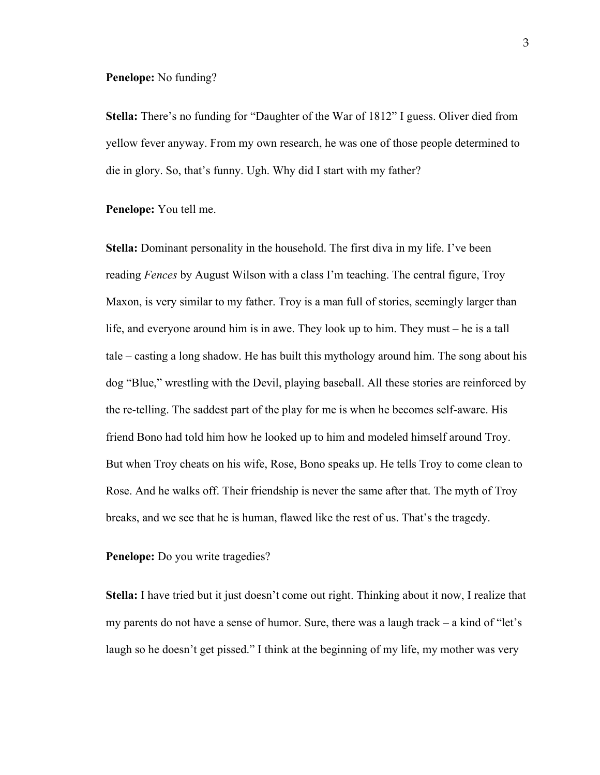#### **Penelope:** No funding?

**Stella:** There's no funding for "Daughter of the War of 1812" I guess. Oliver died from yellow fever anyway. From my own research, he was one of those people determined to die in glory. So, that's funny. Ugh. Why did I start with my father?

**Penelope:** You tell me.

**Stella:** Dominant personality in the household. The first diva in my life. I've been reading *Fences* by August Wilson with a class I'm teaching. The central figure, Troy Maxon, is very similar to my father. Troy is a man full of stories, seemingly larger than life, and everyone around him is in awe. They look up to him. They must – he is a tall tale – casting a long shadow. He has built this mythology around him. The song about his dog "Blue," wrestling with the Devil, playing baseball. All these stories are reinforced by the re-telling. The saddest part of the play for me is when he becomes self-aware. His friend Bono had told him how he looked up to him and modeled himself around Troy. But when Troy cheats on his wife, Rose, Bono speaks up. He tells Troy to come clean to Rose. And he walks off. Their friendship is never the same after that. The myth of Troy breaks, and we see that he is human, flawed like the rest of us. That's the tragedy.

**Penelope:** Do you write tragedies?

**Stella:** I have tried but it just doesn't come out right. Thinking about it now, I realize that my parents do not have a sense of humor. Sure, there was a laugh track – a kind of "let's laugh so he doesn't get pissed." I think at the beginning of my life, my mother was very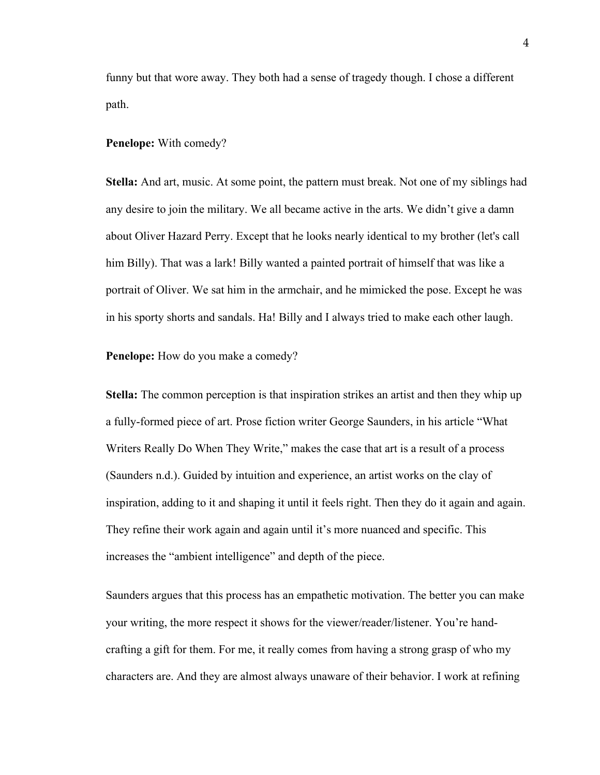funny but that wore away. They both had a sense of tragedy though. I chose a different path.

#### **Penelope:** With comedy?

**Stella:** And art, music. At some point, the pattern must break. Not one of my siblings had any desire to join the military. We all became active in the arts. We didn't give a damn about Oliver Hazard Perry. Except that he looks nearly identical to my brother (let's call him Billy). That was a lark! Billy wanted a painted portrait of himself that was like a portrait of Oliver. We sat him in the armchair, and he mimicked the pose. Except he was in his sporty shorts and sandals. Ha! Billy and I always tried to make each other laugh.

**Penelope:** How do you make a comedy?

**Stella:** The common perception is that inspiration strikes an artist and then they whip up a fully-formed piece of art. Prose fiction writer George Saunders, in his article "What Writers Really Do When They Write," makes the case that art is a result of a process (Saunders n.d.). Guided by intuition and experience, an artist works on the clay of inspiration, adding to it and shaping it until it feels right. Then they do it again and again. They refine their work again and again until it's more nuanced and specific. This increases the "ambient intelligence" and depth of the piece.

Saunders argues that this process has an empathetic motivation. The better you can make your writing, the more respect it shows for the viewer/reader/listener. You're handcrafting a gift for them. For me, it really comes from having a strong grasp of who my characters are. And they are almost always unaware of their behavior. I work at refining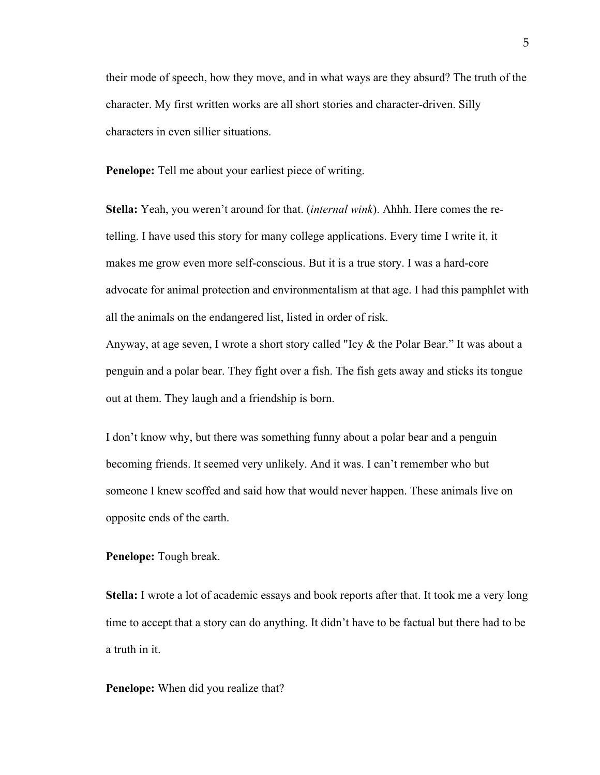their mode of speech, how they move, and in what ways are they absurd? The truth of the character. My first written works are all short stories and character-driven. Silly characters in even sillier situations.

**Penelope:** Tell me about your earliest piece of writing.

**Stella:** Yeah, you weren't around for that. (*internal wink*). Ahhh. Here comes the retelling. I have used this story for many college applications. Every time I write it, it makes me grow even more self-conscious. But it is a true story. I was a hard-core advocate for animal protection and environmentalism at that age. I had this pamphlet with all the animals on the endangered list, listed in order of risk.

Anyway, at age seven, I wrote a short story called "Icy & the Polar Bear." It was about a penguin and a polar bear. They fight over a fish. The fish gets away and sticks its tongue out at them. They laugh and a friendship is born.

I don't know why, but there was something funny about a polar bear and a penguin becoming friends. It seemed very unlikely. And it was. I can't remember who but someone I knew scoffed and said how that would never happen. These animals live on opposite ends of the earth.

**Penelope:** Tough break.

**Stella:** I wrote a lot of academic essays and book reports after that. It took me a very long time to accept that a story can do anything. It didn't have to be factual but there had to be a truth in it.

## **Penelope:** When did you realize that?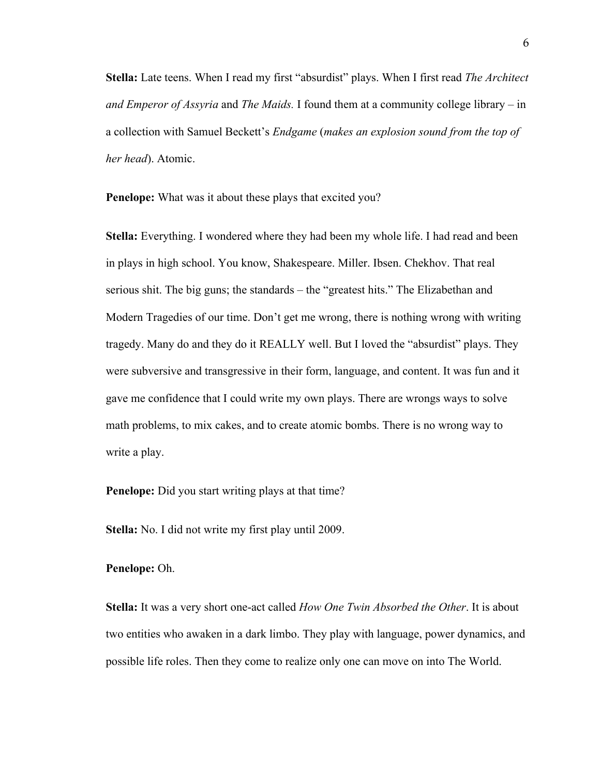**Stella:** Late teens. When I read my first "absurdist" plays. When I first read *The Architect and Emperor of Assyria* and *The Maids.* I found them at a community college library – in a collection with Samuel Beckett's *Endgame* (*makes an explosion sound from the top of her head*). Atomic.

**Penelope:** What was it about these plays that excited you?

**Stella:** Everything. I wondered where they had been my whole life. I had read and been in plays in high school. You know, Shakespeare. Miller. Ibsen. Chekhov. That real serious shit. The big guns; the standards – the "greatest hits." The Elizabethan and Modern Tragedies of our time. Don't get me wrong, there is nothing wrong with writing tragedy. Many do and they do it REALLY well. But I loved the "absurdist" plays. They were subversive and transgressive in their form, language, and content. It was fun and it gave me confidence that I could write my own plays. There are wrongs ways to solve math problems, to mix cakes, and to create atomic bombs. There is no wrong way to write a play.

**Penelope:** Did you start writing plays at that time?

**Stella:** No. I did not write my first play until 2009.

#### **Penelope:** Oh.

**Stella:** It was a very short one-act called *How One Twin Absorbed the Other*. It is about two entities who awaken in a dark limbo. They play with language, power dynamics, and possible life roles. Then they come to realize only one can move on into The World.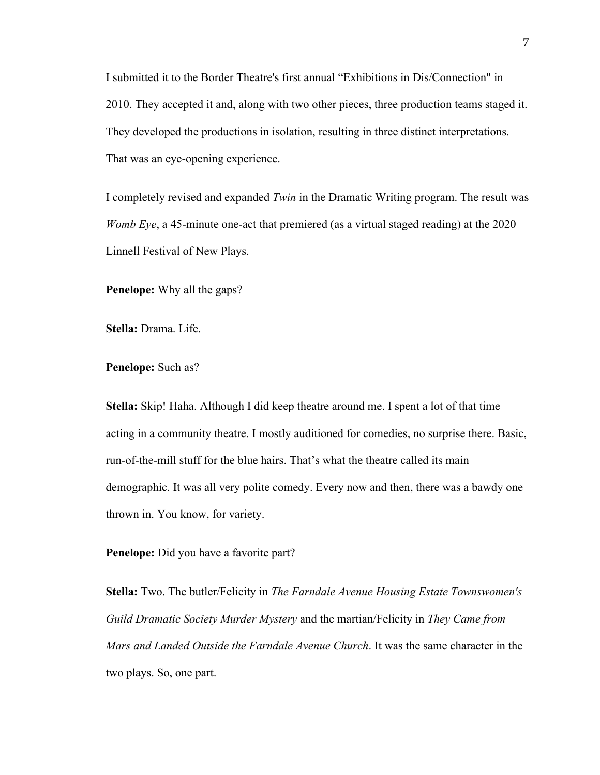I submitted it to the Border Theatre's first annual "Exhibitions in Dis/Connection" in 2010. They accepted it and, along with two other pieces, three production teams staged it. They developed the productions in isolation, resulting in three distinct interpretations. That was an eye-opening experience.

I completely revised and expanded *Twin* in the Dramatic Writing program. The result was *Womb Eye*, a 45-minute one-act that premiered (as a virtual staged reading) at the 2020 Linnell Festival of New Plays.

**Penelope:** Why all the gaps?

**Stella:** Drama. Life.

**Penelope:** Such as?

**Stella:** Skip! Haha. Although I did keep theatre around me. I spent a lot of that time acting in a community theatre. I mostly auditioned for comedies, no surprise there. Basic, run-of-the-mill stuff for the blue hairs. That's what the theatre called its main demographic. It was all very polite comedy. Every now and then, there was a bawdy one thrown in. You know, for variety.

**Penelope:** Did you have a favorite part?

**Stella:** Two. The butler/Felicity in *The Farndale Avenue Housing Estate Townswomen's Guild Dramatic Society Murder Mystery* and the martian/Felicity in *They Came from Mars and Landed Outside the Farndale Avenue Church*. It was the same character in the two plays. So, one part.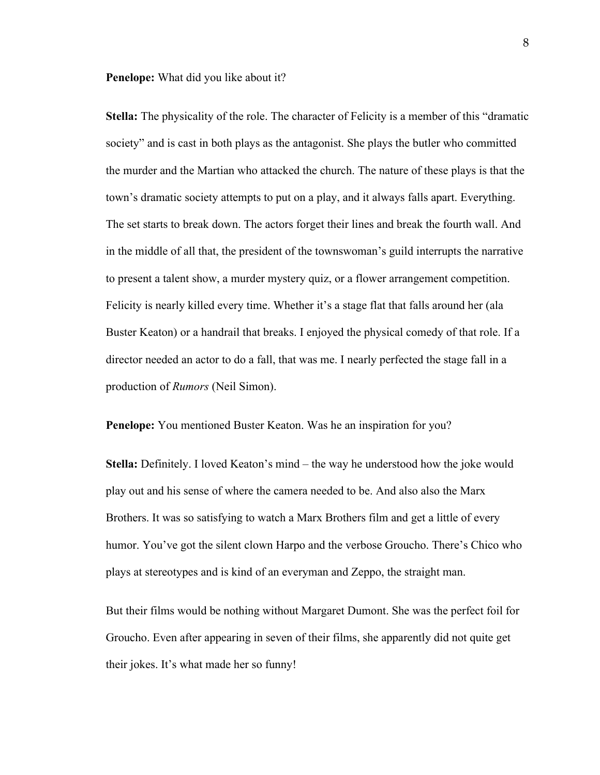**Penelope:** What did you like about it?

**Stella:** The physicality of the role. The character of Felicity is a member of this "dramatic society" and is cast in both plays as the antagonist. She plays the butler who committed the murder and the Martian who attacked the church. The nature of these plays is that the town's dramatic society attempts to put on a play, and it always falls apart. Everything. The set starts to break down. The actors forget their lines and break the fourth wall. And in the middle of all that, the president of the townswoman's guild interrupts the narrative to present a talent show, a murder mystery quiz, or a flower arrangement competition. Felicity is nearly killed every time. Whether it's a stage flat that falls around her (ala Buster Keaton) or a handrail that breaks. I enjoyed the physical comedy of that role. If a director needed an actor to do a fall, that was me. I nearly perfected the stage fall in a production of *Rumors* (Neil Simon).

**Penelope:** You mentioned Buster Keaton. Was he an inspiration for you?

**Stella:** Definitely. I loved Keaton's mind – the way he understood how the joke would play out and his sense of where the camera needed to be. And also also the Marx Brothers. It was so satisfying to watch a Marx Brothers film and get a little of every humor. You've got the silent clown Harpo and the verbose Groucho. There's Chico who plays at stereotypes and is kind of an everyman and Zeppo, the straight man.

But their films would be nothing without Margaret Dumont. She was the perfect foil for Groucho. Even after appearing in seven of their films, she apparently did not quite get their jokes. It's what made her so funny!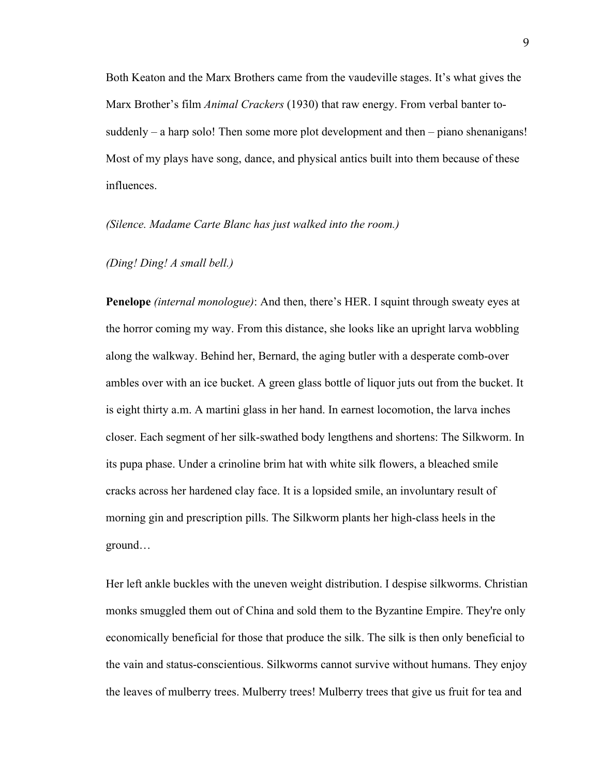Both Keaton and the Marx Brothers came from the vaudeville stages. It's what gives the Marx Brother's film *Animal Crackers* (1930) that raw energy. From verbal banter tosuddenly – a harp solo! Then some more plot development and then – piano shenanigans! Most of my plays have song, dance, and physical antics built into them because of these influences.

#### *(Silence. Madame Carte Blanc has just walked into the room.)*

### *(Ding! Ding! A small bell.)*

**Penelope** *(internal monologue)*: And then, there's HER. I squint through sweaty eyes at the horror coming my way. From this distance, she looks like an upright larva wobbling along the walkway. Behind her, Bernard, the aging butler with a desperate comb-over ambles over with an ice bucket. A green glass bottle of liquor juts out from the bucket. It is eight thirty a.m. A martini glass in her hand. In earnest locomotion, the larva inches closer. Each segment of her silk-swathed body lengthens and shortens: The Silkworm. In its pupa phase. Under a crinoline brim hat with white silk flowers, a bleached smile cracks across her hardened clay face. It is a lopsided smile, an involuntary result of morning gin and prescription pills. The Silkworm plants her high-class heels in the ground…

Her left ankle buckles with the uneven weight distribution. I despise silkworms. Christian monks smuggled them out of China and sold them to the Byzantine Empire. They're only economically beneficial for those that produce the silk. The silk is then only beneficial to the vain and status-conscientious. Silkworms cannot survive without humans. They enjoy the leaves of mulberry trees. Mulberry trees! Mulberry trees that give us fruit for tea and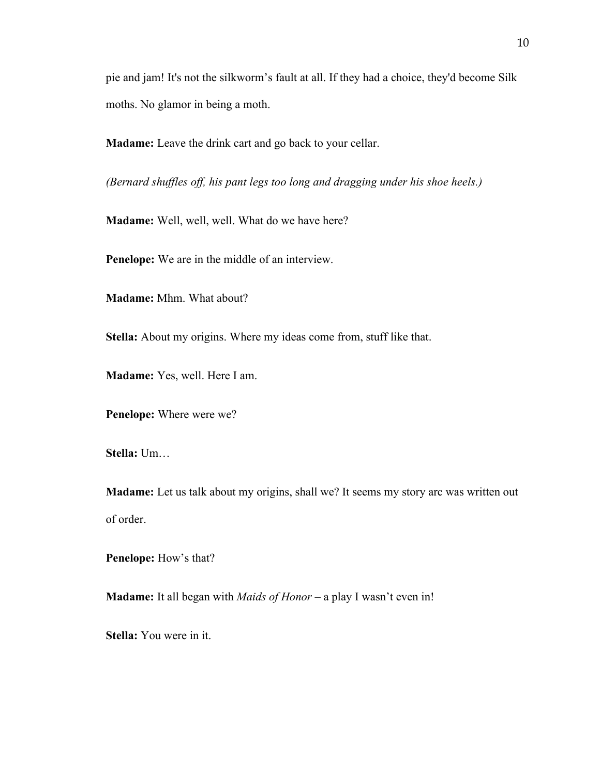pie and jam! It's not the silkworm's fault at all. If they had a choice, they'd become Silk moths. No glamor in being a moth.

**Madame:** Leave the drink cart and go back to your cellar.

*(Bernard shuffles off, his pant legs too long and dragging under his shoe heels.)*

**Madame:** Well, well, well. What do we have here?

**Penelope:** We are in the middle of an interview.

**Madame:** Mhm. What about?

**Stella:** About my origins. Where my ideas come from, stuff like that.

**Madame:** Yes, well. Here I am.

**Penelope:** Where were we?

**Stella:** Um…

**Madame:** Let us talk about my origins, shall we? It seems my story arc was written out of order.

**Penelope:** How's that?

**Madame:** It all began with *Maids of Honor* – a play I wasn't even in!

**Stella:** You were in it.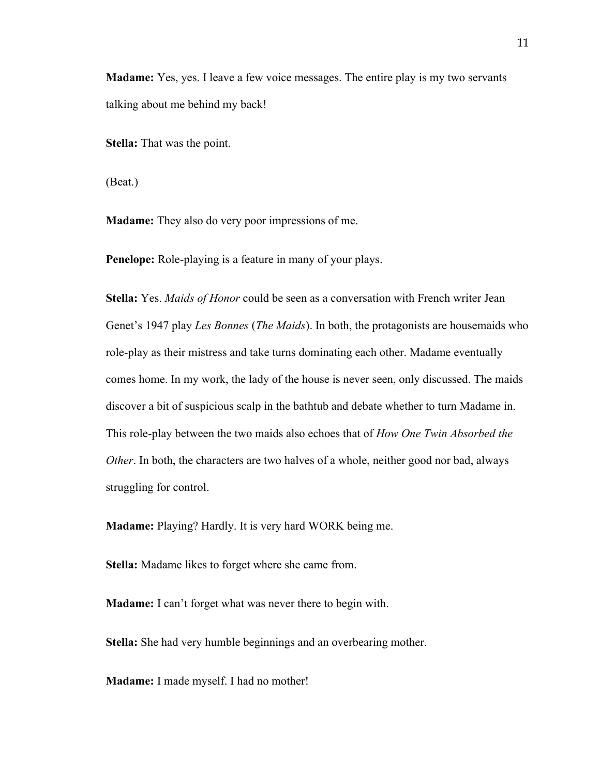**Madame:** Yes, yes. I leave a few voice messages. The entire play is my two servants talking about me behind my back!

**Stella:** That was the point.

(Beat.)

**Madame:** They also do very poor impressions of me.

**Penelope:** Role-playing is a feature in many of your plays.

**Stella:** Yes. *Maids of Honor* could be seen as a conversation with French writer Jean Genet's 1947 play *Les Bonnes* (*The Maids*). In both, the protagonists are housemaids who role-play as their mistress and take turns dominating each other. Madame eventually comes home. In my work, the lady of the house is never seen, only discussed. The maids discover a bit of suspicious scalp in the bathtub and debate whether to turn Madame in. This role-play between the two maids also echoes that of *How One Twin Absorbed the Other*. In both, the characters are two halves of a whole, neither good nor bad, always struggling for control.

**Madame:** Playing? Hardly. It is very hard WORK being me.

**Stella:** Madame likes to forget where she came from.

**Madame:** I can't forget what was never there to begin with.

**Stella:** She had very humble beginnings and an overbearing mother.

**Madame:** I made myself. I had no mother!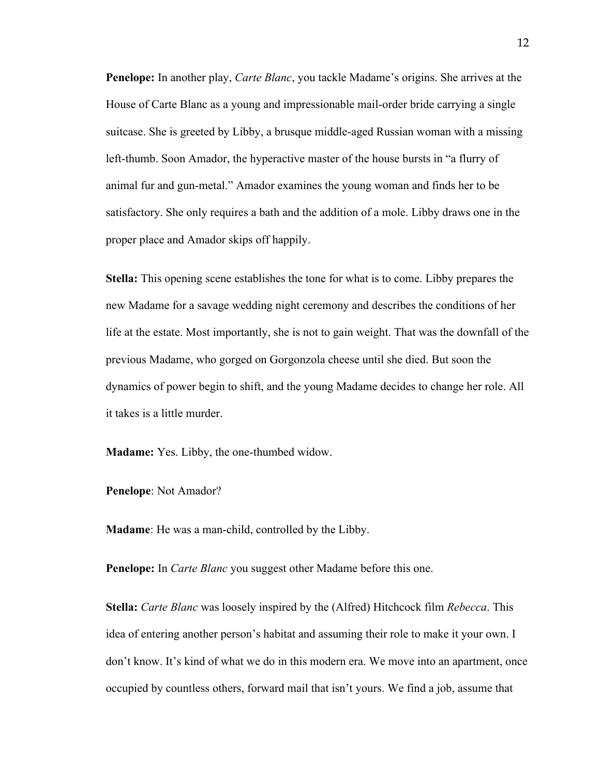**Penelope:** In another play, *Carte Blanc*, you tackle Madame's origins. She arrives at the House of Carte Blanc as a young and impressionable mail-order bride carrying a single suitcase. She is greeted by Libby, a brusque middle-aged Russian woman with a missing left-thumb. Soon Amador, the hyperactive master of the house bursts in "a flurry of animal fur and gun-metal." Amador examines the young woman and finds her to be satisfactory. She only requires a bath and the addition of a mole. Libby draws one in the proper place and Amador skips off happily.

**Stella:** This opening scene establishes the tone for what is to come. Libby prepares the new Madame for a savage wedding night ceremony and describes the conditions of her life at the estate. Most importantly, she is not to gain weight. That was the downfall of the previous Madame, who gorged on Gorgonzola cheese until she died. But soon the dynamics of power begin to shift, and the young Madame decides to change her role. All it takes is a little murder.

**Madame:** Yes. Libby, the one-thumbed widow.

**Penelope**: Not Amador?

**Madame**: He was a man-child, controlled by the Libby.

**Penelope:** In *Carte Blanc* you suggest other Madame before this one.

**Stella:** *Carte Blanc* was loosely inspired by the (Alfred) Hitchcock film *Rebecca*. This idea of entering another person's habitat and assuming their role to make it your own. I don't know. It's kind of what we do in this modern era. We move into an apartment, once occupied by countless others, forward mail that isn't yours. We find a job, assume that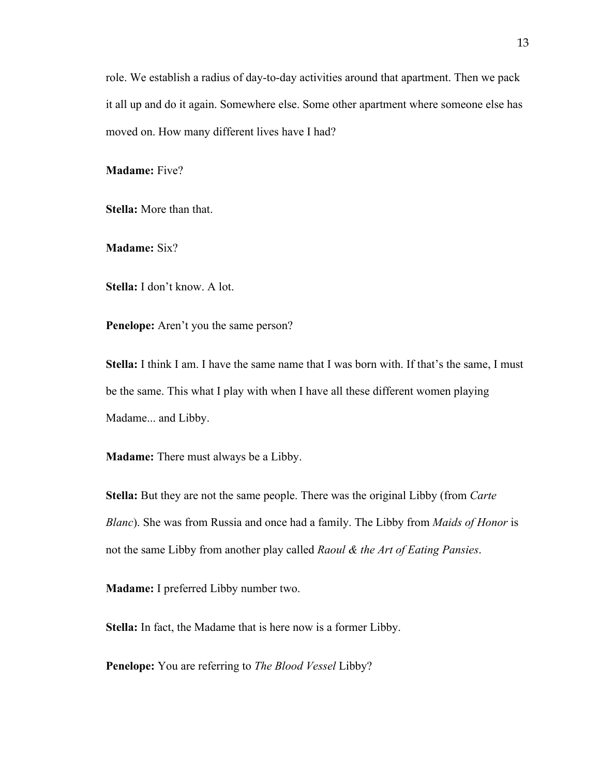role. We establish a radius of day-to-day activities around that apartment. Then we pack it all up and do it again. Somewhere else. Some other apartment where someone else has moved on. How many different lives have I had?

**Madame:** Five?

**Stella:** More than that.

**Madame:** Six?

**Stella:** I don't know. A lot.

**Penelope:** Aren't you the same person?

**Stella:** I think I am. I have the same name that I was born with. If that's the same, I must be the same. This what I play with when I have all these different women playing Madame... and Libby.

**Madame:** There must always be a Libby.

**Stella:** But they are not the same people. There was the original Libby (from *Carte Blanc*). She was from Russia and once had a family. The Libby from *Maids of Honor* is not the same Libby from another play called *Raoul & the Art of Eating Pansies*.

**Madame:** I preferred Libby number two.

**Stella:** In fact, the Madame that is here now is a former Libby.

**Penelope:** You are referring to *The Blood Vessel* Libby?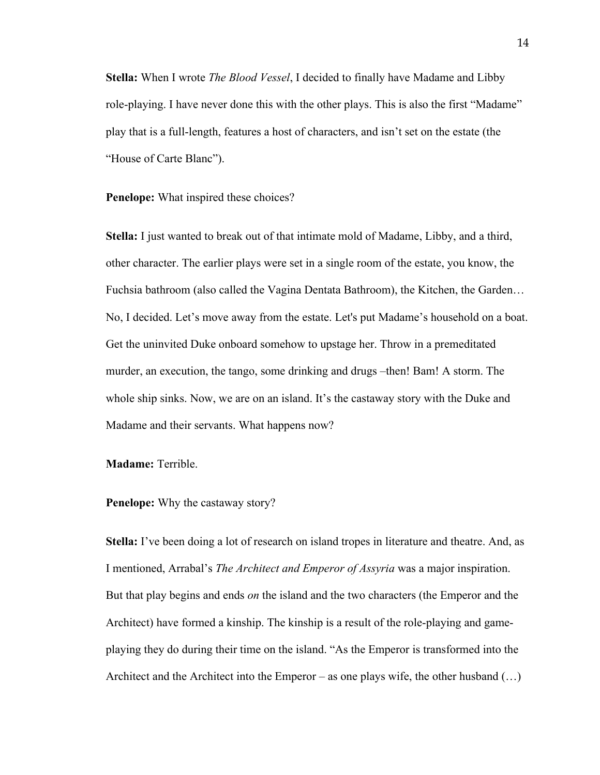**Stella:** When I wrote *The Blood Vessel*, I decided to finally have Madame and Libby role-playing. I have never done this with the other plays. This is also the first "Madame" play that is a full-length, features a host of characters, and isn't set on the estate (the "House of Carte Blanc").

**Penelope:** What inspired these choices?

**Stella:** I just wanted to break out of that intimate mold of Madame, Libby, and a third, other character. The earlier plays were set in a single room of the estate, you know, the Fuchsia bathroom (also called the Vagina Dentata Bathroom), the Kitchen, the Garden… No, I decided. Let's move away from the estate. Let's put Madame's household on a boat. Get the uninvited Duke onboard somehow to upstage her. Throw in a premeditated murder, an execution, the tango, some drinking and drugs –then! Bam! A storm. The whole ship sinks. Now, we are on an island. It's the castaway story with the Duke and Madame and their servants. What happens now?

**Madame:** Terrible.

## **Penelope:** Why the castaway story?

**Stella:** I've been doing a lot of research on island tropes in literature and theatre. And, as I mentioned, Arrabal's *The Architect and Emperor of Assyria* was a major inspiration. But that play begins and ends *on* the island and the two characters (the Emperor and the Architect) have formed a kinship. The kinship is a result of the role-playing and gameplaying they do during their time on the island. "As the Emperor is transformed into the Architect and the Architect into the Emperor – as one plays wife, the other husband  $(\ldots)$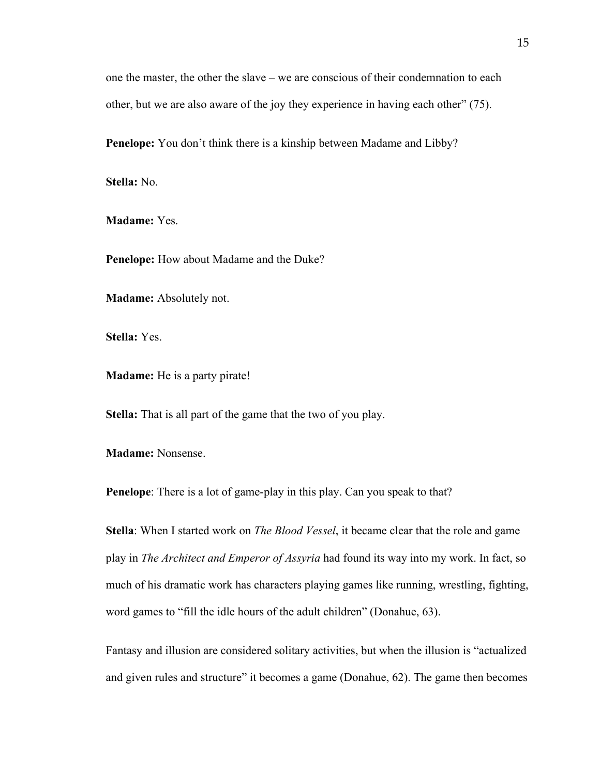one the master, the other the slave – we are conscious of their condemnation to each other, but we are also aware of the joy they experience in having each other" (75).

**Penelope:** You don't think there is a kinship between Madame and Libby?

**Stella:** No.

**Madame:** Yes.

**Penelope:** How about Madame and the Duke?

**Madame:** Absolutely not.

**Stella:** Yes.

**Madame:** He is a party pirate!

**Stella:** That is all part of the game that the two of you play.

**Madame:** Nonsense.

**Penelope**: There is a lot of game-play in this play. Can you speak to that?

**Stella**: When I started work on *The Blood Vessel*, it became clear that the role and game play in *The Architect and Emperor of Assyria* had found its way into my work. In fact, so much of his dramatic work has characters playing games like running, wrestling, fighting, word games to "fill the idle hours of the adult children" (Donahue, 63).

Fantasy and illusion are considered solitary activities, but when the illusion is "actualized and given rules and structure" it becomes a game (Donahue, 62). The game then becomes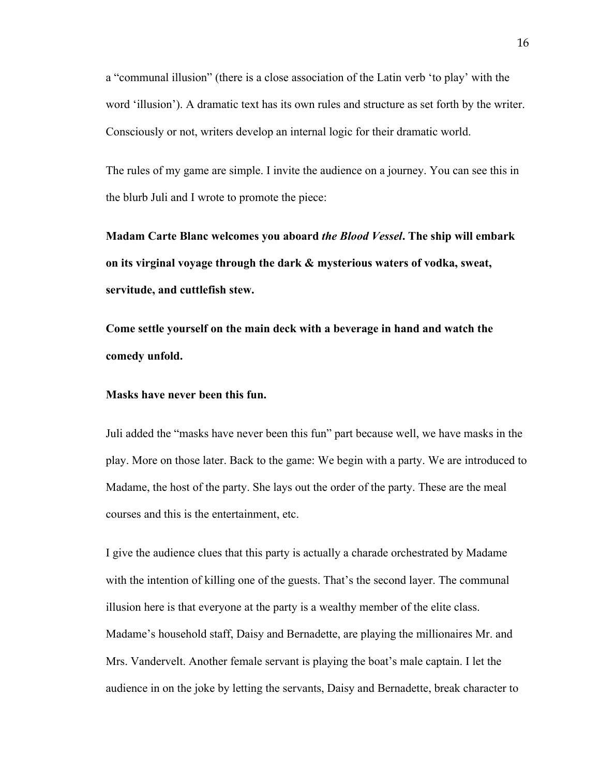a "communal illusion" (there is a close association of the Latin verb 'to play' with the word 'illusion'). A dramatic text has its own rules and structure as set forth by the writer. Consciously or not, writers develop an internal logic for their dramatic world.

The rules of my game are simple. I invite the audience on a journey. You can see this in the blurb Juli and I wrote to promote the piece:

**Madam Carte Blanc welcomes you aboard** *the Blood Vessel***. The ship will embark on its virginal voyage through the dark & mysterious waters of vodka, sweat, servitude, and cuttlefish stew.** 

**Come settle yourself on the main deck with a beverage in hand and watch the comedy unfold.** 

#### **Masks have never been this fun.**

Juli added the "masks have never been this fun" part because well, we have masks in the play. More on those later. Back to the game: We begin with a party. We are introduced to Madame, the host of the party. She lays out the order of the party. These are the meal courses and this is the entertainment, etc.

I give the audience clues that this party is actually a charade orchestrated by Madame with the intention of killing one of the guests. That's the second layer. The communal illusion here is that everyone at the party is a wealthy member of the elite class. Madame's household staff, Daisy and Bernadette, are playing the millionaires Mr. and Mrs. Vandervelt. Another female servant is playing the boat's male captain. I let the audience in on the joke by letting the servants, Daisy and Bernadette, break character to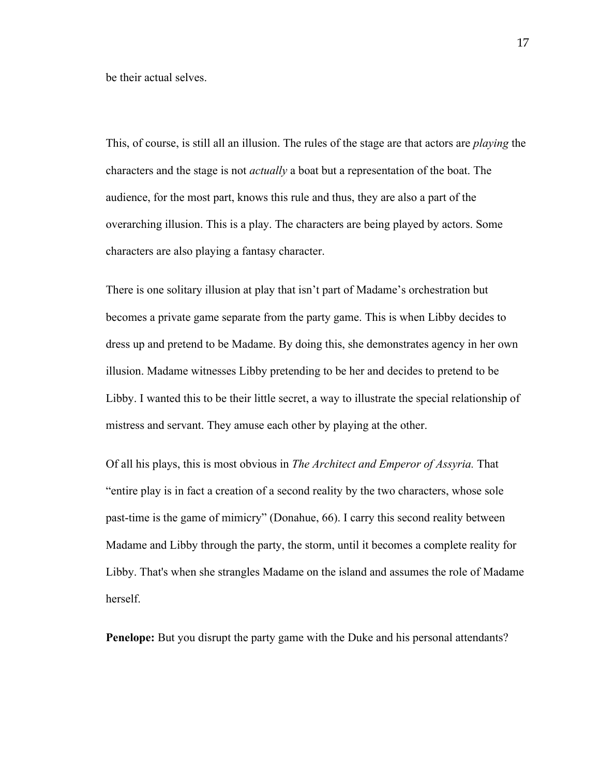be their actual selves.

This, of course, is still all an illusion. The rules of the stage are that actors are *playing* the characters and the stage is not *actually* a boat but a representation of the boat. The audience, for the most part, knows this rule and thus, they are also a part of the overarching illusion. This is a play. The characters are being played by actors. Some characters are also playing a fantasy character.

There is one solitary illusion at play that isn't part of Madame's orchestration but becomes a private game separate from the party game. This is when Libby decides to dress up and pretend to be Madame. By doing this, she demonstrates agency in her own illusion. Madame witnesses Libby pretending to be her and decides to pretend to be Libby. I wanted this to be their little secret, a way to illustrate the special relationship of mistress and servant. They amuse each other by playing at the other.

Of all his plays, this is most obvious in *The Architect and Emperor of Assyria.* That "entire play is in fact a creation of a second reality by the two characters, whose sole past-time is the game of mimicry" (Donahue, 66). I carry this second reality between Madame and Libby through the party, the storm, until it becomes a complete reality for Libby. That's when she strangles Madame on the island and assumes the role of Madame herself.

**Penelope:** But you disrupt the party game with the Duke and his personal attendants?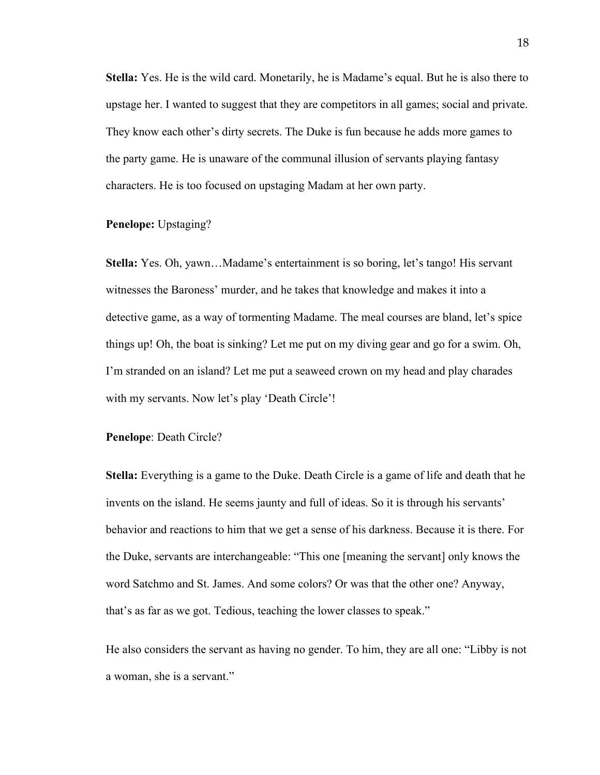**Stella:** Yes. He is the wild card. Monetarily, he is Madame's equal. But he is also there to upstage her. I wanted to suggest that they are competitors in all games; social and private. They know each other's dirty secrets. The Duke is fun because he adds more games to the party game. He is unaware of the communal illusion of servants playing fantasy characters. He is too focused on upstaging Madam at her own party.

## **Penelope:** Upstaging?

**Stella:** Yes. Oh, yawn…Madame's entertainment is so boring, let's tango! His servant witnesses the Baroness' murder, and he takes that knowledge and makes it into a detective game, as a way of tormenting Madame. The meal courses are bland, let's spice things up! Oh, the boat is sinking? Let me put on my diving gear and go for a swim. Oh, I'm stranded on an island? Let me put a seaweed crown on my head and play charades with my servants. Now let's play 'Death Circle'!

#### **Penelope**: Death Circle?

**Stella:** Everything is a game to the Duke. Death Circle is a game of life and death that he invents on the island. He seems jaunty and full of ideas. So it is through his servants' behavior and reactions to him that we get a sense of his darkness. Because it is there. For the Duke, servants are interchangeable: "This one [meaning the servant] only knows the word Satchmo and St. James. And some colors? Or was that the other one? Anyway, that's as far as we got. Tedious, teaching the lower classes to speak."

He also considers the servant as having no gender. To him, they are all one: "Libby is not a woman, she is a servant."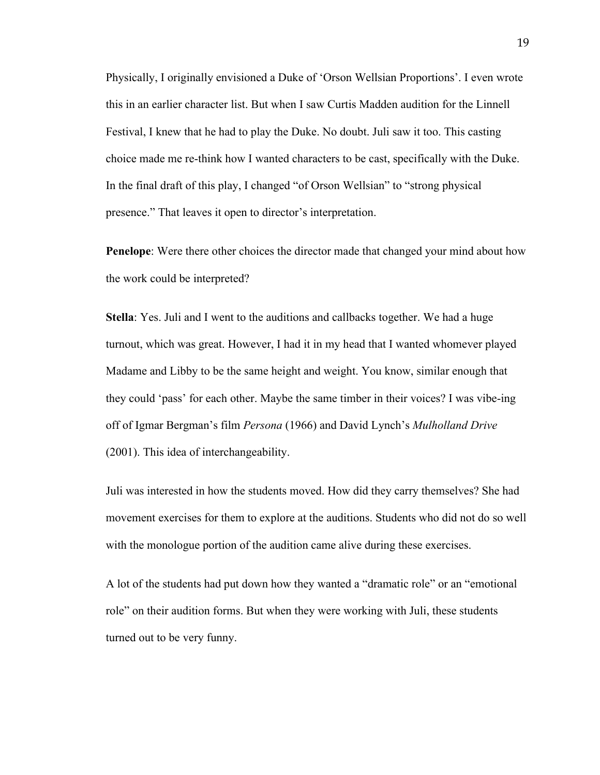Physically, I originally envisioned a Duke of 'Orson Wellsian Proportions'. I even wrote this in an earlier character list. But when I saw Curtis Madden audition for the Linnell Festival, I knew that he had to play the Duke. No doubt. Juli saw it too. This casting choice made me re-think how I wanted characters to be cast, specifically with the Duke. In the final draft of this play, I changed "of Orson Wellsian" to "strong physical presence." That leaves it open to director's interpretation.

**Penelope**: Were there other choices the director made that changed your mind about how the work could be interpreted?

**Stella**: Yes. Juli and I went to the auditions and callbacks together. We had a huge turnout, which was great. However, I had it in my head that I wanted whomever played Madame and Libby to be the same height and weight. You know, similar enough that they could 'pass' for each other. Maybe the same timber in their voices? I was vibe-ing off of Igmar Bergman's film *Persona* (1966) and David Lynch's *Mulholland Drive* (2001). This idea of interchangeability.

Juli was interested in how the students moved. How did they carry themselves? She had movement exercises for them to explore at the auditions. Students who did not do so well with the monologue portion of the audition came alive during these exercises.

A lot of the students had put down how they wanted a "dramatic role" or an "emotional role" on their audition forms. But when they were working with Juli, these students turned out to be very funny.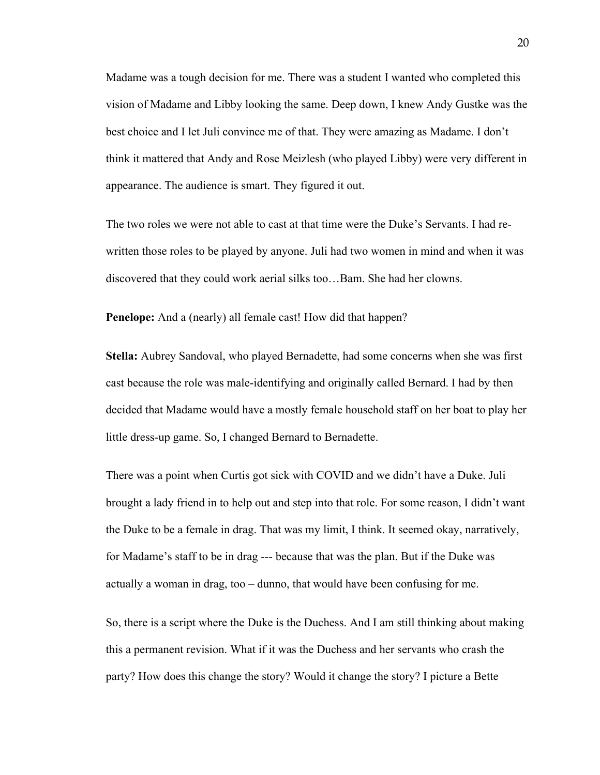Madame was a tough decision for me. There was a student I wanted who completed this vision of Madame and Libby looking the same. Deep down, I knew Andy Gustke was the best choice and I let Juli convince me of that. They were amazing as Madame. I don't think it mattered that Andy and Rose Meizlesh (who played Libby) were very different in appearance. The audience is smart. They figured it out.

The two roles we were not able to cast at that time were the Duke's Servants. I had rewritten those roles to be played by anyone. Juli had two women in mind and when it was discovered that they could work aerial silks too…Bam. She had her clowns.

**Penelope:** And a (nearly) all female cast! How did that happen?

**Stella:** Aubrey Sandoval, who played Bernadette, had some concerns when she was first cast because the role was male-identifying and originally called Bernard. I had by then decided that Madame would have a mostly female household staff on her boat to play her little dress-up game. So, I changed Bernard to Bernadette.

There was a point when Curtis got sick with COVID and we didn't have a Duke. Juli brought a lady friend in to help out and step into that role. For some reason, I didn't want the Duke to be a female in drag. That was my limit, I think. It seemed okay, narratively, for Madame's staff to be in drag --- because that was the plan. But if the Duke was actually a woman in drag, too – dunno, that would have been confusing for me.

So, there is a script where the Duke is the Duchess. And I am still thinking about making this a permanent revision. What if it was the Duchess and her servants who crash the party? How does this change the story? Would it change the story? I picture a Bette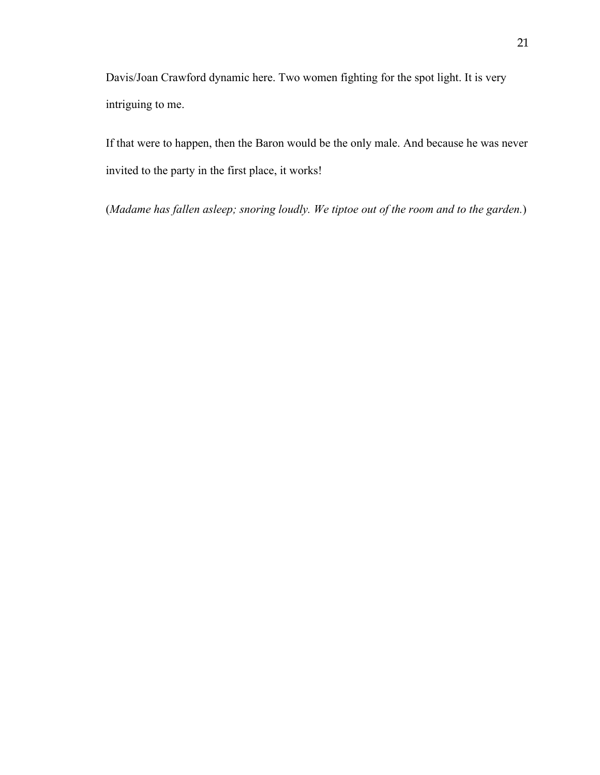Davis/Joan Crawford dynamic here. Two women fighting for the spot light. It is very intriguing to me.

If that were to happen, then the Baron would be the only male. And because he was never invited to the party in the first place, it works!

<span id="page-25-0"></span>(*Madame has fallen asleep; snoring loudly. We tiptoe out of the room and to the garden.*)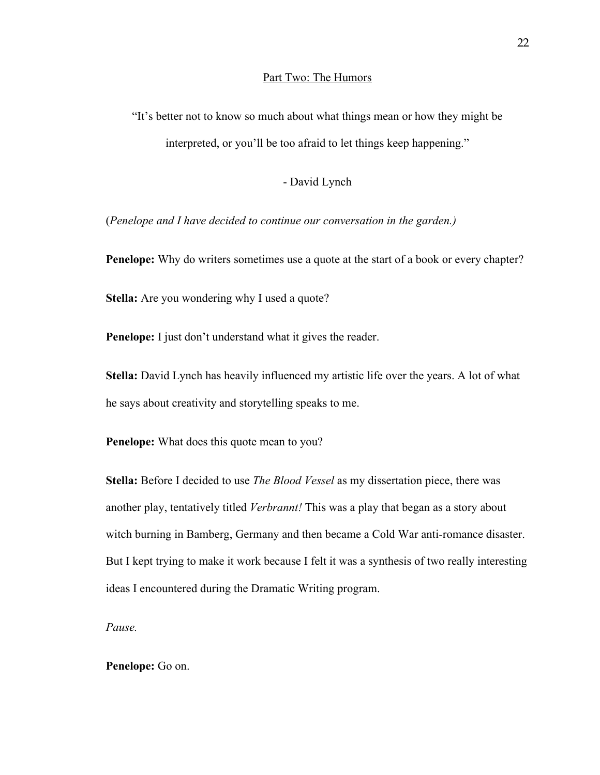#### Part Two: The Humors

"It's better not to know so much about what things mean or how they might be interpreted, or you'll be too afraid to let things keep happening."

### - David Lynch

(*Penelope and I have decided to continue our conversation in the garden.)*

**Penelope:** Why do writers sometimes use a quote at the start of a book or every chapter?

**Stella:** Are you wondering why I used a quote?

**Penelope:** I just don't understand what it gives the reader.

**Stella:** David Lynch has heavily influenced my artistic life over the years. A lot of what he says about creativity and storytelling speaks to me.

**Penelope:** What does this quote mean to you?

**Stella:** Before I decided to use *The Blood Vessel* as my dissertation piece, there was another play, tentatively titled *Verbrannt!* This was a play that began as a story about witch burning in Bamberg, Germany and then became a Cold War anti-romance disaster. But I kept trying to make it work because I felt it was a synthesis of two really interesting ideas I encountered during the Dramatic Writing program.

*Pause.* 

## **Penelope:** Go on.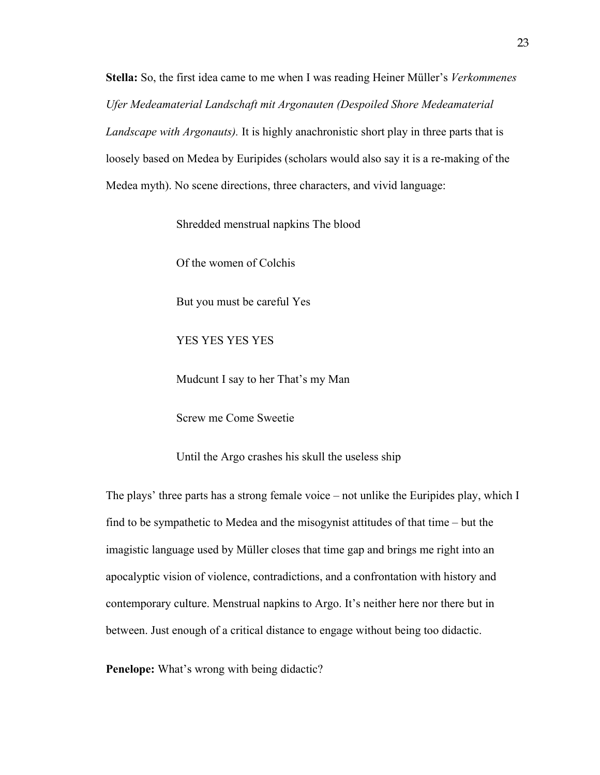**Stella:** So, the first idea came to me when I was reading Heiner Müller's *Verkommenes Ufer Medeamaterial Landschaft mit Argonauten (Despoiled Shore Medeamaterial Landscape with Argonauts).* It is highly anachronistic short play in three parts that is loosely based on Medea by Euripides (scholars would also say it is a re-making of the Medea myth). No scene directions, three characters, and vivid language:

Shredded menstrual napkins The blood

Of the women of Colchis

But you must be careful Yes

YES YES YES YES

Mudcunt I say to her That's my Man

Screw me Come Sweetie

Until the Argo crashes his skull the useless ship

The plays' three parts has a strong female voice – not unlike the Euripides play, which I find to be sympathetic to Medea and the misogynist attitudes of that time – but the imagistic language used by Müller closes that time gap and brings me right into an apocalyptic vision of violence, contradictions, and a confrontation with history and contemporary culture. Menstrual napkins to Argo. It's neither here nor there but in between. Just enough of a critical distance to engage without being too didactic.

**Penelope:** What's wrong with being didactic?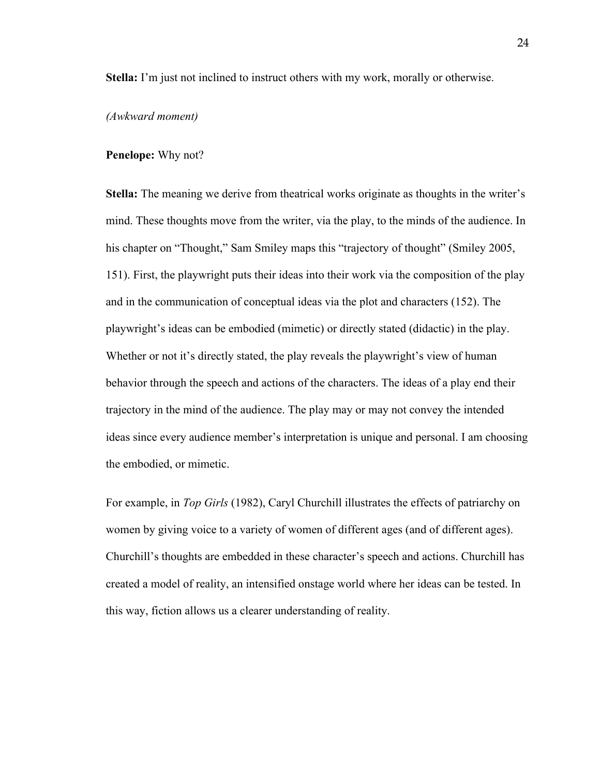**Stella:** I'm just not inclined to instruct others with my work, morally or otherwise.

#### *(Awkward moment)*

#### **Penelope:** Why not?

**Stella:** The meaning we derive from theatrical works originate as thoughts in the writer's mind. These thoughts move from the writer, via the play, to the minds of the audience. In his chapter on "Thought," Sam Smiley maps this "trajectory of thought" (Smiley 2005, 151). First, the playwright puts their ideas into their work via the composition of the play and in the communication of conceptual ideas via the plot and characters (152). The playwright's ideas can be embodied (mimetic) or directly stated (didactic) in the play. Whether or not it's directly stated, the play reveals the playwright's view of human behavior through the speech and actions of the characters. The ideas of a play end their trajectory in the mind of the audience. The play may or may not convey the intended ideas since every audience member's interpretation is unique and personal. I am choosing the embodied, or mimetic.

For example, in *Top Girls* (1982), Caryl Churchill illustrates the effects of patriarchy on women by giving voice to a variety of women of different ages (and of different ages). Churchill's thoughts are embedded in these character's speech and actions. Churchill has created a model of reality, an intensified onstage world where her ideas can be tested. In this way, fiction allows us a clearer understanding of reality.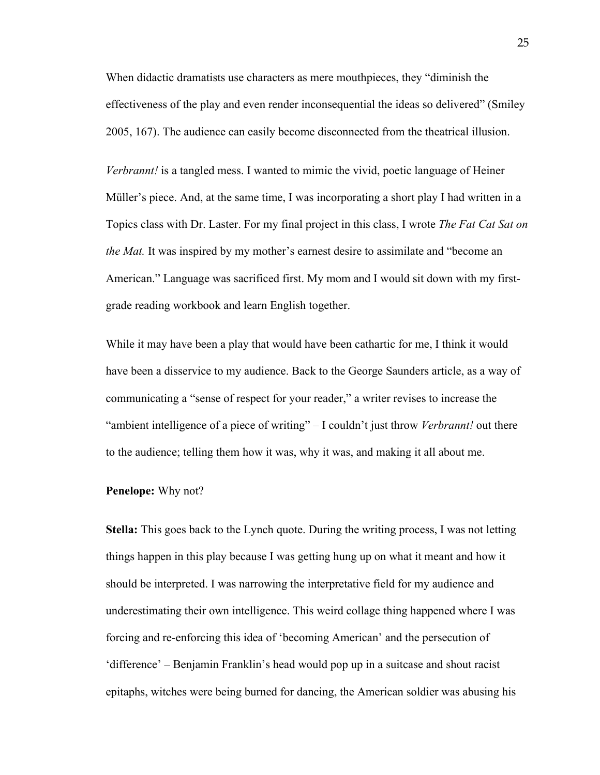When didactic dramatists use characters as mere mouthpieces, they "diminish the effectiveness of the play and even render inconsequential the ideas so delivered" (Smiley 2005, 167). The audience can easily become disconnected from the theatrical illusion.

*Verbrannt!* is a tangled mess. I wanted to mimic the vivid, poetic language of Heiner Müller's piece. And, at the same time, I was incorporating a short play I had written in a Topics class with Dr. Laster. For my final project in this class, I wrote *The Fat Cat Sat on the Mat.* It was inspired by my mother's earnest desire to assimilate and "become an American." Language was sacrificed first. My mom and I would sit down with my firstgrade reading workbook and learn English together.

While it may have been a play that would have been cathartic for me, I think it would have been a disservice to my audience. Back to the George Saunders article, as a way of communicating a "sense of respect for your reader," a writer revises to increase the "ambient intelligence of a piece of writing" – I couldn't just throw *Verbrannt!* out there to the audience; telling them how it was, why it was, and making it all about me.

#### **Penelope:** Why not?

**Stella:** This goes back to the Lynch quote. During the writing process, I was not letting things happen in this play because I was getting hung up on what it meant and how it should be interpreted. I was narrowing the interpretative field for my audience and underestimating their own intelligence. This weird collage thing happened where I was forcing and re-enforcing this idea of 'becoming American' and the persecution of 'difference' – Benjamin Franklin's head would pop up in a suitcase and shout racist epitaphs, witches were being burned for dancing, the American soldier was abusing his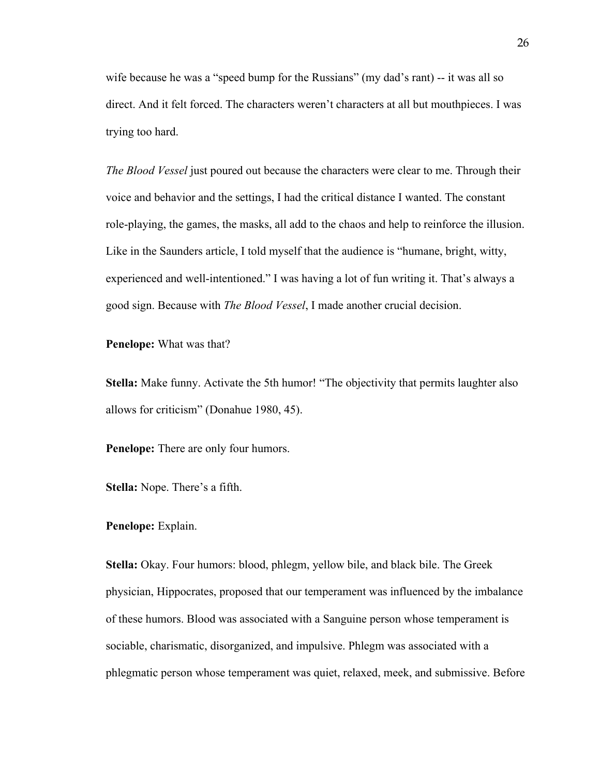wife because he was a "speed bump for the Russians" (my dad's rant) -- it was all so direct. And it felt forced. The characters weren't characters at all but mouthpieces. I was trying too hard.

*The Blood Vessel* just poured out because the characters were clear to me. Through their voice and behavior and the settings, I had the critical distance I wanted. The constant role-playing, the games, the masks, all add to the chaos and help to reinforce the illusion. Like in the Saunders article, I told myself that the audience is "humane, bright, witty, experienced and well-intentioned." I was having a lot of fun writing it. That's always a good sign. Because with *The Blood Vessel*, I made another crucial decision.

**Penelope:** What was that?

**Stella:** Make funny. Activate the 5th humor! "The objectivity that permits laughter also allows for criticism" (Donahue 1980, 45).

**Penelope:** There are only four humors.

**Stella:** Nope. There's a fifth.

#### **Penelope:** Explain.

**Stella:** Okay. Four humors: blood, phlegm, yellow bile, and black bile. The Greek physician, Hippocrates, proposed that our temperament was influenced by the imbalance of these humors. Blood was associated with a Sanguine person whose temperament is sociable, charismatic, disorganized, and impulsive. Phlegm was associated with a phlegmatic person whose temperament was quiet, relaxed, meek, and submissive. Before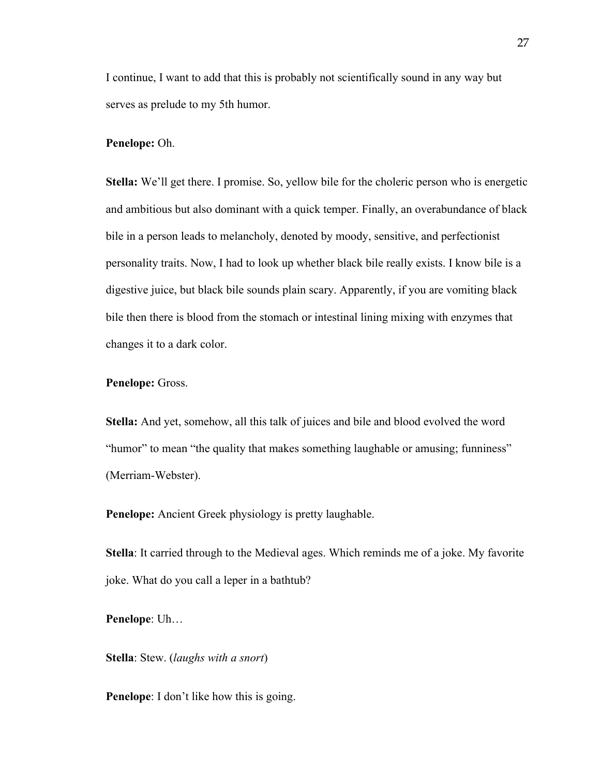I continue, I want to add that this is probably not scientifically sound in any way but serves as prelude to my 5th humor.

#### **Penelope:** Oh.

**Stella:** We'll get there. I promise. So, yellow bile for the choleric person who is energetic and ambitious but also dominant with a quick temper. Finally, an overabundance of black bile in a person leads to melancholy, denoted by moody, sensitive, and perfectionist personality traits. Now, I had to look up whether black bile really exists. I know bile is a digestive juice, but black bile sounds plain scary. Apparently, if you are vomiting black bile then there is blood from the stomach or intestinal lining mixing with enzymes that changes it to a dark color.

#### **Penelope:** Gross.

**Stella:** And yet, somehow, all this talk of juices and bile and blood evolved the word "humor" to mean "the quality that makes something laughable or amusing; funniness" (Merriam-Webster).

**Penelope:** Ancient Greek physiology is pretty laughable.

**Stella**: It carried through to the Medieval ages. Which reminds me of a joke. My favorite joke. What do you call a leper in a bathtub?

**Penelope**: Uh…

**Stella**: Stew. (*laughs with a snort*)

**Penelope**: I don't like how this is going.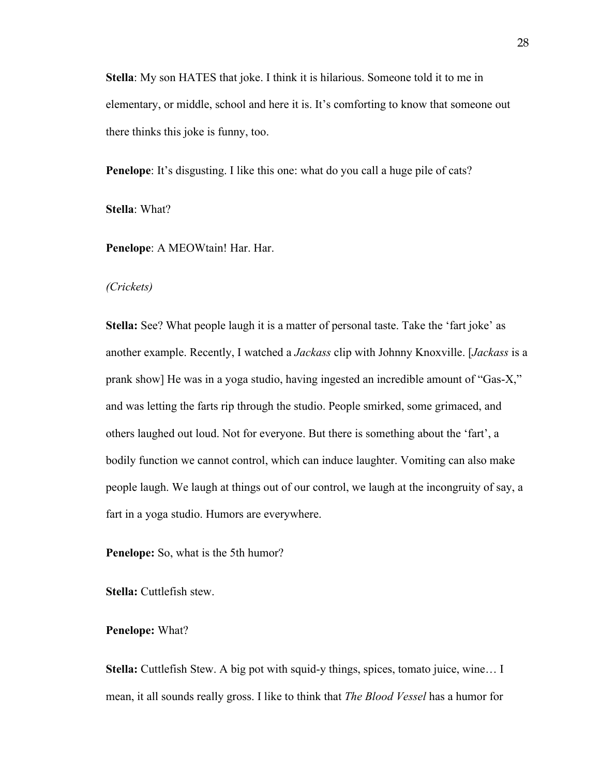**Stella**: My son HATES that joke. I think it is hilarious. Someone told it to me in elementary, or middle, school and here it is. It's comforting to know that someone out there thinks this joke is funny, too.

**Penelope**: It's disgusting. I like this one: what do you call a huge pile of cats?

**Stella**: What?

**Penelope**: A MEOWtain! Har. Har.

*(Crickets)*

**Stella:** See? What people laugh it is a matter of personal taste. Take the 'fart joke' as another example. Recently, I watched a *Jackass* clip with Johnny Knoxville. [*Jackass* is a prank show] He was in a yoga studio, having ingested an incredible amount of "Gas-X," and was letting the farts rip through the studio. People smirked, some grimaced, and others laughed out loud. Not for everyone. But there is something about the 'fart', a bodily function we cannot control, which can induce laughter. Vomiting can also make people laugh. We laugh at things out of our control, we laugh at the incongruity of say, a fart in a yoga studio. Humors are everywhere.

**Penelope:** So, what is the 5th humor?

**Stella:** Cuttlefish stew.

**Penelope:** What?

**Stella:** Cuttlefish Stew. A big pot with squid-y things, spices, tomato juice, wine… I mean, it all sounds really gross. I like to think that *The Blood Vessel* has a humor for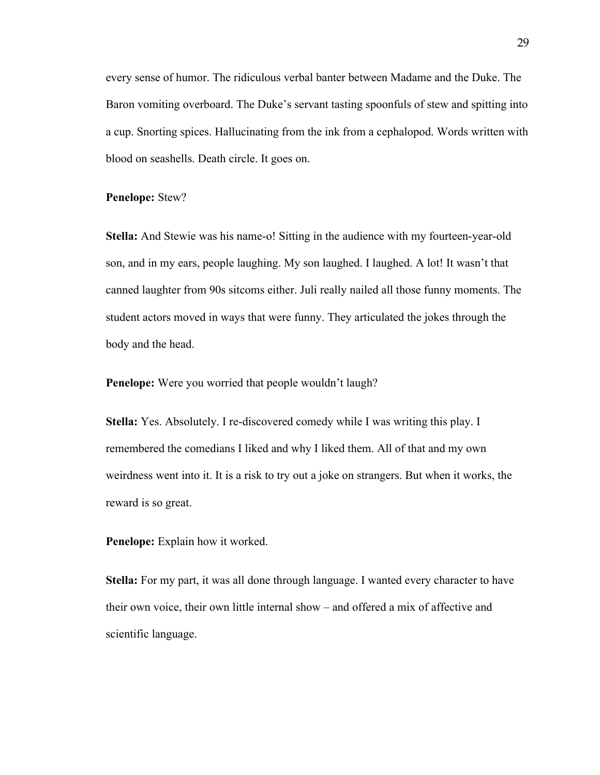every sense of humor. The ridiculous verbal banter between Madame and the Duke. The Baron vomiting overboard. The Duke's servant tasting spoonfuls of stew and spitting into a cup. Snorting spices. Hallucinating from the ink from a cephalopod. Words written with blood on seashells. Death circle. It goes on.

#### **Penelope:** Stew?

**Stella:** And Stewie was his name-o! Sitting in the audience with my fourteen-year-old son, and in my ears, people laughing. My son laughed. I laughed. A lot! It wasn't that canned laughter from 90s sitcoms either. Juli really nailed all those funny moments. The student actors moved in ways that were funny. They articulated the jokes through the body and the head.

**Penelope:** Were you worried that people wouldn't laugh?

**Stella:** Yes. Absolutely. I re-discovered comedy while I was writing this play. I remembered the comedians I liked and why I liked them. All of that and my own weirdness went into it. It is a risk to try out a joke on strangers. But when it works, the reward is so great.

**Penelope:** Explain how it worked.

**Stella:** For my part, it was all done through language. I wanted every character to have their own voice, their own little internal show – and offered a mix of affective and scientific language.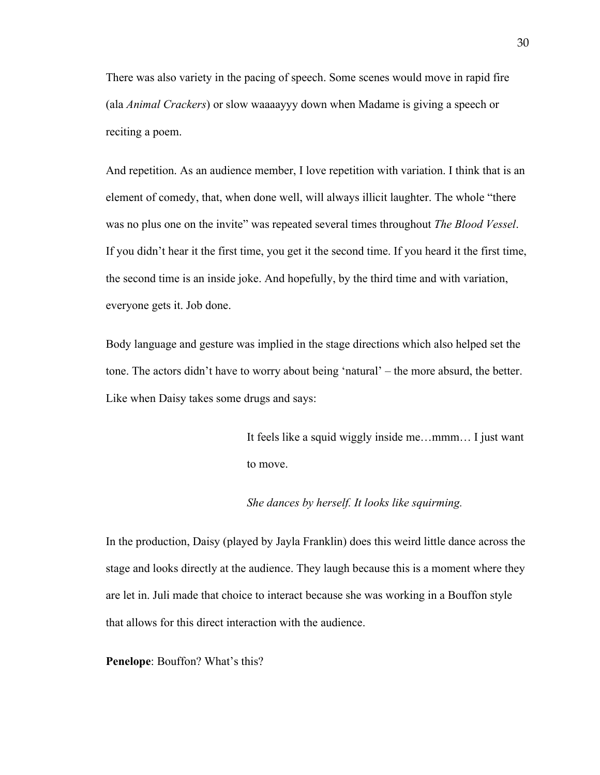There was also variety in the pacing of speech. Some scenes would move in rapid fire (ala *Animal Crackers*) or slow waaaayyy down when Madame is giving a speech or reciting a poem.

And repetition. As an audience member, I love repetition with variation. I think that is an element of comedy, that, when done well, will always illicit laughter. The whole "there was no plus one on the invite" was repeated several times throughout *The Blood Vessel*. If you didn't hear it the first time, you get it the second time. If you heard it the first time, the second time is an inside joke. And hopefully, by the third time and with variation, everyone gets it. Job done.

Body language and gesture was implied in the stage directions which also helped set the tone. The actors didn't have to worry about being 'natural' – the more absurd, the better. Like when Daisy takes some drugs and says:

> It feels like a squid wiggly inside me…mmm… I just want to move.

## *She dances by herself. It looks like squirming.*

In the production, Daisy (played by Jayla Franklin) does this weird little dance across the stage and looks directly at the audience. They laugh because this is a moment where they are let in. Juli made that choice to interact because she was working in a Bouffon style that allows for this direct interaction with the audience.

**Penelope**: Bouffon? What's this?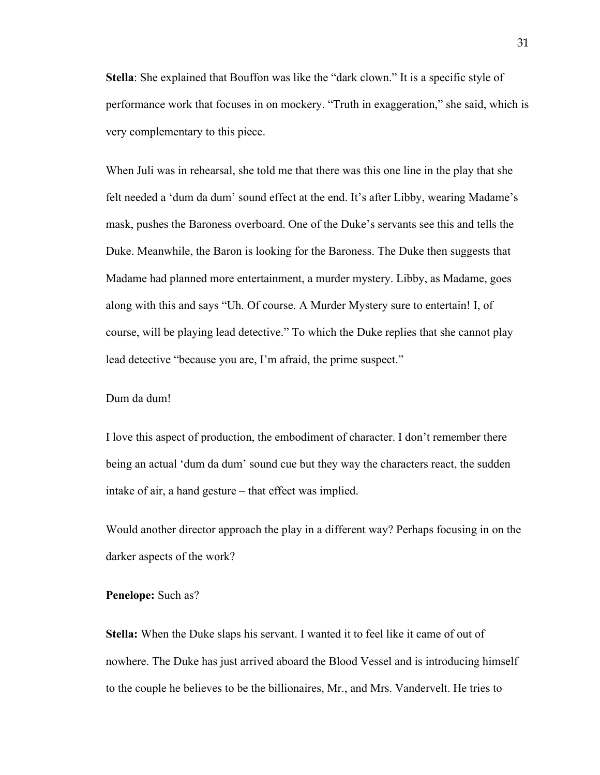**Stella**: She explained that Bouffon was like the "dark clown." It is a specific style of performance work that focuses in on mockery. "Truth in exaggeration," she said, which is very complementary to this piece.

When Juli was in rehearsal, she told me that there was this one line in the play that she felt needed a 'dum da dum' sound effect at the end. It's after Libby, wearing Madame's mask, pushes the Baroness overboard. One of the Duke's servants see this and tells the Duke. Meanwhile, the Baron is looking for the Baroness. The Duke then suggests that Madame had planned more entertainment, a murder mystery. Libby, as Madame, goes along with this and says "Uh. Of course. A Murder Mystery sure to entertain! I, of course, will be playing lead detective." To which the Duke replies that she cannot play lead detective "because you are, I'm afraid, the prime suspect."

## Dum da dum!

I love this aspect of production, the embodiment of character. I don't remember there being an actual 'dum da dum' sound cue but they way the characters react, the sudden intake of air, a hand gesture – that effect was implied.

Would another director approach the play in a different way? Perhaps focusing in on the darker aspects of the work?

### **Penelope:** Such as?

**Stella:** When the Duke slaps his servant. I wanted it to feel like it came of out of nowhere. The Duke has just arrived aboard the Blood Vessel and is introducing himself to the couple he believes to be the billionaires, Mr., and Mrs. Vandervelt. He tries to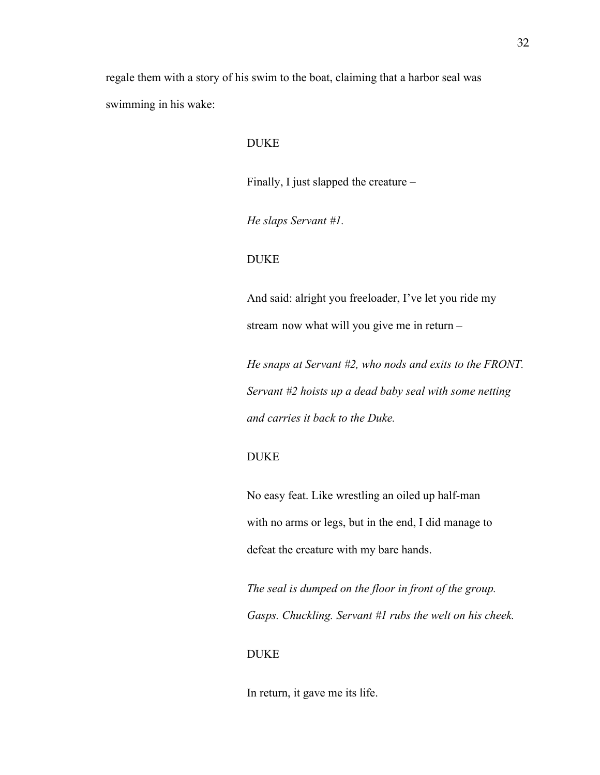regale them with a story of his swim to the boat, claiming that a harbor seal was swimming in his wake:

#### DUKE

Finally, I just slapped the creature –

*He slaps Servant #1.* 

# DUKE

And said: alright you freeloader, I've let you ride my stream now what will you give me in return –

*He snaps at Servant #2, who nods and exits to the FRONT. Servant #2 hoists up a dead baby seal with some netting and carries it back to the Duke.*

# DUKE

No easy feat. Like wrestling an oiled up half-man with no arms or legs, but in the end, I did manage to defeat the creature with my bare hands.

*The seal is dumped on the floor in front of the group. Gasps. Chuckling. Servant #1 rubs the welt on his cheek.* 

### **DUKE**

In return, it gave me its life.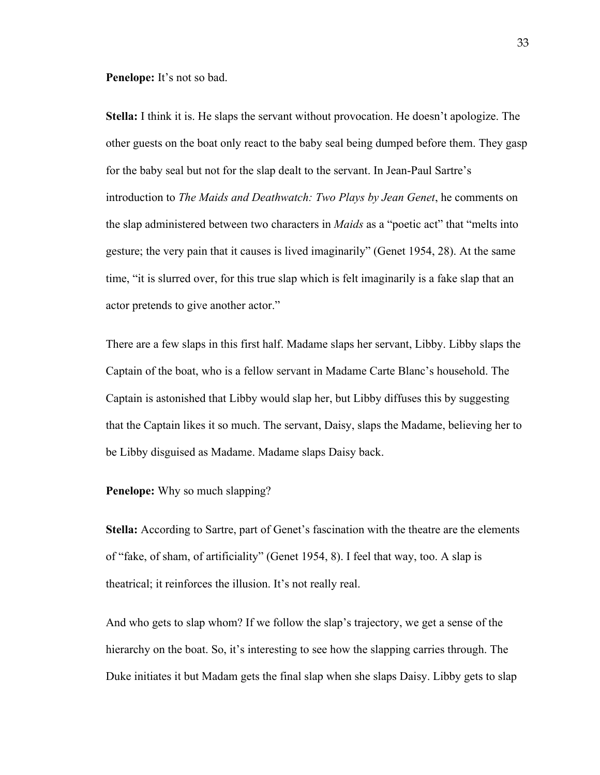**Penelope:** It's not so bad.

**Stella:** I think it is. He slaps the servant without provocation. He doesn't apologize. The other guests on the boat only react to the baby seal being dumped before them. They gasp for the baby seal but not for the slap dealt to the servant. In Jean-Paul Sartre's introduction to *The Maids and Deathwatch: Two Plays by Jean Genet*, he comments on the slap administered between two characters in *Maids* as a "poetic act" that "melts into gesture; the very pain that it causes is lived imaginarily" (Genet 1954, 28). At the same time, "it is slurred over, for this true slap which is felt imaginarily is a fake slap that an actor pretends to give another actor."

There are a few slaps in this first half. Madame slaps her servant, Libby. Libby slaps the Captain of the boat, who is a fellow servant in Madame Carte Blanc's household. The Captain is astonished that Libby would slap her, but Libby diffuses this by suggesting that the Captain likes it so much. The servant, Daisy, slaps the Madame, believing her to be Libby disguised as Madame. Madame slaps Daisy back.

#### **Penelope:** Why so much slapping?

**Stella:** According to Sartre, part of Genet's fascination with the theatre are the elements of "fake, of sham, of artificiality" (Genet 1954, 8). I feel that way, too. A slap is theatrical; it reinforces the illusion. It's not really real.

And who gets to slap whom? If we follow the slap's trajectory, we get a sense of the hierarchy on the boat. So, it's interesting to see how the slapping carries through. The Duke initiates it but Madam gets the final slap when she slaps Daisy. Libby gets to slap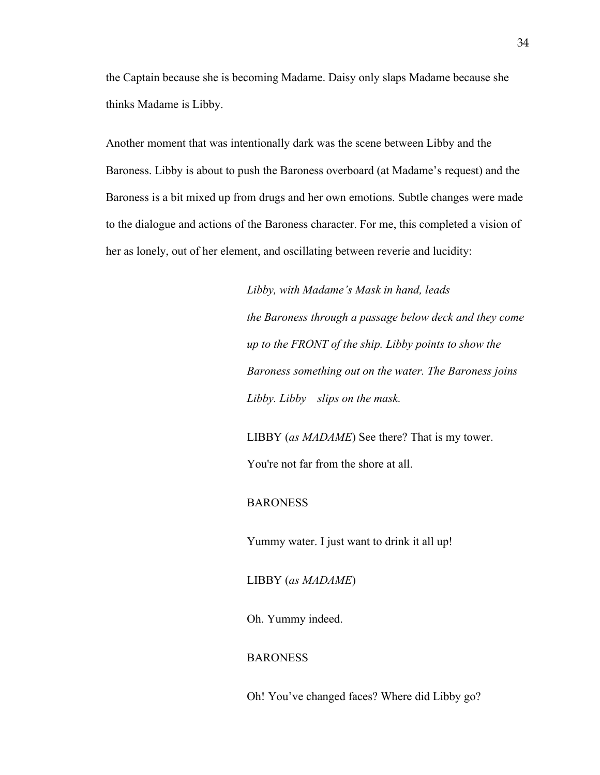the Captain because she is becoming Madame. Daisy only slaps Madame because she thinks Madame is Libby.

Another moment that was intentionally dark was the scene between Libby and the Baroness. Libby is about to push the Baroness overboard (at Madame's request) and the Baroness is a bit mixed up from drugs and her own emotions. Subtle changes were made to the dialogue and actions of the Baroness character. For me, this completed a vision of her as lonely, out of her element, and oscillating between reverie and lucidity:

> *Libby, with Madame's Mask in hand, leads the Baroness through a passage below deck and they come up to the FRONT of the ship. Libby points to show the Baroness something out on the water. The Baroness joins Libby. Libby slips on the mask.*

LIBBY (*as MADAME*) See there? That is my tower. You're not far from the shore at all.

#### BARONESS

Yummy water. I just want to drink it all up!

LIBBY (*as MADAME*)

Oh. Yummy indeed.

# BARONESS

Oh! You've changed faces? Where did Libby go?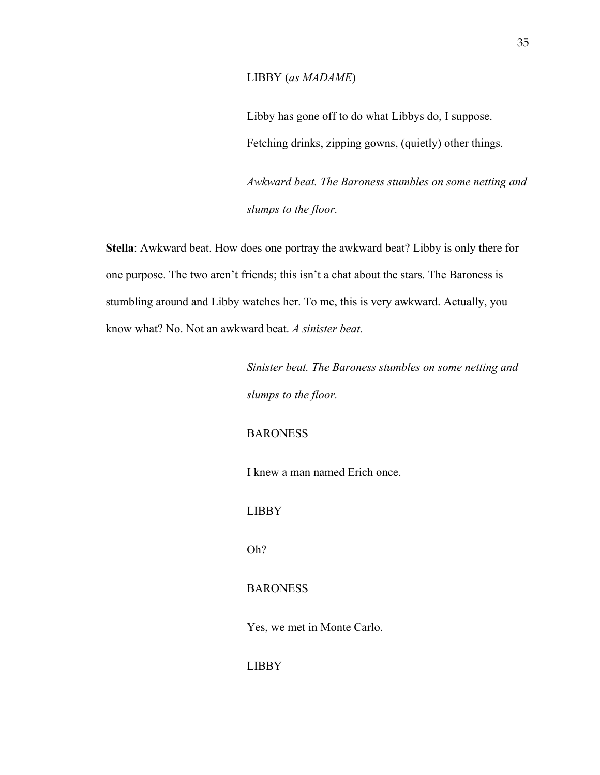#### LIBBY (*as MADAME*)

Libby has gone off to do what Libbys do, I suppose. Fetching drinks, zipping gowns, (quietly) other things.

*Awkward beat. The Baroness stumbles on some netting and slumps to the floor.* 

**Stella**: Awkward beat. How does one portray the awkward beat? Libby is only there for one purpose. The two aren't friends; this isn't a chat about the stars. The Baroness is stumbling around and Libby watches her. To me, this is very awkward. Actually, you know what? No. Not an awkward beat. *A sinister beat.*

> *Sinister beat. The Baroness stumbles on some netting and slumps to the floor.*

# BARONESS

I knew a man named Erich once.

#### LIBBY

Oh?

# BARONESS

Yes, we met in Monte Carlo.

LIBBY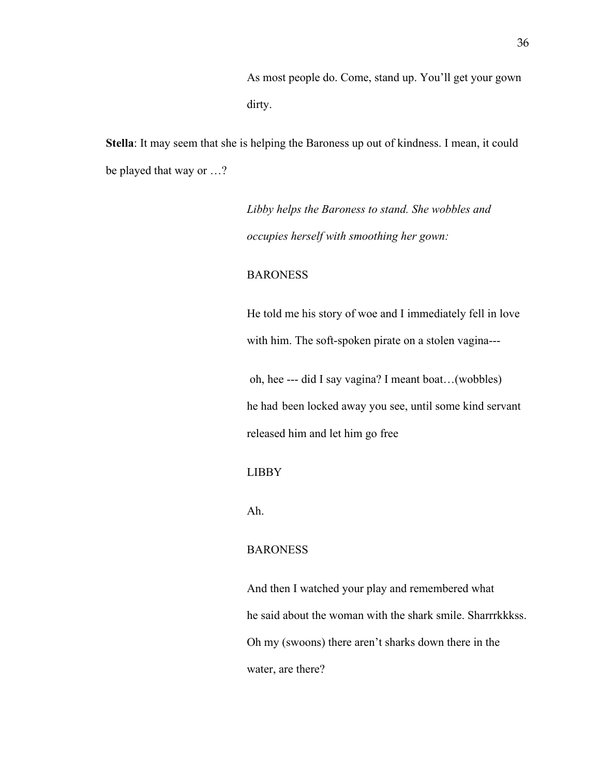As most people do. Come, stand up. You'll get your gown dirty.

**Stella**: It may seem that she is helping the Baroness up out of kindness. I mean, it could be played that way or …?

> *Libby helps the Baroness to stand. She wobbles and occupies herself with smoothing her gown:*

# BARONESS

He told me his story of woe and I immediately fell in love with him. The soft-spoken pirate on a stolen vagina---

oh, hee --- did I say vagina? I meant boat…(wobbles) he had been locked away you see, until some kind servant released him and let him go free

#### LIBBY

Ah.

# BARONESS

And then I watched your play and remembered what he said about the woman with the shark smile. Sharrrkkkss. Oh my (swoons) there aren't sharks down there in the water, are there?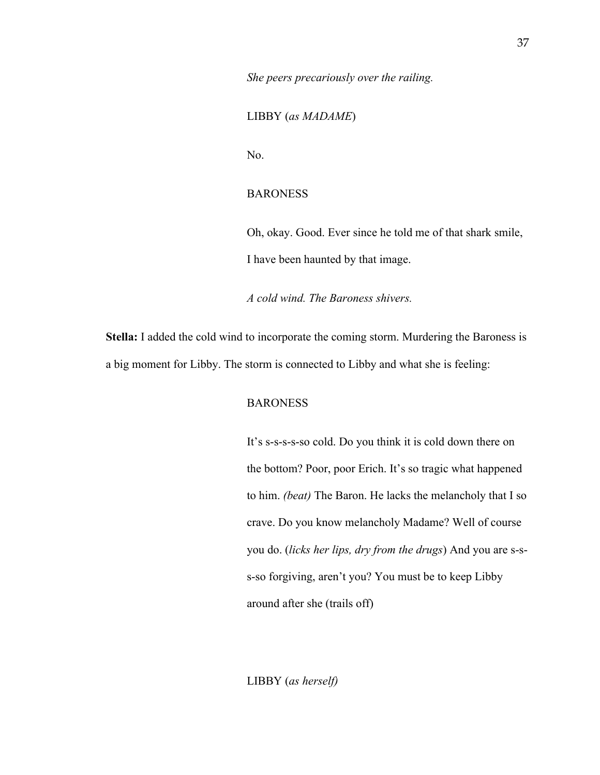*She peers precariously over the railing.* 

LIBBY (*as MADAME*)

No.

# **BARONESS**

Oh, okay. Good. Ever since he told me of that shark smile, I have been haunted by that image.

*A cold wind. The Baroness shivers.*

**Stella:** I added the cold wind to incorporate the coming storm. Murdering the Baroness is a big moment for Libby. The storm is connected to Libby and what she is feeling:

#### BARONESS

It's s-s-s-s-so cold. Do you think it is cold down there on the bottom? Poor, poor Erich. It's so tragic what happened to him. *(beat)* The Baron. He lacks the melancholy that I so crave. Do you know melancholy Madame? Well of course you do. (*licks her lips, dry from the drugs*) And you are s-ss-so forgiving, aren't you? You must be to keep Libby around after she (trails off)

LIBBY (*as herself)*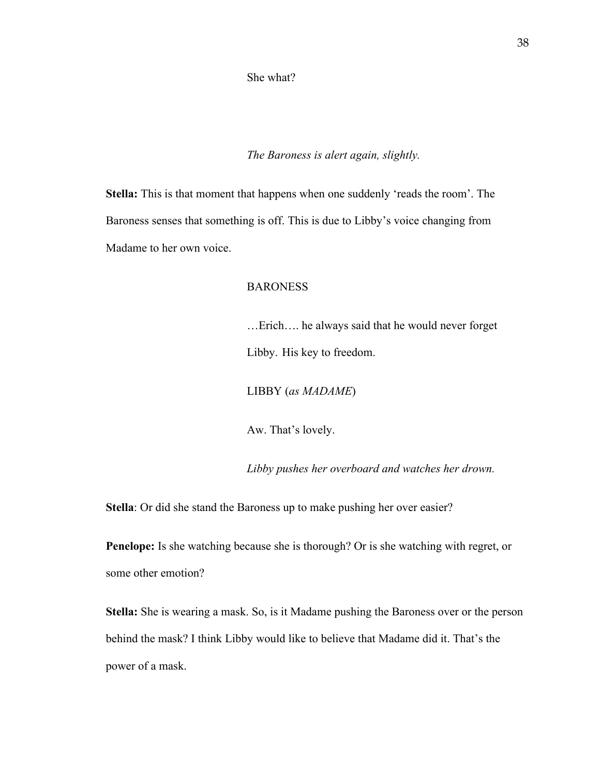She what?

*The Baroness is alert again, slightly.*

**Stella:** This is that moment that happens when one suddenly 'reads the room'. The Baroness senses that something is off. This is due to Libby's voice changing from Madame to her own voice.

## BARONESS

…Erich…. he always said that he would never forget Libby. His key to freedom.

LIBBY (*as MADAME*)

Aw. That's lovely.

*Libby pushes her overboard and watches her drown.*

**Stella**: Or did she stand the Baroness up to make pushing her over easier?

**Penelope:** Is she watching because she is thorough? Or is she watching with regret, or some other emotion?

**Stella:** She is wearing a mask. So, is it Madame pushing the Baroness over or the person behind the mask? I think Libby would like to believe that Madame did it. That's the power of a mask.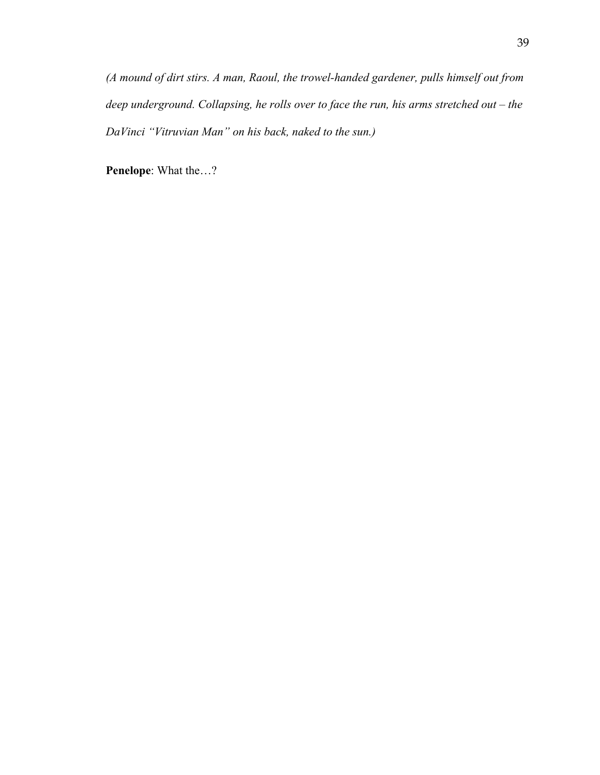*(A mound of dirt stirs. A man, Raoul, the trowel-handed gardener, pulls himself out from deep underground. Collapsing, he rolls over to face the run, his arms stretched out – the DaVinci "Vitruvian Man" on his back, naked to the sun.)*

**Penelope**: What the…?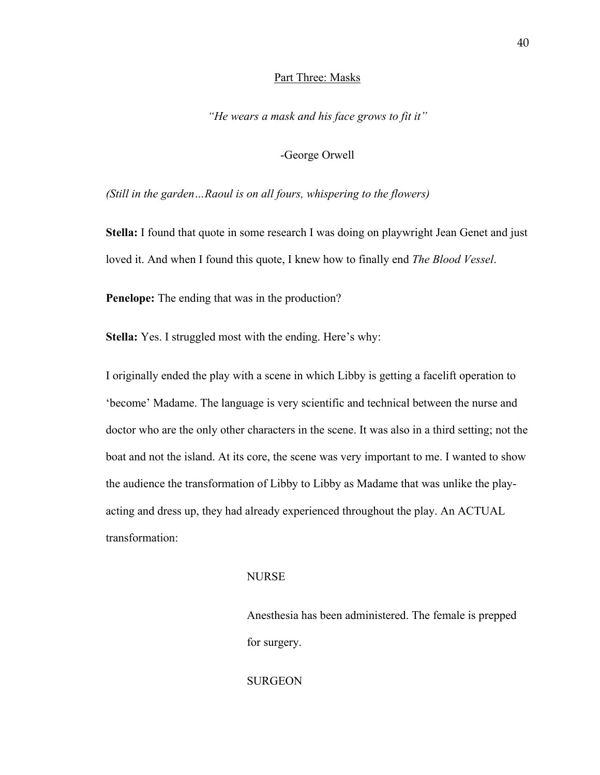#### Part Three: Masks

*"He wears a mask and his face grows to fit it"* 

#### -George Orwell

*(Still in the garden…Raoul is on all fours, whispering to the flowers)* 

**Stella:** I found that quote in some research I was doing on playwright Jean Genet and just loved it. And when I found this quote, I knew how to finally end *The Blood Vessel*.

**Penelope:** The ending that was in the production?

**Stella:** Yes. I struggled most with the ending. Here's why:

I originally ended the play with a scene in which Libby is getting a facelift operation to 'become' Madame. The language is very scientific and technical between the nurse and doctor who are the only other characters in the scene. It was also in a third setting; not the boat and not the island. At its core, the scene was very important to me. I wanted to show the audience the transformation of Libby to Libby as Madame that was unlike the playacting and dress up, they had already experienced throughout the play. An ACTUAL transformation:

#### NURSE

 Anesthesia has been administered. The female is prepped for surgery.

**SURGEON**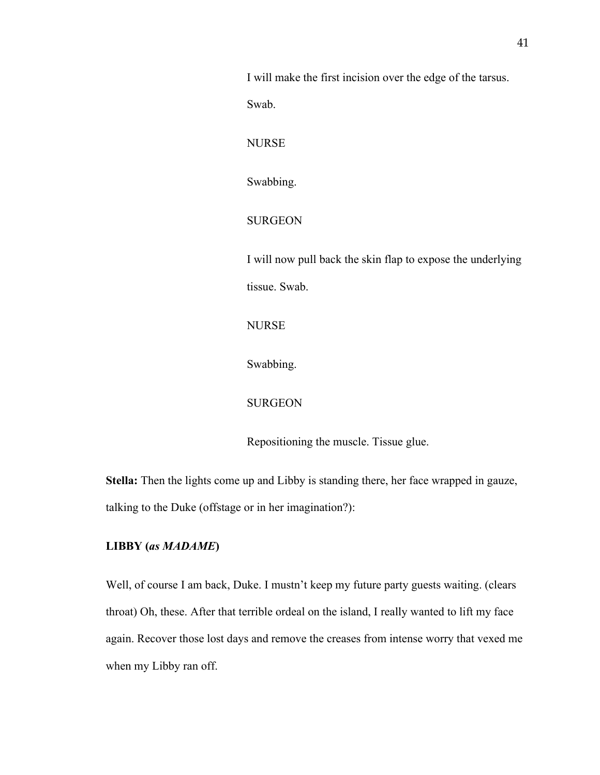I will make the first incision over the edge of the tarsus. Swab. NURSE Swabbing. SURGEON I will now pull back the skin flap to expose the underlying tissue. Swab. NURSE Swabbing. SURGEON Repositioning the muscle. Tissue glue.

**Stella:** Then the lights come up and Libby is standing there, her face wrapped in gauze, talking to the Duke (offstage or in her imagination?):

# **LIBBY (***as MADAME***)**

Well, of course I am back, Duke. I mustn't keep my future party guests waiting. (clears throat) Oh, these. After that terrible ordeal on the island, I really wanted to lift my face again. Recover those lost days and remove the creases from intense worry that vexed me when my Libby ran off.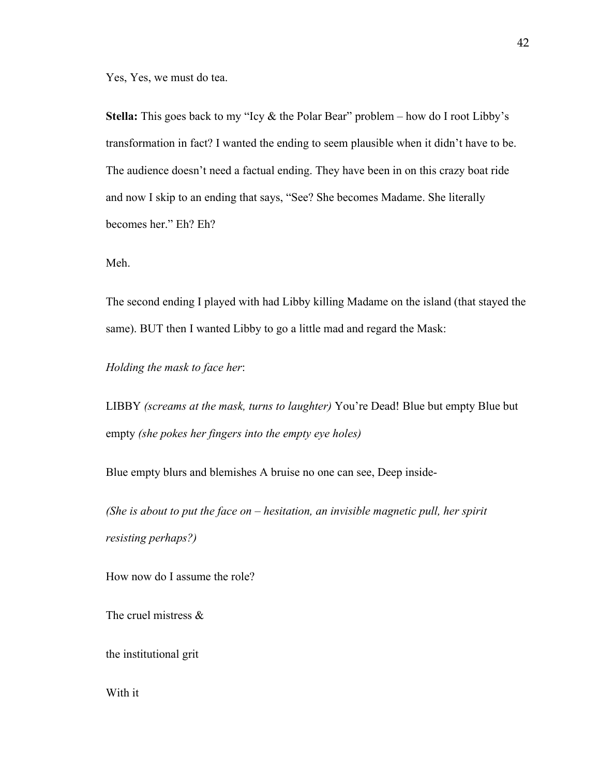Yes, Yes, we must do tea.

**Stella:** This goes back to my "Icy & the Polar Bear" problem – how do I root Libby's transformation in fact? I wanted the ending to seem plausible when it didn't have to be. The audience doesn't need a factual ending. They have been in on this crazy boat ride and now I skip to an ending that says, "See? She becomes Madame. She literally becomes her." Eh? Eh?

Meh.

The second ending I played with had Libby killing Madame on the island (that stayed the same). BUT then I wanted Libby to go a little mad and regard the Mask:

*Holding the mask to face her*:

LIBBY *(screams at the mask, turns to laughter)* You're Dead! Blue but empty Blue but empty *(she pokes her fingers into the empty eye holes)*

Blue empty blurs and blemishes A bruise no one can see, Deep inside-

*(She is about to put the face on – hesitation, an invisible magnetic pull, her spirit resisting perhaps?)*

How now do I assume the role?

The cruel mistress &

the institutional grit

With it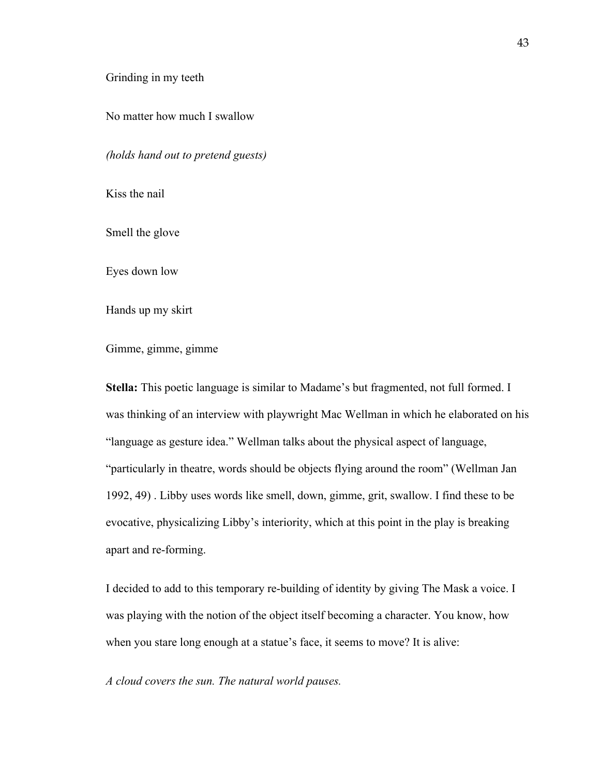#### Grinding in my teeth

No matter how much I swallow

*(holds hand out to pretend guests)*

Kiss the nail

Smell the glove

Eyes down low

Hands up my skirt

Gimme, gimme, gimme

**Stella:** This poetic language is similar to Madame's but fragmented, not full formed. I was thinking of an interview with playwright Mac Wellman in which he elaborated on his "language as gesture idea." Wellman talks about the physical aspect of language, "particularly in theatre, words should be objects flying around the room" (Wellman Jan 1992, 49) . Libby uses words like smell, down, gimme, grit, swallow. I find these to be evocative, physicalizing Libby's interiority, which at this point in the play is breaking apart and re-forming.

I decided to add to this temporary re-building of identity by giving The Mask a voice. I was playing with the notion of the object itself becoming a character. You know, how when you stare long enough at a statue's face, it seems to move? It is alive:

*A cloud covers the sun. The natural world pauses.*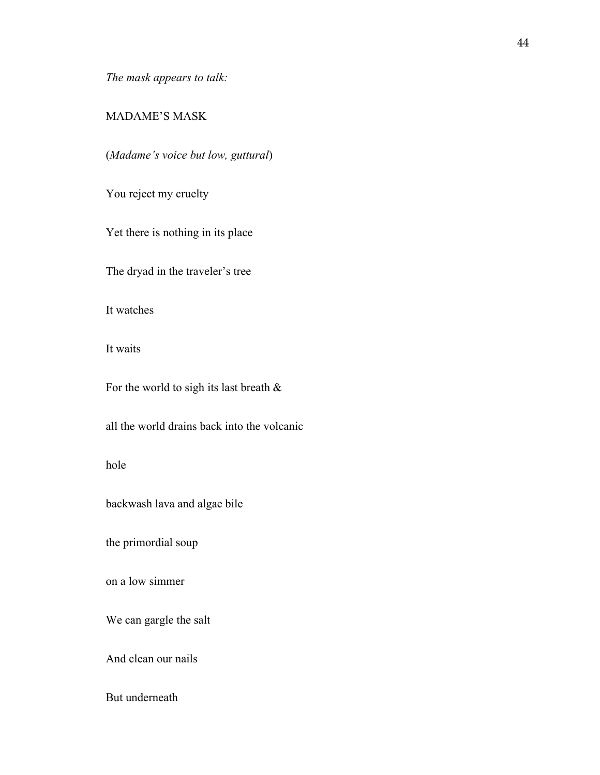*The mask appears to talk:*

# MADAME'S MASK

(*Madame's voice but low, guttural*)

You reject my cruelty

Yet there is nothing in its place

The dryad in the traveler's tree

It watches

It waits

For the world to sigh its last breath &

all the world drains back into the volcanic

hole

backwash lava and algae bile

the primordial soup

on a low simmer

We can gargle the salt

And clean our nails

But underneath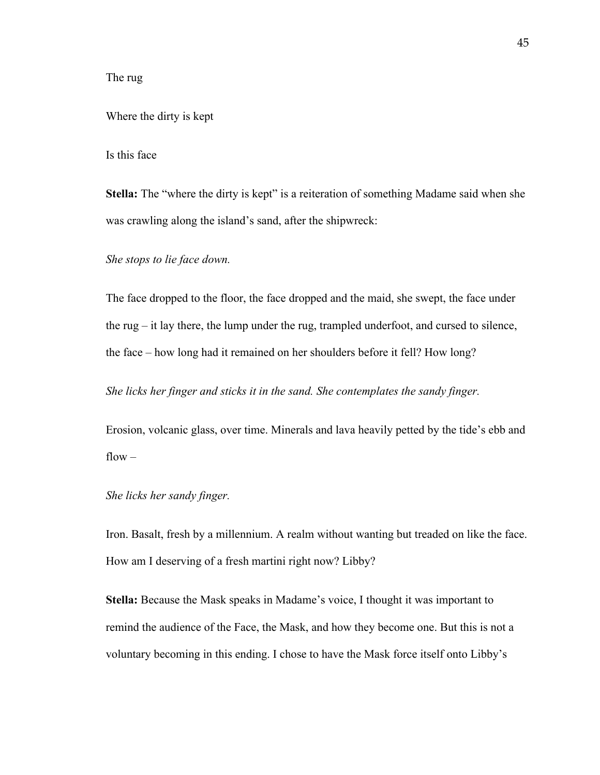# The rug

#### Where the dirty is kept

#### Is this face

**Stella:** The "where the dirty is kept" is a reiteration of something Madame said when she was crawling along the island's sand, after the shipwreck:

*She stops to lie face down.* 

The face dropped to the floor, the face dropped and the maid, she swept, the face under the rug – it lay there, the lump under the rug, trampled underfoot, and cursed to silence, the face – how long had it remained on her shoulders before it fell? How long?

*She licks her finger and sticks it in the sand. She contemplates the sandy finger.* 

Erosion, volcanic glass, over time. Minerals and lava heavily petted by the tide's ebb and  $flow -$ 

#### *She licks her sandy finger.*

Iron. Basalt, fresh by a millennium. A realm without wanting but treaded on like the face. How am I deserving of a fresh martini right now? Libby?

**Stella:** Because the Mask speaks in Madame's voice, I thought it was important to remind the audience of the Face, the Mask, and how they become one. But this is not a voluntary becoming in this ending. I chose to have the Mask force itself onto Libby's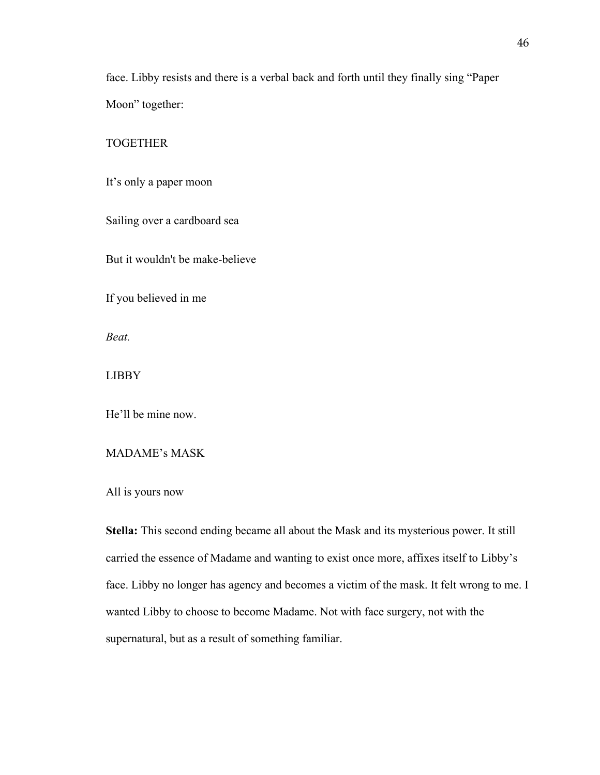face. Libby resists and there is a verbal back and forth until they finally sing "Paper Moon" together:

#### TOGETHER

It's only a paper moon

Sailing over a cardboard sea

But it wouldn't be make-believe

If you believed in me

*Beat.*

LIBBY

He'll be mine now.

# MADAME's MASK

All is yours now

**Stella:** This second ending became all about the Mask and its mysterious power. It still carried the essence of Madame and wanting to exist once more, affixes itself to Libby's face. Libby no longer has agency and becomes a victim of the mask. It felt wrong to me. I wanted Libby to choose to become Madame. Not with face surgery, not with the supernatural, but as a result of something familiar.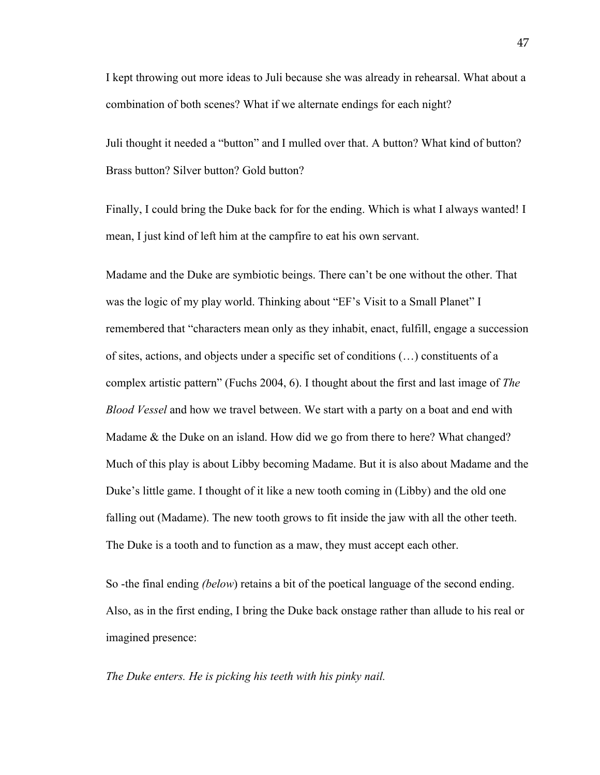I kept throwing out more ideas to Juli because she was already in rehearsal. What about a combination of both scenes? What if we alternate endings for each night?

Juli thought it needed a "button" and I mulled over that. A button? What kind of button? Brass button? Silver button? Gold button?

Finally, I could bring the Duke back for for the ending. Which is what I always wanted! I mean, I just kind of left him at the campfire to eat his own servant.

Madame and the Duke are symbiotic beings. There can't be one without the other. That was the logic of my play world. Thinking about "EF's Visit to a Small Planet" I remembered that "characters mean only as they inhabit, enact, fulfill, engage a succession of sites, actions, and objects under a specific set of conditions (…) constituents of a complex artistic pattern" (Fuchs 2004, 6). I thought about the first and last image of *The Blood Vessel* and how we travel between. We start with a party on a boat and end with Madame & the Duke on an island. How did we go from there to here? What changed? Much of this play is about Libby becoming Madame. But it is also about Madame and the Duke's little game. I thought of it like a new tooth coming in (Libby) and the old one falling out (Madame). The new tooth grows to fit inside the jaw with all the other teeth. The Duke is a tooth and to function as a maw, they must accept each other.

So -the final ending *(below*) retains a bit of the poetical language of the second ending. Also, as in the first ending, I bring the Duke back onstage rather than allude to his real or imagined presence:

*The Duke enters. He is picking his teeth with his pinky nail.*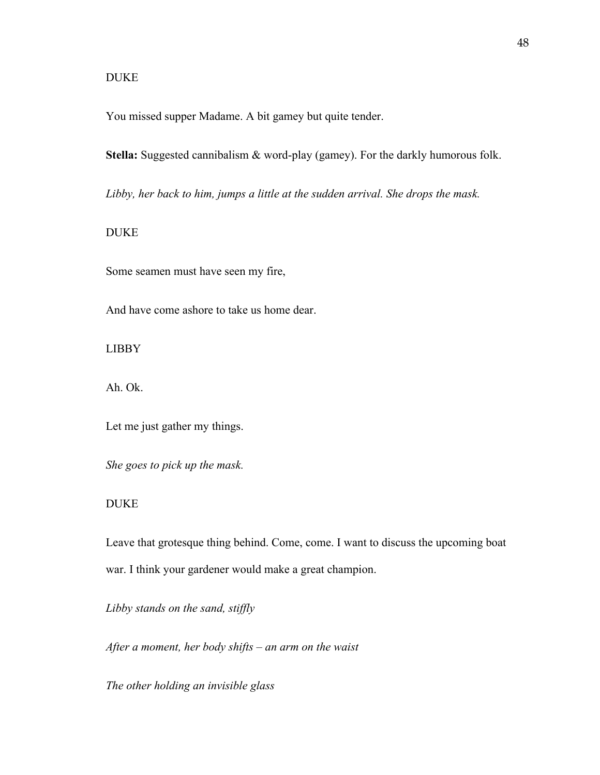# DUKE

You missed supper Madame. A bit gamey but quite tender.

**Stella:** Suggested cannibalism & word-play (gamey). For the darkly humorous folk.

*Libby, her back to him, jumps a little at the sudden arrival. She drops the mask.*

## DUKE

Some seamen must have seen my fire,

And have come ashore to take us home dear.

LIBBY

Ah. Ok.

Let me just gather my things.

*She goes to pick up the mask.* 

#### DUKE

Leave that grotesque thing behind. Come, come. I want to discuss the upcoming boat war. I think your gardener would make a great champion.

*Libby stands on the sand, stiffly*

*After a moment, her body shifts – an arm on the waist*

*The other holding an invisible glass*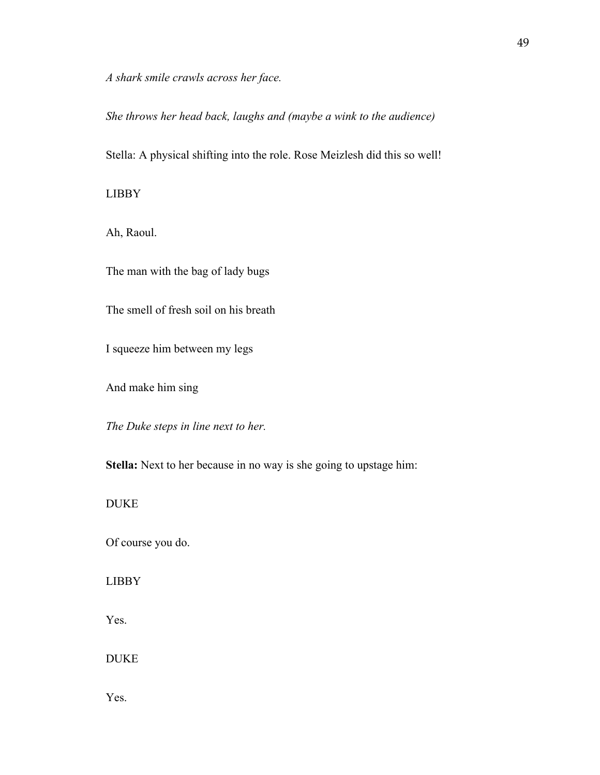*A shark smile crawls across her face.* 

*She throws her head back, laughs and (maybe a wink to the audience)*

Stella: A physical shifting into the role. Rose Meizlesh did this so well!

LIBBY

Ah, Raoul.

The man with the bag of lady bugs

The smell of fresh soil on his breath

I squeeze him between my legs

And make him sing

*The Duke steps in line next to her.* 

**Stella:** Next to her because in no way is she going to upstage him:

DUKE

Of course you do.

LIBBY

Yes.

DUKE

Yes.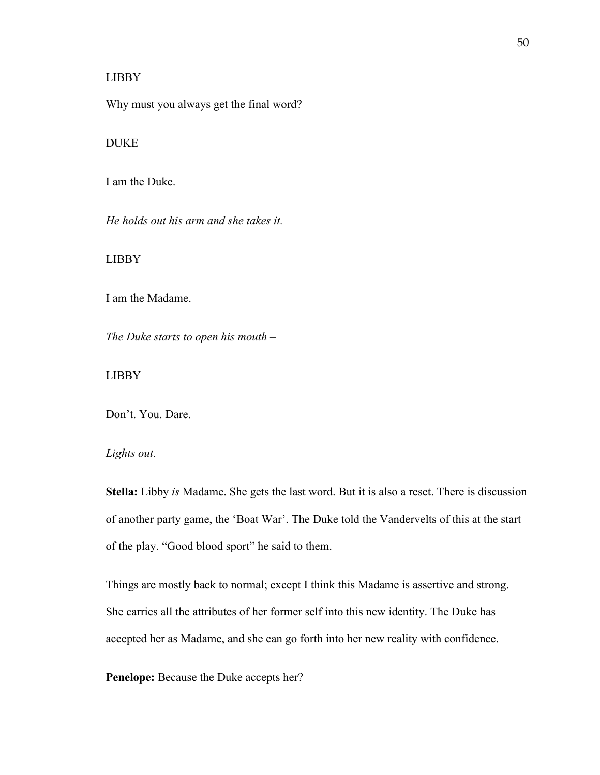#### LIBBY

Why must you always get the final word?

#### DUKE

I am the Duke.

*He holds out his arm and she takes it.* 

LIBBY

I am the Madame.

*The Duke starts to open his mouth –*

LIBBY

Don't. You. Dare.

# *Lights out.*

**Stella:** Libby *is* Madame. She gets the last word. But it is also a reset. There is discussion of another party game, the 'Boat War'. The Duke told the Vandervelts of this at the start of the play. "Good blood sport" he said to them.

Things are mostly back to normal; except I think this Madame is assertive and strong. She carries all the attributes of her former self into this new identity. The Duke has accepted her as Madame, and she can go forth into her new reality with confidence.

**Penelope:** Because the Duke accepts her?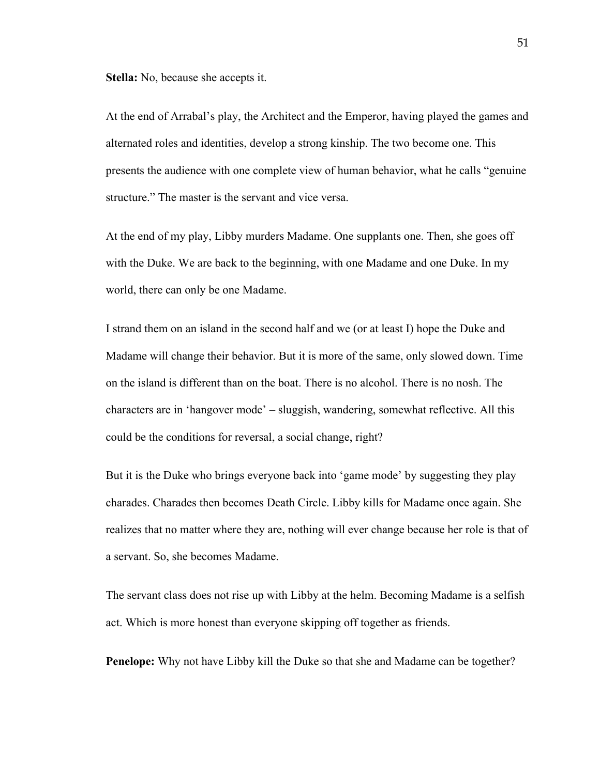**Stella:** No, because she accepts it.

At the end of Arrabal's play, the Architect and the Emperor, having played the games and alternated roles and identities, develop a strong kinship. The two become one. This presents the audience with one complete view of human behavior, what he calls "genuine structure." The master is the servant and vice versa.

At the end of my play, Libby murders Madame. One supplants one. Then, she goes off with the Duke. We are back to the beginning, with one Madame and one Duke. In my world, there can only be one Madame.

I strand them on an island in the second half and we (or at least I) hope the Duke and Madame will change their behavior. But it is more of the same, only slowed down. Time on the island is different than on the boat. There is no alcohol. There is no nosh. The characters are in 'hangover mode' – sluggish, wandering, somewhat reflective. All this could be the conditions for reversal, a social change, right?

But it is the Duke who brings everyone back into 'game mode' by suggesting they play charades. Charades then becomes Death Circle. Libby kills for Madame once again. She realizes that no matter where they are, nothing will ever change because her role is that of a servant. So, she becomes Madame.

The servant class does not rise up with Libby at the helm. Becoming Madame is a selfish act. Which is more honest than everyone skipping off together as friends.

**Penelope:** Why not have Libby kill the Duke so that she and Madame can be together?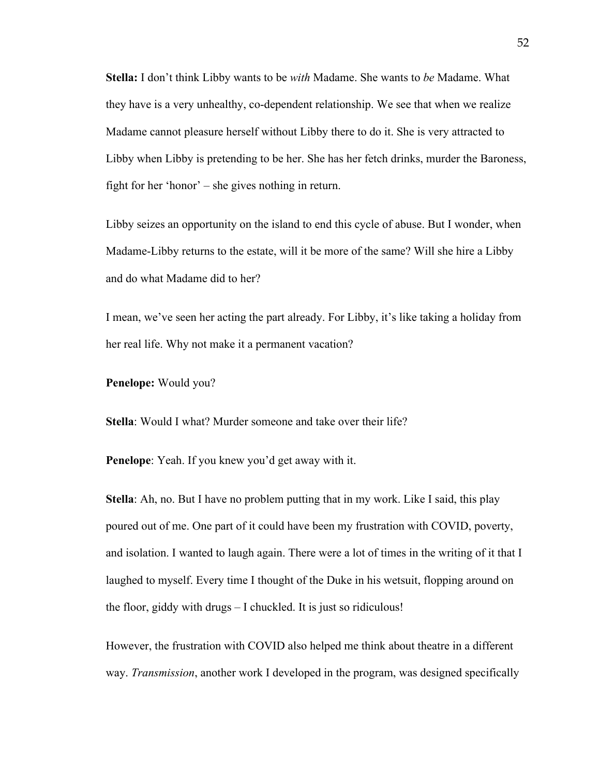**Stella:** I don't think Libby wants to be *with* Madame. She wants to *be* Madame. What they have is a very unhealthy, co-dependent relationship. We see that when we realize Madame cannot pleasure herself without Libby there to do it. She is very attracted to Libby when Libby is pretending to be her. She has her fetch drinks, murder the Baroness, fight for her 'honor' – she gives nothing in return.

Libby seizes an opportunity on the island to end this cycle of abuse. But I wonder, when Madame-Libby returns to the estate, will it be more of the same? Will she hire a Libby and do what Madame did to her?

I mean, we've seen her acting the part already. For Libby, it's like taking a holiday from her real life. Why not make it a permanent vacation?

#### **Penelope:** Would you?

**Stella**: Would I what? Murder someone and take over their life?

**Penelope**: Yeah. If you knew you'd get away with it.

**Stella**: Ah, no. But I have no problem putting that in my work. Like I said, this play poured out of me. One part of it could have been my frustration with COVID, poverty, and isolation. I wanted to laugh again. There were a lot of times in the writing of it that I laughed to myself. Every time I thought of the Duke in his wetsuit, flopping around on the floor, giddy with drugs – I chuckled. It is just so ridiculous!

However, the frustration with COVID also helped me think about theatre in a different way. *Transmission*, another work I developed in the program, was designed specifically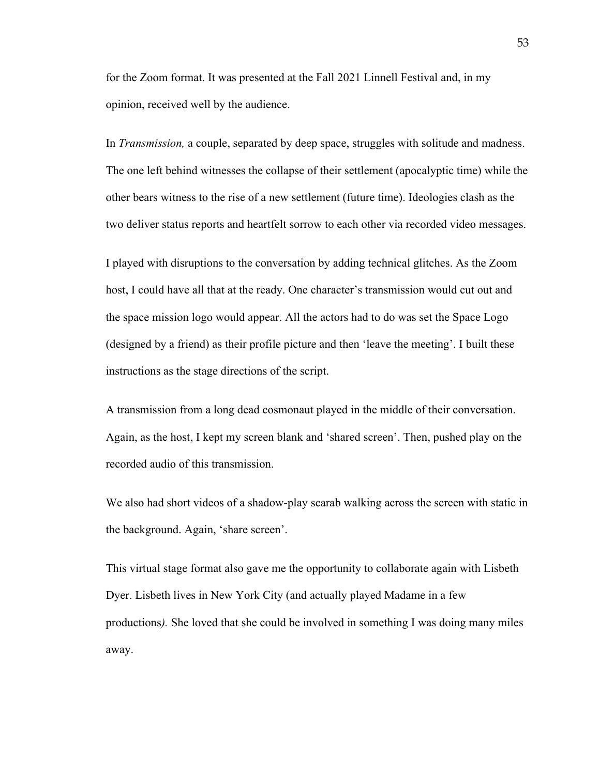for the Zoom format. It was presented at the Fall 2021 Linnell Festival and, in my opinion, received well by the audience.

In *Transmission,* a couple, separated by deep space, struggles with solitude and madness. The one left behind witnesses the collapse of their settlement (apocalyptic time) while the other bears witness to the rise of a new settlement (future time). Ideologies clash as the two deliver status reports and heartfelt sorrow to each other via recorded video messages.

I played with disruptions to the conversation by adding technical glitches. As the Zoom host, I could have all that at the ready. One character's transmission would cut out and the space mission logo would appear. All the actors had to do was set the Space Logo (designed by a friend) as their profile picture and then 'leave the meeting'. I built these instructions as the stage directions of the script.

A transmission from a long dead cosmonaut played in the middle of their conversation. Again, as the host, I kept my screen blank and 'shared screen'. Then, pushed play on the recorded audio of this transmission.

We also had short videos of a shadow-play scarab walking across the screen with static in the background. Again, 'share screen'.

This virtual stage format also gave me the opportunity to collaborate again with Lisbeth Dyer. Lisbeth lives in New York City (and actually played Madame in a few productions*).* She loved that she could be involved in something I was doing many miles away.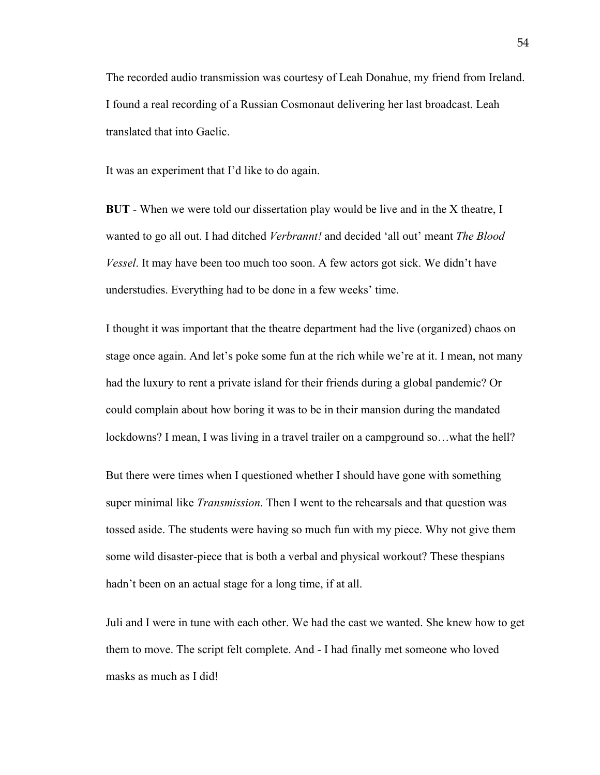The recorded audio transmission was courtesy of Leah Donahue, my friend from Ireland. I found a real recording of a Russian Cosmonaut delivering her last broadcast. Leah translated that into Gaelic.

It was an experiment that I'd like to do again.

**BUT** - When we were told our dissertation play would be live and in the X theatre, I wanted to go all out. I had ditched *Verbrannt!* and decided 'all out' meant *The Blood Vessel*. It may have been too much too soon. A few actors got sick. We didn't have understudies. Everything had to be done in a few weeks' time.

I thought it was important that the theatre department had the live (organized) chaos on stage once again. And let's poke some fun at the rich while we're at it. I mean, not many had the luxury to rent a private island for their friends during a global pandemic? Or could complain about how boring it was to be in their mansion during the mandated lockdowns? I mean, I was living in a travel trailer on a campground so...what the hell?

But there were times when I questioned whether I should have gone with something super minimal like *Transmission*. Then I went to the rehearsals and that question was tossed aside. The students were having so much fun with my piece. Why not give them some wild disaster-piece that is both a verbal and physical workout? These thespians hadn't been on an actual stage for a long time, if at all.

Juli and I were in tune with each other. We had the cast we wanted. She knew how to get them to move. The script felt complete. And - I had finally met someone who loved masks as much as I did!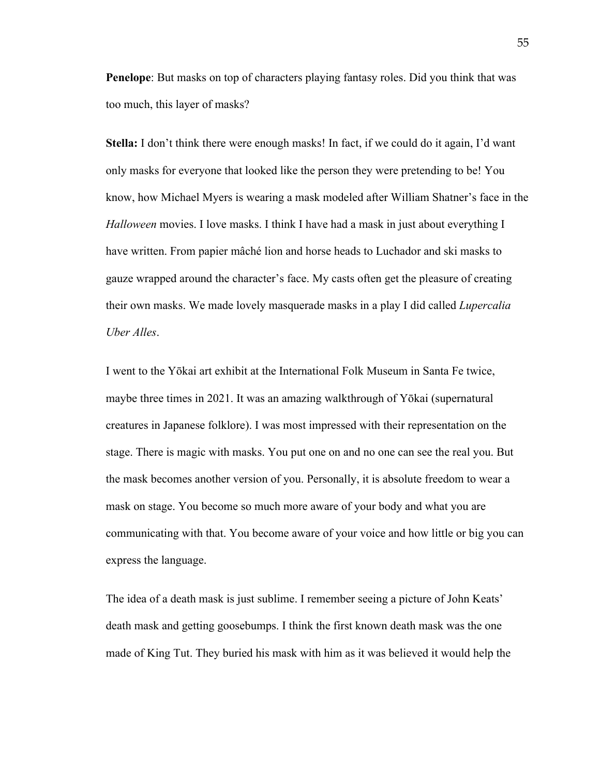**Penelope**: But masks on top of characters playing fantasy roles. Did you think that was too much, this layer of masks?

**Stella:** I don't think there were enough masks! In fact, if we could do it again, I'd want only masks for everyone that looked like the person they were pretending to be! You know, how Michael Myers is wearing a mask modeled after William Shatner's face in the *Halloween* movies. I love masks. I think I have had a mask in just about everything I have written. From papier mâché lion and horse heads to Luchador and ski masks to gauze wrapped around the character's face. My casts often get the pleasure of creating their own masks. We made lovely masquerade masks in a play I did called *Lupercalia Uber Alles*.

I went to the Yōkai art exhibit at the International Folk Museum in Santa Fe twice, maybe three times in 2021. It was an amazing walkthrough of Yōkai (supernatural creatures in Japanese folklore). I was most impressed with their representation on the stage. There is magic with masks. You put one on and no one can see the real you. But the mask becomes another version of you. Personally, it is absolute freedom to wear a mask on stage. You become so much more aware of your body and what you are communicating with that. You become aware of your voice and how little or big you can express the language.

The idea of a death mask is just sublime. I remember seeing a picture of John Keats' death mask and getting goosebumps. I think the first known death mask was the one made of King Tut. They buried his mask with him as it was believed it would help the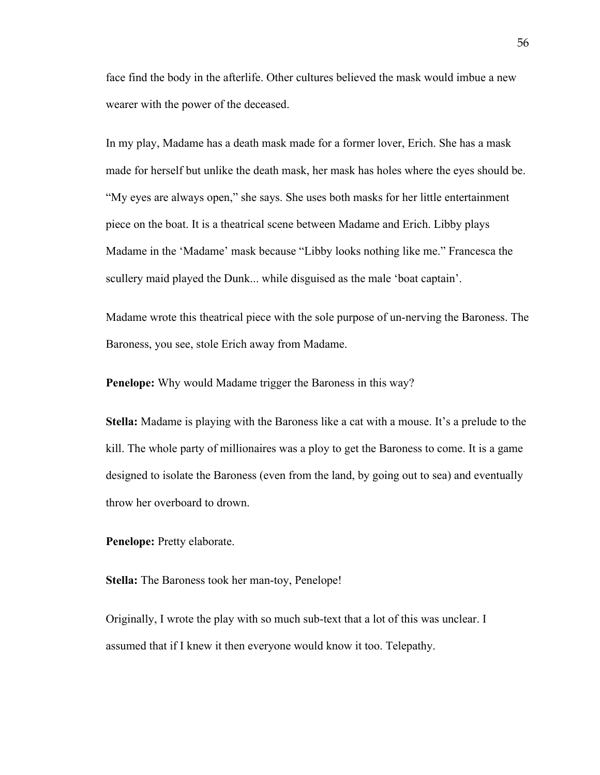face find the body in the afterlife. Other cultures believed the mask would imbue a new wearer with the power of the deceased.

In my play, Madame has a death mask made for a former lover, Erich. She has a mask made for herself but unlike the death mask, her mask has holes where the eyes should be. "My eyes are always open," she says. She uses both masks for her little entertainment piece on the boat. It is a theatrical scene between Madame and Erich. Libby plays Madame in the 'Madame' mask because "Libby looks nothing like me." Francesca the scullery maid played the Dunk... while disguised as the male 'boat captain'.

Madame wrote this theatrical piece with the sole purpose of un-nerving the Baroness. The Baroness, you see, stole Erich away from Madame.

**Penelope:** Why would Madame trigger the Baroness in this way?

**Stella:** Madame is playing with the Baroness like a cat with a mouse. It's a prelude to the kill. The whole party of millionaires was a ploy to get the Baroness to come. It is a game designed to isolate the Baroness (even from the land, by going out to sea) and eventually throw her overboard to drown.

**Penelope:** Pretty elaborate.

**Stella:** The Baroness took her man-toy, Penelope!

Originally, I wrote the play with so much sub-text that a lot of this was unclear. I assumed that if I knew it then everyone would know it too. Telepathy.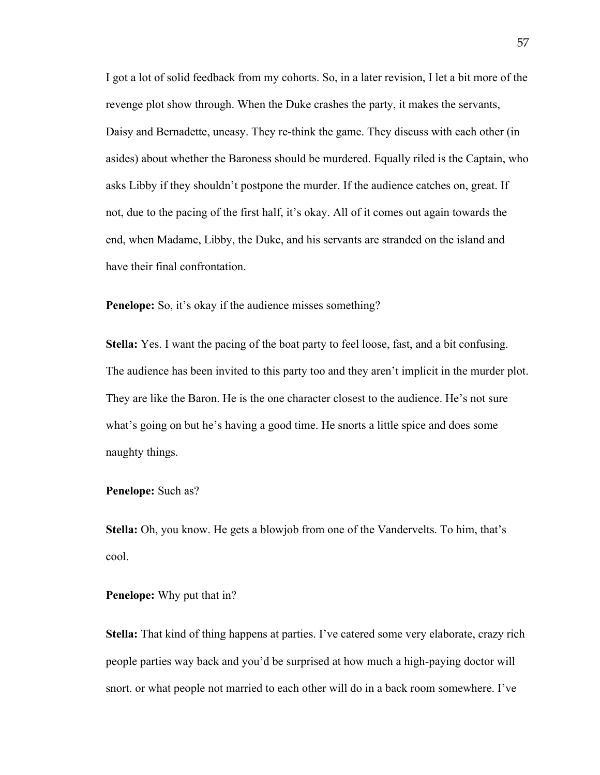I got a lot of solid feedback from my cohorts. So, in a later revision, I let a bit more of the revenge plot show through. When the Duke crashes the party, it makes the servants, Daisy and Bernadette, uneasy. They re-think the game. They discuss with each other (in asides) about whether the Baroness should be murdered. Equally riled is the Captain, who asks Libby if they shouldn't postpone the murder. If the audience catches on, great. If not, due to the pacing of the first half, it's okay. All of it comes out again towards the end, when Madame, Libby, the Duke, and his servants are stranded on the island and have their final confrontation.

**Penelope:** So, it's okay if the audience misses something?

**Stella:** Yes. I want the pacing of the boat party to feel loose, fast, and a bit confusing. The audience has been invited to this party too and they aren't implicit in the murder plot. They are like the Baron. He is the one character closest to the audience. He's not sure what's going on but he's having a good time. He snorts a little spice and does some naughty things.

#### **Penelope:** Such as?

**Stella:** Oh, you know. He gets a blowjob from one of the Vandervelts. To him, that's cool.

**Penelope:** Why put that in?

**Stella:** That kind of thing happens at parties. I've catered some very elaborate, crazy rich people parties way back and you'd be surprised at how much a high-paying doctor will snort. or what people not married to each other will do in a back room somewhere. I've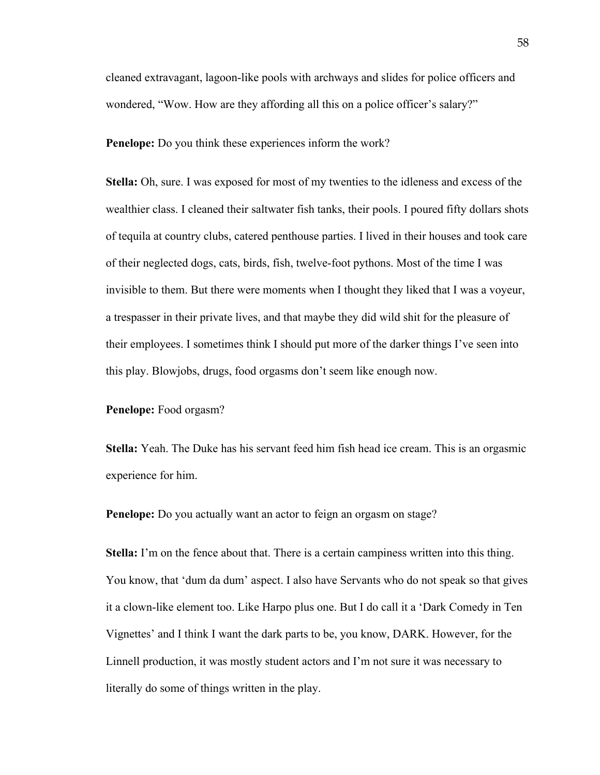cleaned extravagant, lagoon-like pools with archways and slides for police officers and wondered, "Wow. How are they affording all this on a police officer's salary?"

**Penelope:** Do you think these experiences inform the work?

**Stella:** Oh, sure. I was exposed for most of my twenties to the idleness and excess of the wealthier class. I cleaned their saltwater fish tanks, their pools. I poured fifty dollars shots of tequila at country clubs, catered penthouse parties. I lived in their houses and took care of their neglected dogs, cats, birds, fish, twelve-foot pythons. Most of the time I was invisible to them. But there were moments when I thought they liked that I was a voyeur, a trespasser in their private lives, and that maybe they did wild shit for the pleasure of their employees. I sometimes think I should put more of the darker things I've seen into this play. Blowjobs, drugs, food orgasms don't seem like enough now.

#### **Penelope:** Food orgasm?

**Stella:** Yeah. The Duke has his servant feed him fish head ice cream. This is an orgasmic experience for him.

**Penelope:** Do you actually want an actor to feign an orgasm on stage?

**Stella:** I'm on the fence about that. There is a certain campiness written into this thing. You know, that 'dum da dum' aspect. I also have Servants who do not speak so that gives it a clown-like element too. Like Harpo plus one. But I do call it a 'Dark Comedy in Ten Vignettes' and I think I want the dark parts to be, you know, DARK. However, for the Linnell production, it was mostly student actors and I'm not sure it was necessary to literally do some of things written in the play.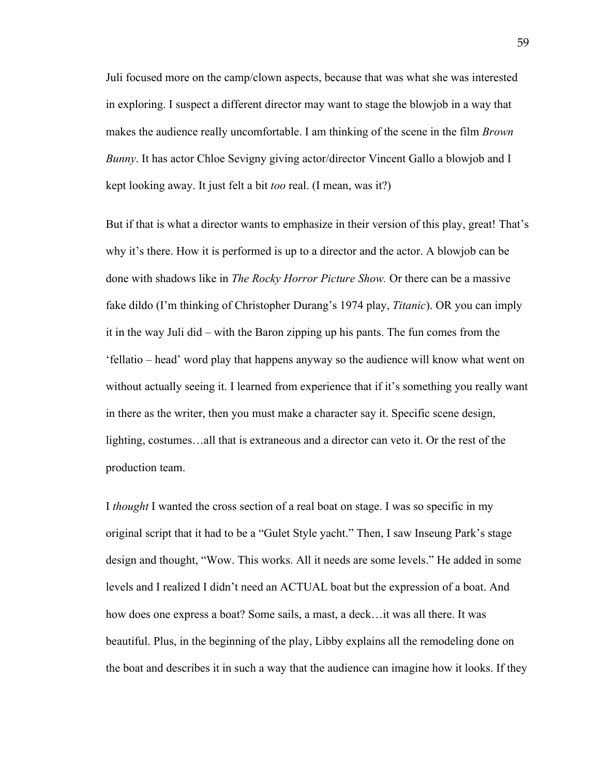Juli focused more on the camp/clown aspects, because that was what she was interested in exploring. I suspect a different director may want to stage the blowjob in a way that makes the audience really uncomfortable. I am thinking of the scene in the film *Brown Bunny*. It has actor Chloe Sevigny giving actor/director Vincent Gallo a blowjob and I kept looking away. It just felt a bit *too* real. (I mean, was it?)

But if that is what a director wants to emphasize in their version of this play, great! That's why it's there. How it is performed is up to a director and the actor. A blowjob can be done with shadows like in *The Rocky Horror Picture Show.* Or there can be a massive fake dildo (I'm thinking of Christopher Durang's 1974 play, *Titanic*). OR you can imply it in the way Juli did – with the Baron zipping up his pants. The fun comes from the 'fellatio – head' word play that happens anyway so the audience will know what went on without actually seeing it. I learned from experience that if it's something you really want in there as the writer, then you must make a character say it. Specific scene design, lighting, costumes…all that is extraneous and a director can veto it. Or the rest of the production team.

I *thought* I wanted the cross section of a real boat on stage. I was so specific in my original script that it had to be a "Gulet Style yacht." Then, I saw Inseung Park's stage design and thought, "Wow. This works. All it needs are some levels." He added in some levels and I realized I didn't need an ACTUAL boat but the expression of a boat. And how does one express a boat? Some sails, a mast, a deck…it was all there. It was beautiful. Plus, in the beginning of the play, Libby explains all the remodeling done on the boat and describes it in such a way that the audience can imagine how it looks. If they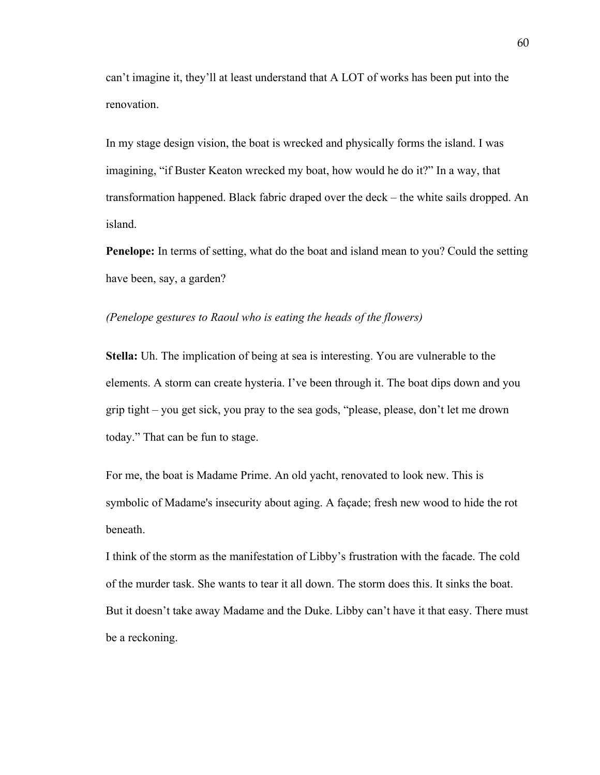can't imagine it, they'll at least understand that A LOT of works has been put into the renovation.

In my stage design vision, the boat is wrecked and physically forms the island. I was imagining, "if Buster Keaton wrecked my boat, how would he do it?" In a way, that transformation happened. Black fabric draped over the deck – the white sails dropped. An island.

**Penelope:** In terms of setting, what do the boat and island mean to you? Could the setting have been, say, a garden?

#### *(Penelope gestures to Raoul who is eating the heads of the flowers)*

**Stella:** Uh. The implication of being at sea is interesting. You are vulnerable to the elements. A storm can create hysteria. I've been through it. The boat dips down and you grip tight – you get sick, you pray to the sea gods, "please, please, don't let me drown today." That can be fun to stage.

For me, the boat is Madame Prime. An old yacht, renovated to look new. This is symbolic of Madame's insecurity about aging. A façade; fresh new wood to hide the rot beneath.

I think of the storm as the manifestation of Libby's frustration with the facade. The cold of the murder task. She wants to tear it all down. The storm does this. It sinks the boat. But it doesn't take away Madame and the Duke. Libby can't have it that easy. There must be a reckoning.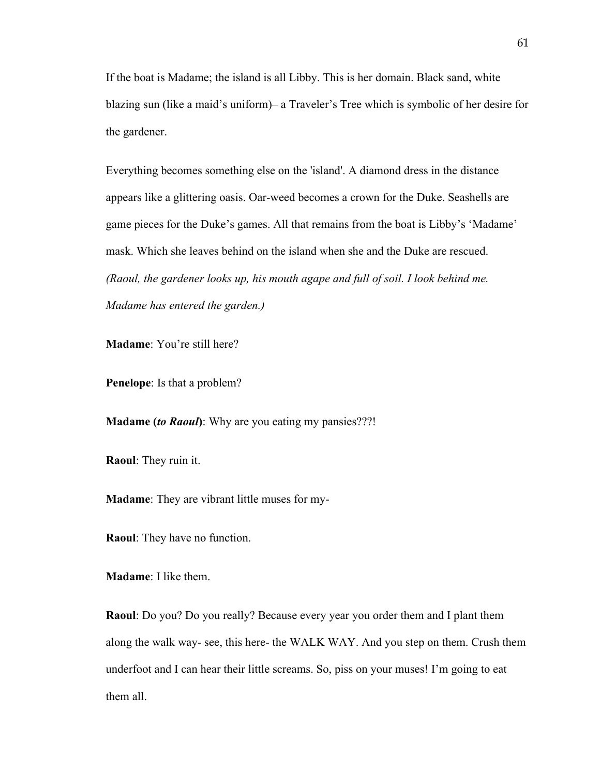If the boat is Madame; the island is all Libby. This is her domain. Black sand, white blazing sun (like a maid's uniform)– a Traveler's Tree which is symbolic of her desire for the gardener.

Everything becomes something else on the 'island'. A diamond dress in the distance appears like a glittering oasis. Oar-weed becomes a crown for the Duke. Seashells are game pieces for the Duke's games. All that remains from the boat is Libby's 'Madame' mask. Which she leaves behind on the island when she and the Duke are rescued. *(Raoul, the gardener looks up, his mouth agape and full of soil. I look behind me. Madame has entered the garden.)*

**Madame**: You're still here?

**Penelope**: Is that a problem?

**Madame (***to Raoul***)**: Why are you eating my pansies???!

**Raoul**: They ruin it.

**Madame**: They are vibrant little muses for my-

**Raoul**: They have no function.

**Madame**: I like them.

**Raoul**: Do you? Do you really? Because every year you order them and I plant them along the walk way- see, this here- the WALK WAY. And you step on them. Crush them underfoot and I can hear their little screams. So, piss on your muses! I'm going to eat them all.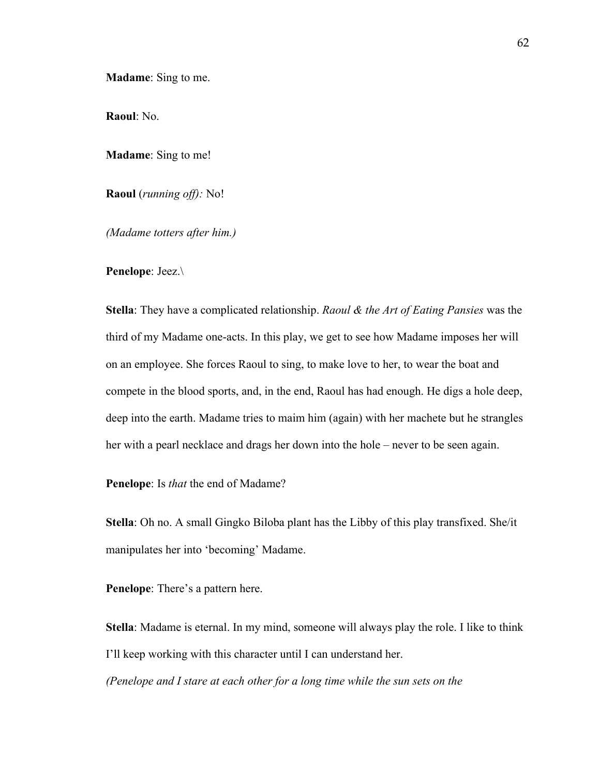**Madame**: Sing to me.

**Raoul**: No.

**Madame**: Sing to me!

**Raoul** (*running off):* No!

*(Madame totters after him.)*

**Penelope**: Jeez.\

**Stella**: They have a complicated relationship. *Raoul & the Art of Eating Pansies* was the third of my Madame one-acts. In this play, we get to see how Madame imposes her will on an employee. She forces Raoul to sing, to make love to her, to wear the boat and compete in the blood sports, and, in the end, Raoul has had enough. He digs a hole deep, deep into the earth. Madame tries to maim him (again) with her machete but he strangles her with a pearl necklace and drags her down into the hole – never to be seen again.

**Penelope**: Is *that* the end of Madame?

**Stella**: Oh no. A small Gingko Biloba plant has the Libby of this play transfixed. She/it manipulates her into 'becoming' Madame.

**Penelope**: There's a pattern here.

**Stella**: Madame is eternal. In my mind, someone will always play the role. I like to think I'll keep working with this character until I can understand her.

*(Penelope and I stare at each other for a long time while the sun sets on the*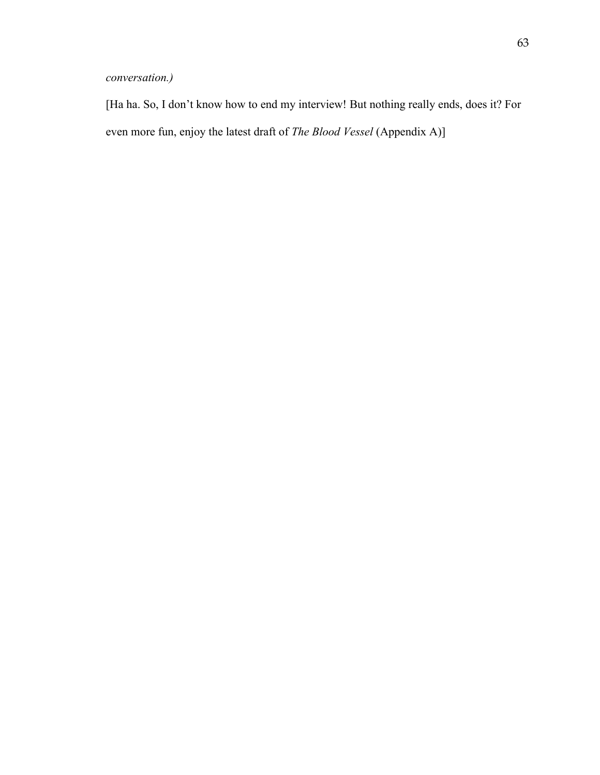# *conversation.)*

[Ha ha. So, I don't know how to end my interview! But nothing really ends, does it? For even more fun, enjoy the latest draft of *The Blood Vessel* (Appendix A)]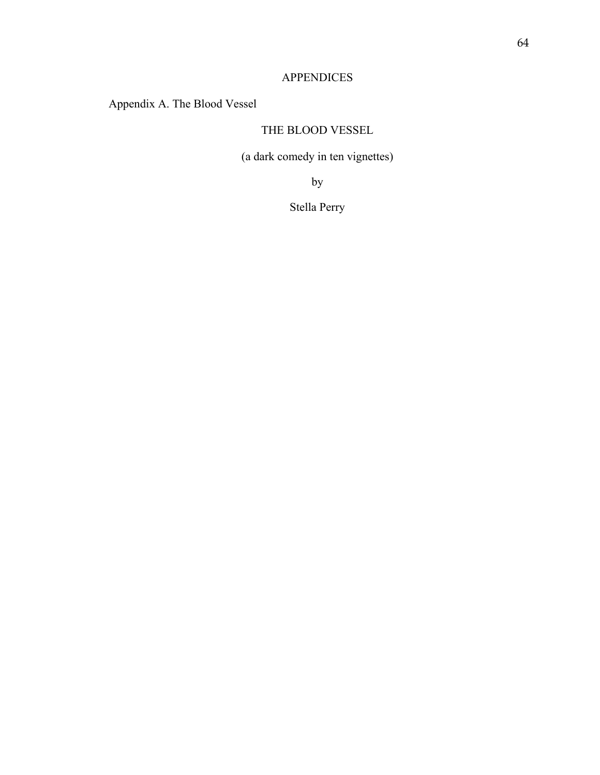# APPENDICES

# Appendix A. The Blood Vessel

# THE BLOOD VESSEL

(a dark comedy in ten vignettes)

by

Stella Perry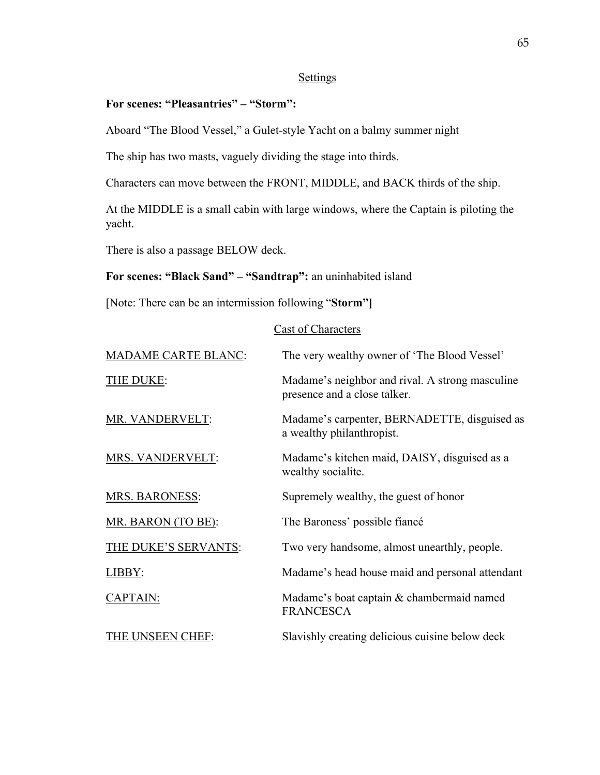# **Settings**

# **For scenes: "Pleasantries" – "Storm":**

Aboard "The Blood Vessel," a Gulet-style Yacht on a balmy summer night

The ship has two masts, vaguely dividing the stage into thirds.

Characters can move between the FRONT, MIDDLE, and BACK thirds of the ship.

At the MIDDLE is a small cabin with large windows, where the Captain is piloting the yacht.

There is also a passage BELOW deck.

# **For scenes: "Black Sand" – "Sandtrap":** an uninhabited island

[Note: There can be an intermission following "**Storm"]**

# Cast of Characters

| <b>MADAME CARTE BLANC:</b> | The very wealthy owner of 'The Blood Vessel'                                    |
|----------------------------|---------------------------------------------------------------------------------|
| THE DUKE:                  | Madame's neighbor and rival. A strong masculine<br>presence and a close talker. |
| MR. VANDERVELT:            | Madame's carpenter, BERNADETTE, disguised as<br>a wealthy philanthropist.       |
| MRS. VANDERVELT:           | Madame's kitchen maid, DAISY, disguised as a<br>wealthy socialite.              |
| <b>MRS. BARONESS:</b>      | Supremely wealthy, the guest of honor                                           |
| MR. BARON (TO BE):         | The Baroness' possible fiancé                                                   |
| THE DUKE'S SERVANTS:       | Two very handsome, almost unearthly, people.                                    |
| LIBBY:                     | Madame's head house maid and personal attendant                                 |
| CAPTAIN:                   | Madame's boat captain & chambermaid named<br><b>FRANCESCA</b>                   |
| THE UNSEEN CHEF:           | Slavishly creating delicious cuisine below deck                                 |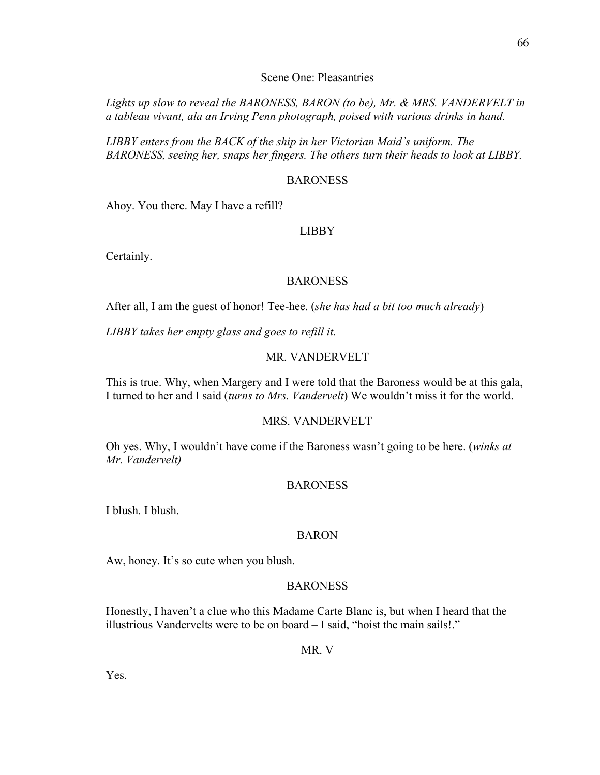#### Scene One: Pleasantries

*Lights up slow to reveal the BARONESS, BARON (to be), Mr. & MRS. VANDERVELT in a tableau vivant, ala an Irving Penn photograph, poised with various drinks in hand.* 

*LIBBY enters from the BACK of the ship in her Victorian Maid's uniform. The BARONESS, seeing her, snaps her fingers. The others turn their heads to look at LIBBY.*

#### BARONESS

Ahoy. You there. May I have a refill?

#### LIBBY

Certainly.

#### BARONESS

After all, I am the guest of honor! Tee-hee. (*she has had a bit too much already*)

*LIBBY takes her empty glass and goes to refill it.*

# MR. VANDERVELT

This is true. Why, when Margery and I were told that the Baroness would be at this gala, I turned to her and I said (*turns to Mrs. Vandervelt*) We wouldn't miss it for the world.

#### MRS. VANDERVELT

Oh yes. Why, I wouldn't have come if the Baroness wasn't going to be here. (*winks at Mr. Vandervelt)*

#### BARONESS

I blush. I blush.

#### BARON

Aw, honey. It's so cute when you blush.

#### BARONESS

Honestly, I haven't a clue who this Madame Carte Blanc is, but when I heard that the illustrious Vandervelts were to be on board – I said, "hoist the main sails!."

MR. V

Yes.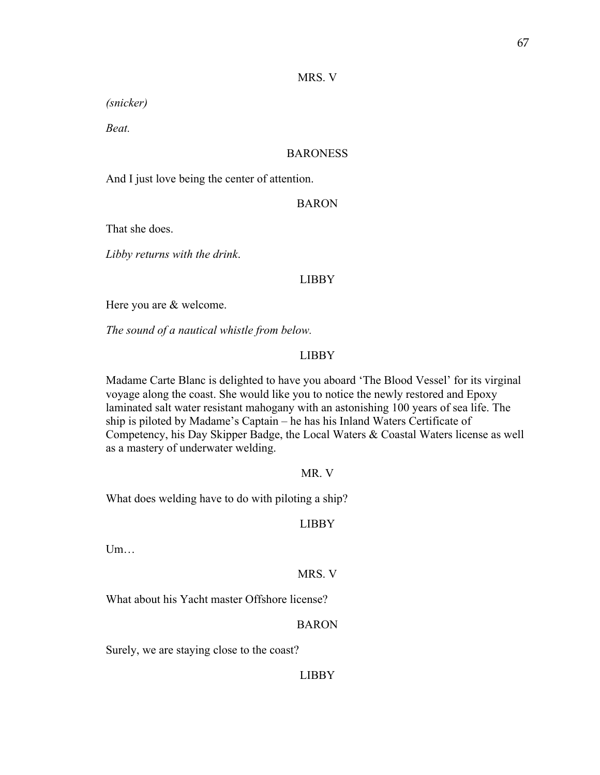#### MRS. V

*(snicker)* 

*Beat.*

#### **BARONESS**

And I just love being the center of attention.

#### BARON

That she does.

*Libby returns with the drink*.

#### LIBBY

Here you are & welcome.

*The sound of a nautical whistle from below.*

# LIBBY

Madame Carte Blanc is delighted to have you aboard 'The Blood Vessel' for its virginal voyage along the coast. She would like you to notice the newly restored and Epoxy laminated salt water resistant mahogany with an astonishing 100 years of sea life. The ship is piloted by Madame's Captain – he has his Inland Waters Certificate of Competency, his Day Skipper Badge, the Local Waters & Coastal Waters license as well as a mastery of underwater welding.

#### MR. V

What does welding have to do with piloting a ship?

# LIBBY

Um…

#### MRS. V

What about his Yacht master Offshore license?

# BARON

Surely, we are staying close to the coast?

#### **LIBBY**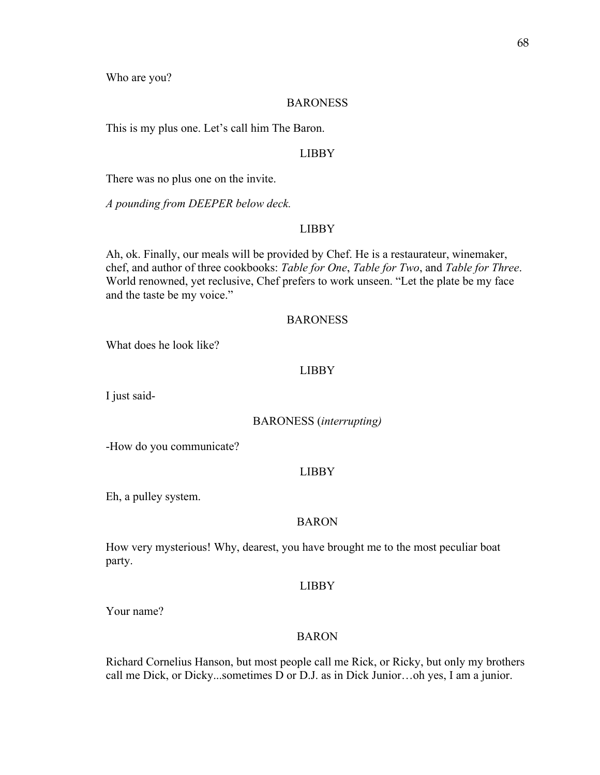Who are you?

#### BARONESS

This is my plus one. Let's call him The Baron.

#### LIBBY

There was no plus one on the invite.

*A pounding from DEEPER below deck.* 

## LIBBY

Ah, ok. Finally, our meals will be provided by Chef. He is a restaurateur, winemaker, chef, and author of three cookbooks: *Table for One*, *Table for Two*, and *Table for Three*. World renowned, yet reclusive, Chef prefers to work unseen. "Let the plate be my face and the taste be my voice."

### **BARONESS**

What does he look like?

### LIBBY

I just said-

#### BARONESS (*interrupting)*

-How do you communicate?

### LIBBY

Eh, a pulley system.

#### BARON

How very mysterious! Why, dearest, you have brought me to the most peculiar boat party.

#### LIBBY

Your name?

#### BARON

Richard Cornelius Hanson, but most people call me Rick, or Ricky, but only my brothers call me Dick, or Dicky...sometimes D or D.J. as in Dick Junior…oh yes, I am a junior.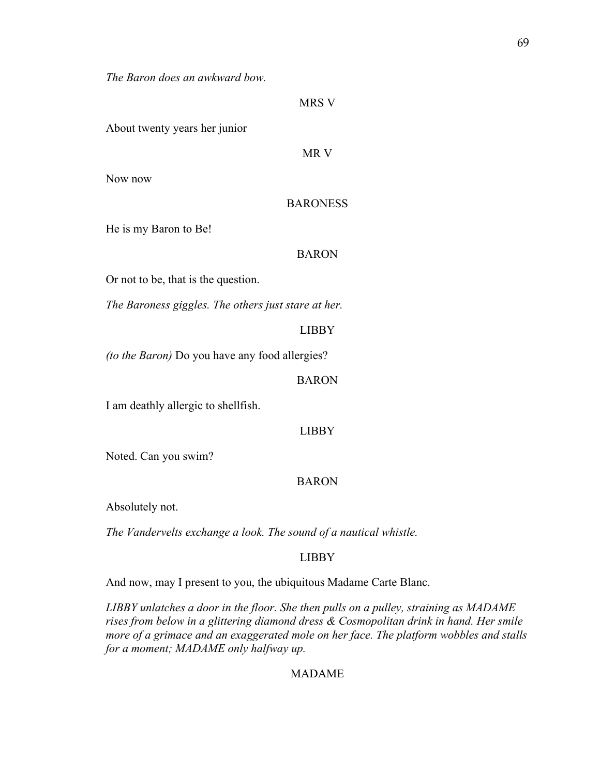*The Baron does an awkward bow.*

|                               | <b>MRS V</b>    |
|-------------------------------|-----------------|
| About twenty years her junior |                 |
|                               | MR V            |
| Now now                       |                 |
|                               | <b>BARONESS</b> |
| He is my Baron to Be!         |                 |
|                               | <b>BARON</b>    |

Or not to be, that is the question.

*The Baroness giggles. The others just stare at her.* 

LIBBY

*(to the Baron)* Do you have any food allergies?

### BARON

I am deathly allergic to shellfish.

LIBBY

Noted. Can you swim?

## BARON

Absolutely not.

*The Vandervelts exchange a look. The sound of a nautical whistle.* 

## LIBBY

And now, may I present to you, the ubiquitous Madame Carte Blanc.

*LIBBY unlatches a door in the floor. She then pulls on a pulley, straining as MADAME rises from below in a glittering diamond dress & Cosmopolitan drink in hand. Her smile more of a grimace and an exaggerated mole on her face. The platform wobbles and stalls for a moment; MADAME only halfway up.* 

# MADAME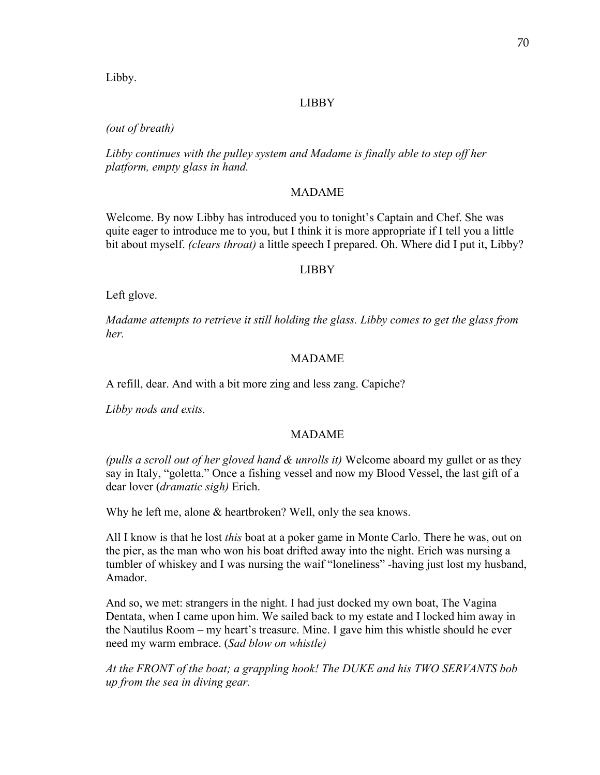Libby.

# LIBBY

# *(out of breath)*

*Libby continues with the pulley system and Madame is finally able to step off her platform, empty glass in hand.* 

## MADAME

Welcome. By now Libby has introduced you to tonight's Captain and Chef. She was quite eager to introduce me to you, but I think it is more appropriate if I tell you a little bit about myself. *(clears throat)* a little speech I prepared. Oh. Where did I put it, Libby?

# LIBBY

Left glove.

*Madame attempts to retrieve it still holding the glass. Libby comes to get the glass from her.* 

## MADAME

A refill, dear. And with a bit more zing and less zang. Capiche?

*Libby nods and exits.* 

## MADAME

*(pulls a scroll out of her gloved hand & unrolls it)* Welcome aboard my gullet or as they say in Italy, "goletta." Once a fishing vessel and now my Blood Vessel, the last gift of a dear lover (*dramatic sigh)* Erich.

Why he left me, alone & heartbroken? Well, only the sea knows.

All I know is that he lost *this* boat at a poker game in Monte Carlo. There he was, out on the pier, as the man who won his boat drifted away into the night. Erich was nursing a tumbler of whiskey and I was nursing the waif "loneliness" -having just lost my husband, Amador.

And so, we met: strangers in the night. I had just docked my own boat, The Vagina Dentata, when I came upon him. We sailed back to my estate and I locked him away in the Nautilus Room – my heart's treasure. Mine. I gave him this whistle should he ever need my warm embrace. (*Sad blow on whistle)*

*At the FRONT of the boat; a grappling hook! The DUKE and his TWO SERVANTS bob up from the sea in diving gear.*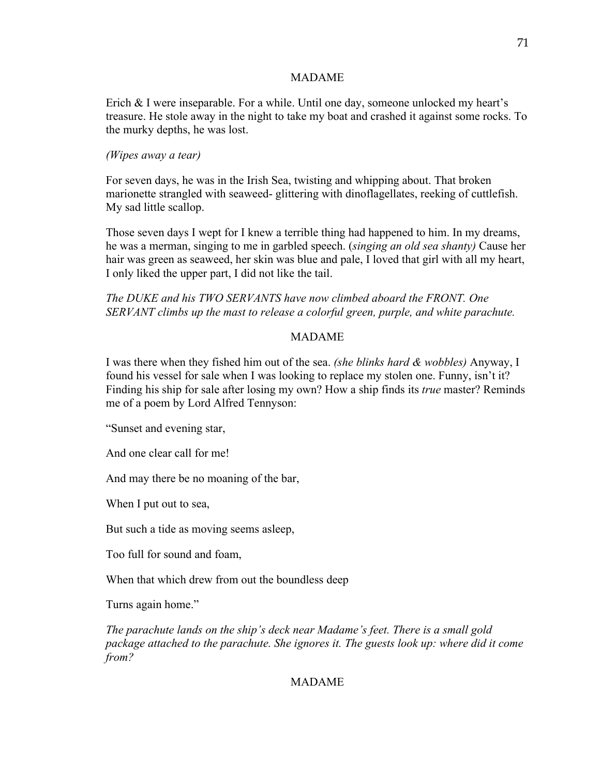## MADAME

Erich & I were inseparable. For a while. Until one day, someone unlocked my heart's treasure. He stole away in the night to take my boat and crashed it against some rocks. To the murky depths, he was lost.

## *(Wipes away a tear)*

For seven days, he was in the Irish Sea, twisting and whipping about. That broken marionette strangled with seaweed- glittering with dinoflagellates, reeking of cuttlefish. My sad little scallop.

Those seven days I wept for I knew a terrible thing had happened to him. In my dreams, he was a merman, singing to me in garbled speech. (*singing an old sea shanty)* Cause her hair was green as seaweed, her skin was blue and pale, I loved that girl with all my heart, I only liked the upper part, I did not like the tail.

*The DUKE and his TWO SERVANTS have now climbed aboard the FRONT. One SERVANT climbs up the mast to release a colorful green, purple, and white parachute.* 

## MADAME

I was there when they fished him out of the sea. *(she blinks hard & wobbles)* Anyway, I found his vessel for sale when I was looking to replace my stolen one. Funny, isn't it? Finding his ship for sale after losing my own? How a ship finds its *true* master? Reminds me of a poem by Lord Alfred Tennyson:

"Sunset and evening star,

And one clear call for me!

And may there be no moaning of the bar,

When I put out to sea,

But such a tide as moving seems asleep,

Too full for sound and foam,

When that which drew from out the boundless deep

Turns again home."

*The parachute lands on the ship's deck near Madame's feet. There is a small gold package attached to the parachute. She ignores it. The guests look up: where did it come from?*

# MADAME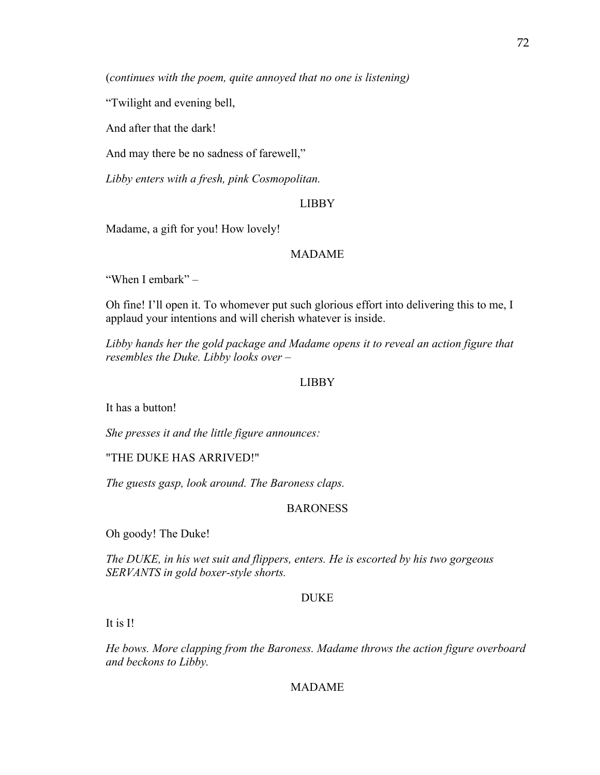(*continues with the poem, quite annoyed that no one is listening)*

"Twilight and evening bell,

And after that the dark!

And may there be no sadness of farewell,"

*Libby enters with a fresh, pink Cosmopolitan.* 

### LIBBY

Madame, a gift for you! How lovely!

# MADAME

"When I embark" –

Oh fine! I'll open it. To whomever put such glorious effort into delivering this to me, I applaud your intentions and will cherish whatever is inside.

*Libby hands her the gold package and Madame opens it to reveal an action figure that resembles the Duke. Libby looks over –*

## LIBBY

It has a button!

*She presses it and the little figure announces:*

"THE DUKE HAS ARRIVED!"

*The guests gasp, look around. The Baroness claps.*

### BARONESS

Oh goody! The Duke!

*The DUKE, in his wet suit and flippers, enters. He is escorted by his two gorgeous SERVANTS in gold boxer-style shorts.* 

#### DUKE

It is I!

*He bows. More clapping from the Baroness. Madame throws the action figure overboard and beckons to Libby.* 

## MADAME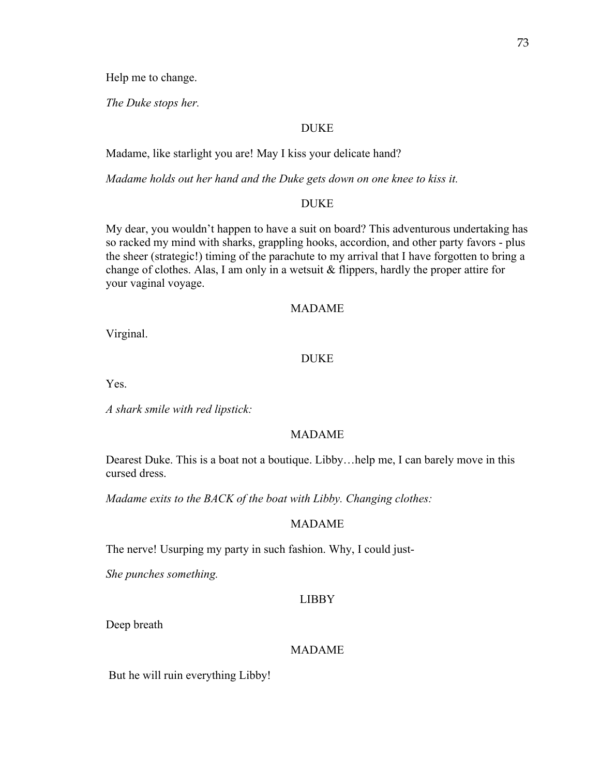Help me to change.

*The Duke stops her.* 

# DUKE

Madame, like starlight you are! May I kiss your delicate hand?

*Madame holds out her hand and the Duke gets down on one knee to kiss it.* 

## DUKE

My dear, you wouldn't happen to have a suit on board? This adventurous undertaking has so racked my mind with sharks, grappling hooks, accordion, and other party favors - plus the sheer (strategic!) timing of the parachute to my arrival that I have forgotten to bring a change of clothes. Alas, I am only in a wetsuit & flippers, hardly the proper attire for your vaginal voyage.

# MADAME

Virginal.

## DUKE

Yes.

*A shark smile with red lipstick:*

## MADAME

Dearest Duke. This is a boat not a boutique. Libby…help me, I can barely move in this cursed dress.

*Madame exits to the BACK of the boat with Libby. Changing clothes:*

# MADAME

The nerve! Usurping my party in such fashion. Why, I could just-

*She punches something.* 

## LIBBY

Deep breath

#### MADAME

But he will ruin everything Libby!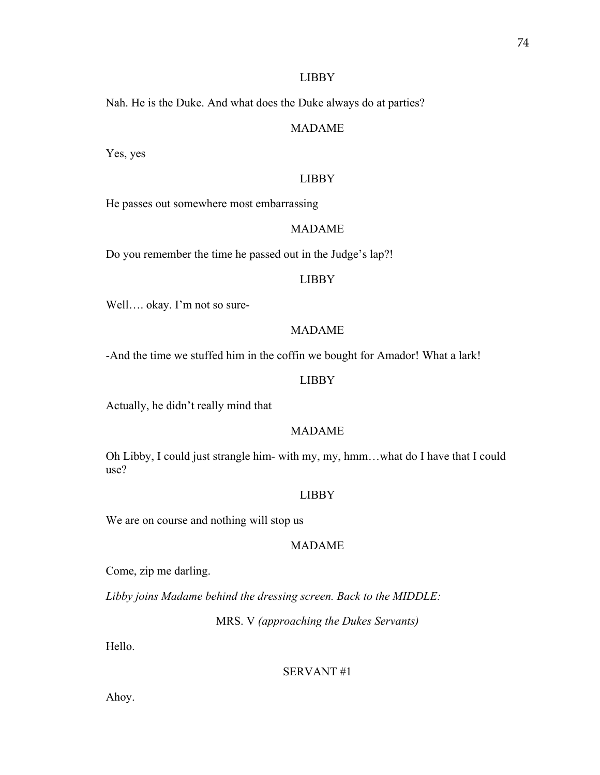#### LIBBY

Nah. He is the Duke. And what does the Duke always do at parties?

# MADAME

Yes, yes

# LIBBY

He passes out somewhere most embarrassing

# MADAME

Do you remember the time he passed out in the Judge's lap?!

#### LIBBY

Well…. okay. I'm not so sure-

# MADAME

-And the time we stuffed him in the coffin we bought for Amador! What a lark!

#### LIBBY

Actually, he didn't really mind that

# MADAME

Oh Libby, I could just strangle him- with my, my, hmm…what do I have that I could use?

## LIBBY

We are on course and nothing will stop us

# MADAME

Come, zip me darling.

*Libby joins Madame behind the dressing screen. Back to the MIDDLE:*

MRS. V *(approaching the Dukes Servants)*

Hello.

### SERVANT #1

Ahoy.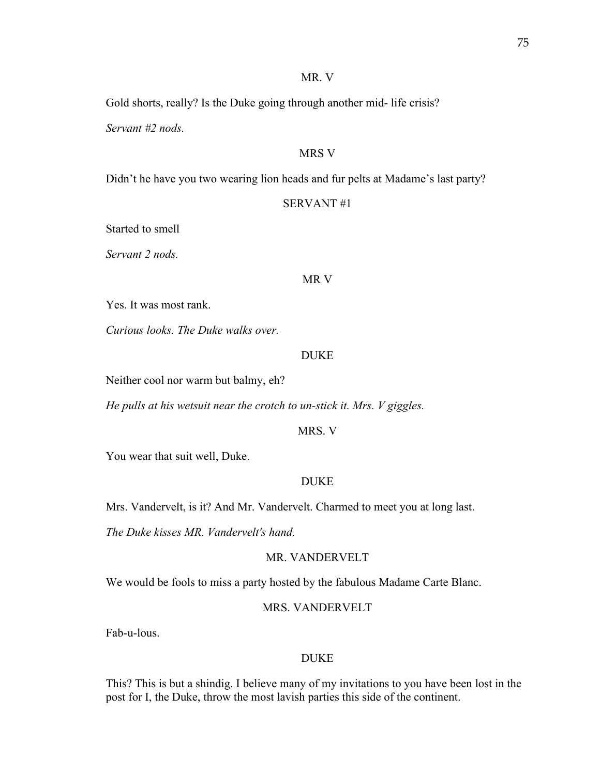### MR. V

Gold shorts, really? Is the Duke going through another mid- life crisis?

*Servant #2 nods.* 

# MRS V

Didn't he have you two wearing lion heads and fur pelts at Madame's last party?

### SERVANT #1

Started to smell

*Servant 2 nods.* 

#### MR V

Yes. It was most rank.

*Curious looks. The Duke walks over.* 

# DUKE

Neither cool nor warm but balmy, eh?

*He pulls at his wetsuit near the crotch to un-stick it. Mrs. V giggles.* 

### MRS. V

You wear that suit well, Duke.

## DUKE

Mrs. Vandervelt, is it? And Mr. Vandervelt. Charmed to meet you at long last.

*The Duke kisses MR. Vandervelt's hand.* 

# MR. VANDERVELT

We would be fools to miss a party hosted by the fabulous Madame Carte Blanc.

#### MRS. VANDERVELT

Fab-u-lous.

## DUKE

This? This is but a shindig. I believe many of my invitations to you have been lost in the post for I, the Duke, throw the most lavish parties this side of the continent.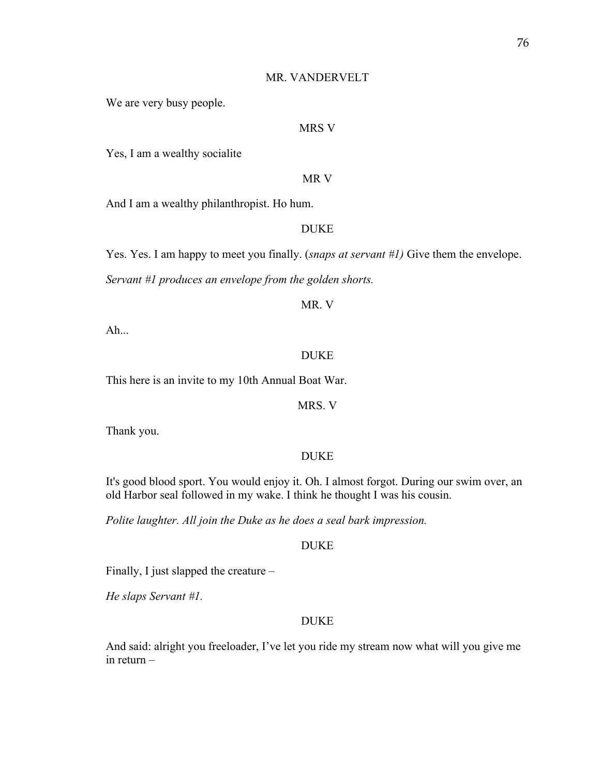#### MR. VANDERVELT

We are very busy people.

### MRS V

Yes, I am a wealthy socialite

MR V

And I am a wealthy philanthropist. Ho hum.

# DUKE

Yes. Yes. I am happy to meet you finally. (*snaps at servant #1)* Give them the envelope.

*Servant #1 produces an envelope from the golden shorts.* 

## MR. V

Ah...

# DUKE

This here is an invite to my 10th Annual Boat War.

MRS. V

Thank you.

## DUKE

It's good blood sport. You would enjoy it. Oh. I almost forgot. During our swim over, an old Harbor seal followed in my wake. I think he thought I was his cousin.

*Polite laughter. All join the Duke as he does a seal bark impression.* 

# DUKE

Finally, I just slapped the creature –

*He slaps Servant #1.* 

# DUKE

And said: alright you freeloader, I've let you ride my stream now what will you give me in return –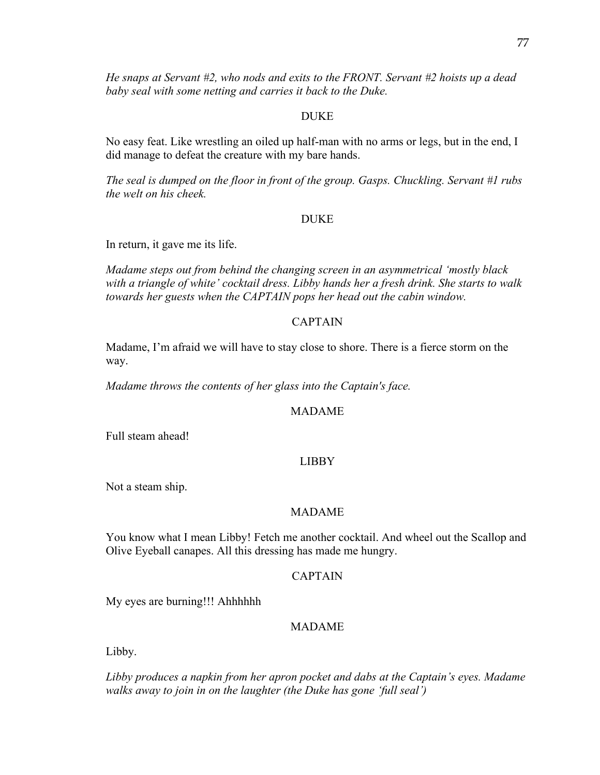*He snaps at Servant #2, who nods and exits to the FRONT. Servant #2 hoists up a dead baby seal with some netting and carries it back to the Duke.* 

# DUKE

No easy feat. Like wrestling an oiled up half-man with no arms or legs, but in the end, I did manage to defeat the creature with my bare hands.

*The seal is dumped on the floor in front of the group. Gasps. Chuckling. Servant #1 rubs the welt on his cheek.* 

# DUKE

In return, it gave me its life.

*Madame steps out from behind the changing screen in an asymmetrical 'mostly black with a triangle of white' cocktail dress. Libby hands her a fresh drink. She starts to walk towards her guests when the CAPTAIN pops her head out the cabin window.* 

# CAPTAIN

Madame, I'm afraid we will have to stay close to shore. There is a fierce storm on the way.

*Madame throws the contents of her glass into the Captain's face.* 

## MADAME

Full steam ahead!

# LIBBY

Not a steam ship.

## MADAME

You know what I mean Libby! Fetch me another cocktail. And wheel out the Scallop and Olive Eyeball canapes. All this dressing has made me hungry.

# CAPTAIN

My eyes are burning!!! Ahhhhhh

# MADAME

Libby.

*Libby produces a napkin from her apron pocket and dabs at the Captain's eyes. Madame walks away to join in on the laughter (the Duke has gone 'full seal')*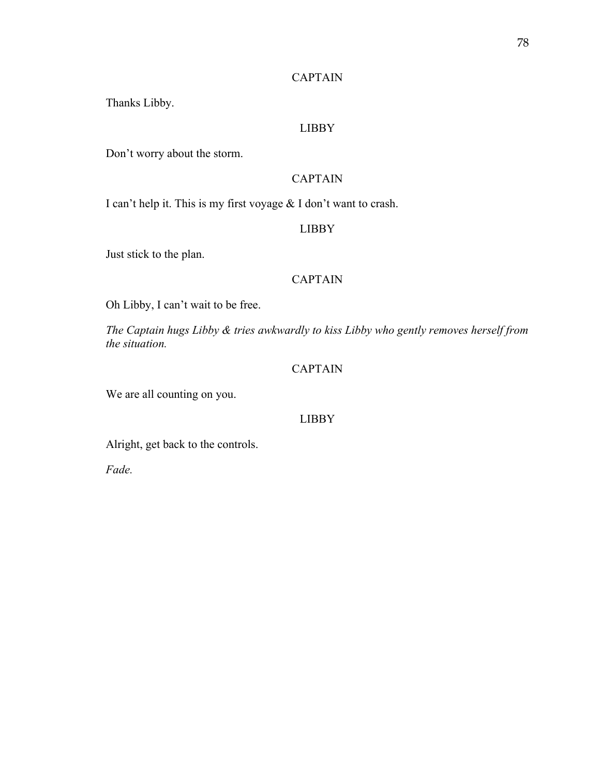# **CAPTAIN**

Thanks Libby.

# LIBBY

Don't worry about the storm.

# CAPTAIN

I can't help it. This is my first voyage & I don't want to crash.

# LIBBY

Just stick to the plan.

#### CAPTAIN

Oh Libby, I can't wait to be free.

*The Captain hugs Libby & tries awkwardly to kiss Libby who gently removes herself from the situation.* 

# CAPTAIN

We are all counting on you.

# LIBBY

Alright, get back to the controls.

*Fade.*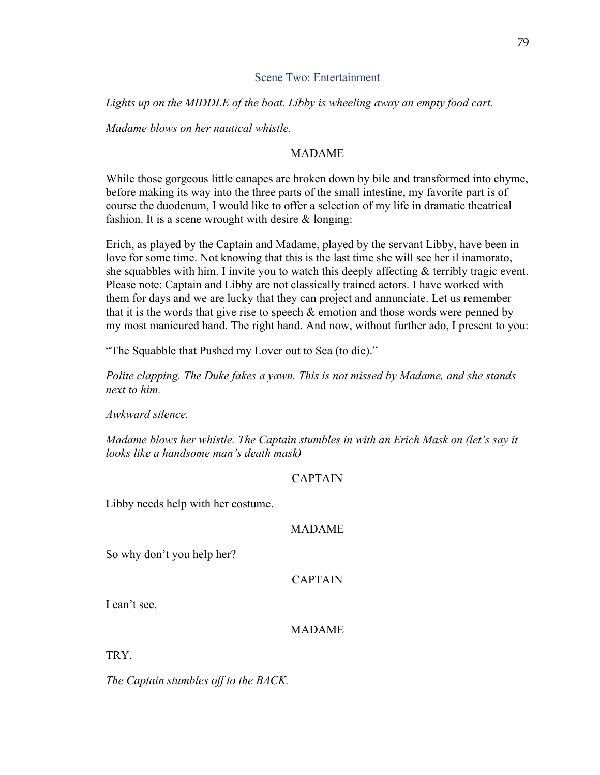## Scene Two: Entertainment

*Lights up on the MIDDLE of the boat. Libby is wheeling away an empty food cart.* 

*Madame blows on her nautical whistle.* 

# MADAME

While those gorgeous little canapes are broken down by bile and transformed into chyme, before making its way into the three parts of the small intestine, my favorite part is of course the duodenum, I would like to offer a selection of my life in dramatic theatrical fashion. It is a scene wrought with desire & longing:

Erich, as played by the Captain and Madame, played by the servant Libby, have been in love for some time. Not knowing that this is the last time she will see her il inamorato, she squabbles with him. I invite you to watch this deeply affecting & terribly tragic event. Please note: Captain and Libby are not classically trained actors. I have worked with them for days and we are lucky that they can project and annunciate. Let us remember that it is the words that give rise to speech  $\&$  emotion and those words were penned by my most manicured hand. The right hand. And now, without further ado, I present to you:

"The Squabble that Pushed my Lover out to Sea (to die)."

*Polite clapping. The Duke fakes a yawn. This is not missed by Madame, and she stands next to him.*

*Awkward silence.* 

*Madame blows her whistle. The Captain stumbles in with an Erich Mask on (let's say it looks like a handsome man's death mask)*

# CAPTAIN

Libby needs help with her costume.

## MADAME

So why don't you help her?

# CAPTAIN

I can't see.

# MADAME

TRY.

*The Captain stumbles off to the BACK.*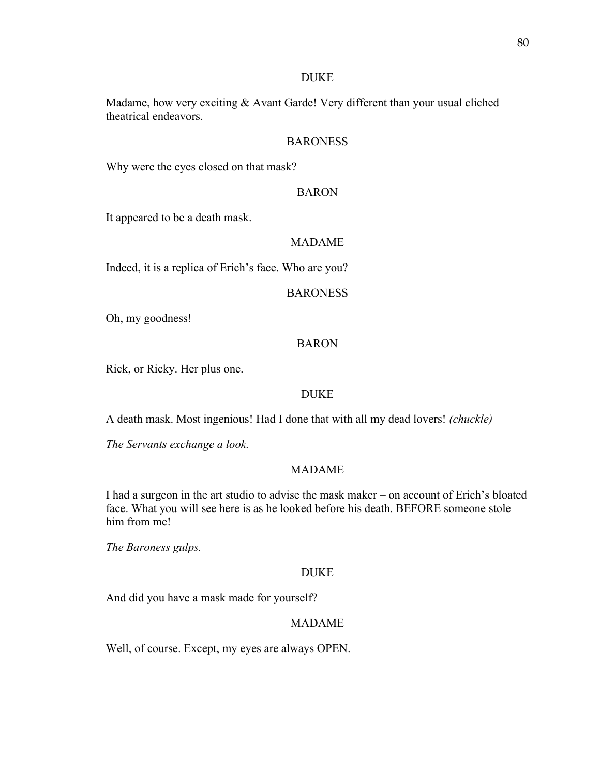#### DUKE

Madame, how very exciting & Avant Garde! Very different than your usual cliched theatrical endeavors.

## BARONESS

Why were the eyes closed on that mask?

#### BARON

It appeared to be a death mask.

### MADAME

Indeed, it is a replica of Erich's face. Who are you?

#### BARONESS

Oh, my goodness!

#### BARON

Rick, or Ricky. Her plus one.

# DUKE

A death mask. Most ingenious! Had I done that with all my dead lovers! *(chuckle)*

*The Servants exchange a look.*

# MADAME

I had a surgeon in the art studio to advise the mask maker – on account of Erich's bloated face. What you will see here is as he looked before his death. BEFORE someone stole him from me!

*The Baroness gulps.* 

#### DUKE

And did you have a mask made for yourself?

## MADAME

Well, of course. Except, my eyes are always OPEN.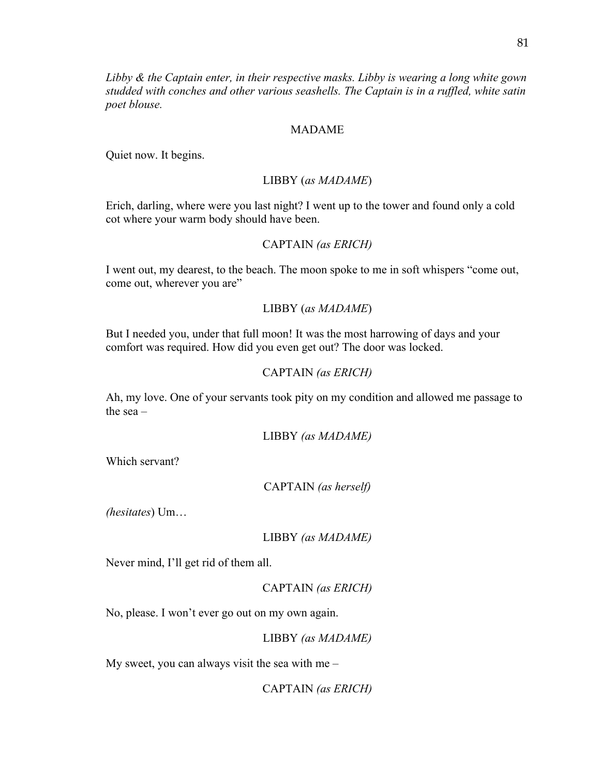*Libby & the Captain enter, in their respective masks. Libby is wearing a long white gown studded with conches and other various seashells. The Captain is in a ruffled, white satin poet blouse.* 

#### MADAME

Quiet now. It begins.

#### LIBBY (*as MADAME*)

Erich, darling, where were you last night? I went up to the tower and found only a cold cot where your warm body should have been.

#### CAPTAIN *(as ERICH)*

I went out, my dearest, to the beach. The moon spoke to me in soft whispers "come out, come out, wherever you are"

#### LIBBY (*as MADAME*)

But I needed you, under that full moon! It was the most harrowing of days and your comfort was required. How did you even get out? The door was locked.

### CAPTAIN *(as ERICH)*

Ah, my love. One of your servants took pity on my condition and allowed me passage to the sea –

LIBBY *(as MADAME)*

Which servant?

CAPTAIN *(as herself)*

*(hesitates*) Um…

#### LIBBY *(as MADAME)*

Never mind, I'll get rid of them all.

CAPTAIN *(as ERICH)*

No, please. I won't ever go out on my own again.

LIBBY *(as MADAME)*

My sweet, you can always visit the sea with me –

CAPTAIN *(as ERICH)*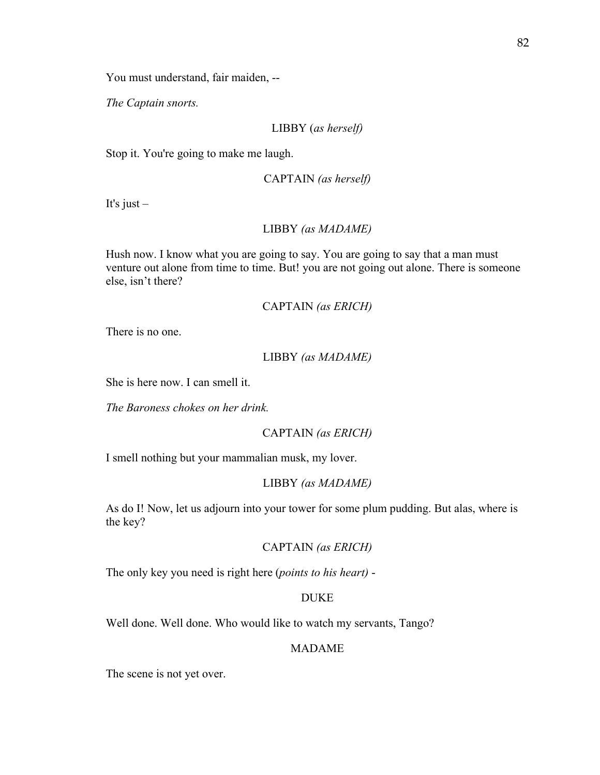You must understand, fair maiden, --

*The Captain snorts.* 

LIBBY (*as herself)*

Stop it. You're going to make me laugh.

```
CAPTAIN (as herself)
```
It's just –

# LIBBY *(as MADAME)*

Hush now. I know what you are going to say. You are going to say that a man must venture out alone from time to time. But! you are not going out alone. There is someone else, isn't there?

CAPTAIN *(as ERICH)*

There is no one.

### LIBBY *(as MADAME)*

She is here now. I can smell it.

*The Baroness chokes on her drink.* 

CAPTAIN *(as ERICH)*

I smell nothing but your mammalian musk, my lover.

### LIBBY *(as MADAME)*

As do I! Now, let us adjourn into your tower for some plum pudding. But alas, where is the key?

# CAPTAIN *(as ERICH)*

The only key you need is right here (*points to his heart)* -

# DUKE

Well done. Well done. Who would like to watch my servants, Tango?

# MADAME

The scene is not yet over.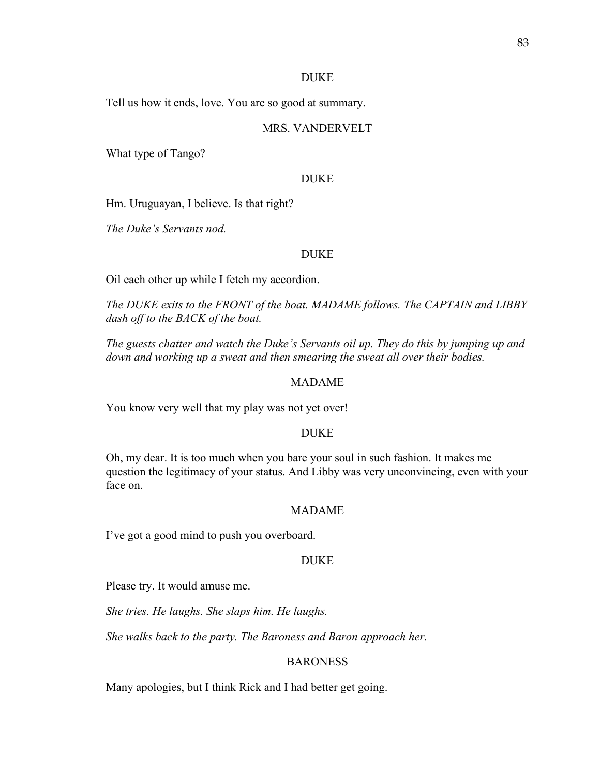#### DUKE

Tell us how it ends, love. You are so good at summary.

## MRS. VANDERVELT

What type of Tango?

#### DUKE

Hm. Uruguayan, I believe. Is that right?

*The Duke's Servants nod.* 

### DUKE

Oil each other up while I fetch my accordion.

*The DUKE exits to the FRONT of the boat. MADAME follows. The CAPTAIN and LIBBY dash off to the BACK of the boat.* 

*The guests chatter and watch the Duke's Servants oil up. They do this by jumping up and down and working up a sweat and then smearing the sweat all over their bodies.* 

## MADAME

You know very well that my play was not yet over!

#### DUKE

Oh, my dear. It is too much when you bare your soul in such fashion. It makes me question the legitimacy of your status. And Libby was very unconvincing, even with your face on.

#### MADAME

I've got a good mind to push you overboard.

#### DUKE

Please try. It would amuse me.

*She tries. He laughs. She slaps him. He laughs.* 

*She walks back to the party. The Baroness and Baron approach her.*

## BARONESS

Many apologies, but I think Rick and I had better get going.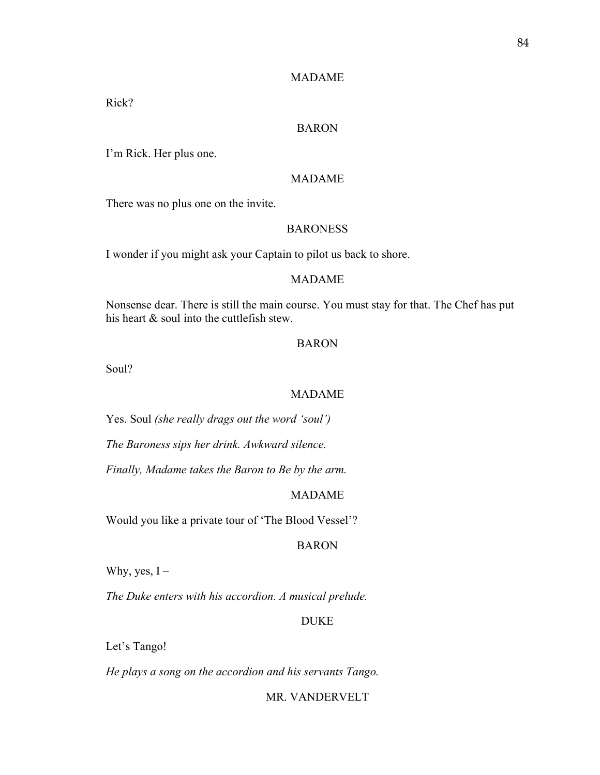## MADAME

Rick?

## BARON

I'm Rick. Her plus one.

# MADAME

There was no plus one on the invite.

# **BARONESS**

I wonder if you might ask your Captain to pilot us back to shore.

#### MADAME

Nonsense dear. There is still the main course. You must stay for that. The Chef has put his heart & soul into the cuttlefish stew.

#### BARON

Soul?

## MADAME

Yes. Soul *(she really drags out the word 'soul')*

*The Baroness sips her drink. Awkward silence.* 

*Finally, Madame takes the Baron to Be by the arm.* 

# MADAME

Would you like a private tour of 'The Blood Vessel'?

# BARON

Why, yes,  $I -$ 

*The Duke enters with his accordion. A musical prelude.* 

# DUKE

Let's Tango!

*He plays a song on the accordion and his servants Tango.* 

### MR. VANDERVELT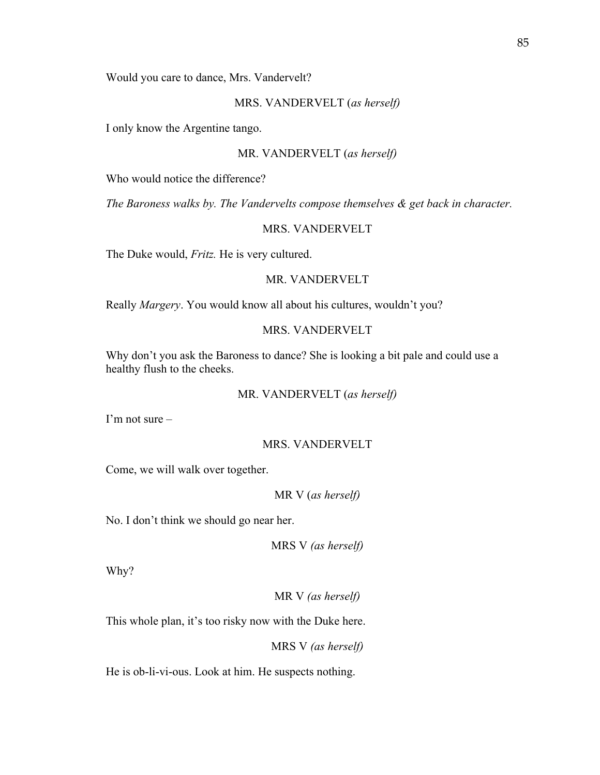Would you care to dance, Mrs. Vandervelt?

#### MRS. VANDERVELT (*as herself)*

I only know the Argentine tango.

#### MR. VANDERVELT (*as herself)*

Who would notice the difference?

*The Baroness walks by. The Vandervelts compose themselves & get back in character.*

### MRS. VANDERVELT

The Duke would, *Fritz.* He is very cultured.

## MR. VANDERVELT

Really *Margery*. You would know all about his cultures, wouldn't you?

# MRS. VANDERVELT

Why don't you ask the Baroness to dance? She is looking a bit pale and could use a healthy flush to the cheeks.

### MR. VANDERVELT (*as herself)*

I'm not sure –

#### MRS. VANDERVELT

Come, we will walk over together.

### MR V (*as herself)*

No. I don't think we should go near her.

MRS V *(as herself)*

Why?

MR V *(as herself)*

This whole plan, it's too risky now with the Duke here.

MRS V *(as herself)*

He is ob-li-vi-ous. Look at him. He suspects nothing.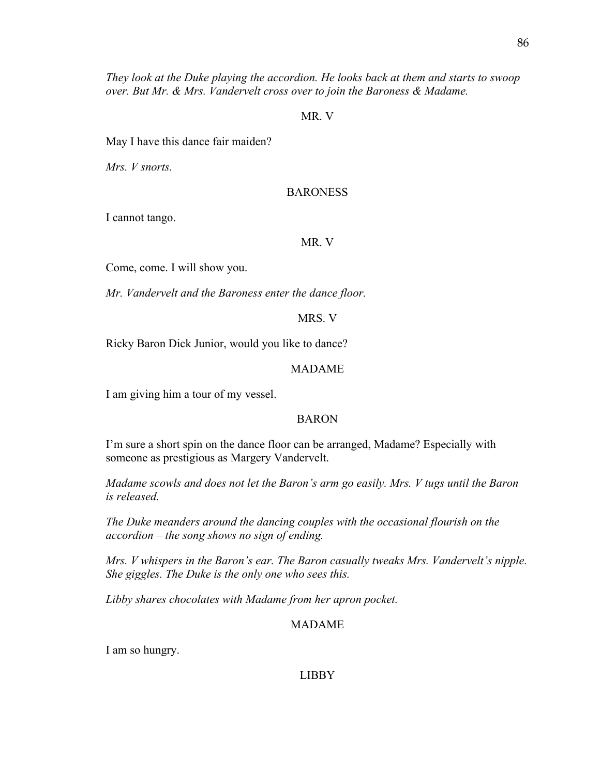*They look at the Duke playing the accordion. He looks back at them and starts to swoop over. But Mr. & Mrs. Vandervelt cross over to join the Baroness & Madame.* 

#### MR. V

May I have this dance fair maiden?

*Mrs. V snorts.*

#### BARONESS

I cannot tango.

MR. V

Come, come. I will show you.

*Mr. Vandervelt and the Baroness enter the dance floor.* 

MRS. V

Ricky Baron Dick Junior, would you like to dance?

#### MADAME

I am giving him a tour of my vessel.

# BARON

I'm sure a short spin on the dance floor can be arranged, Madame? Especially with someone as prestigious as Margery Vandervelt.

*Madame scowls and does not let the Baron's arm go easily. Mrs. V tugs until the Baron is released.*

*The Duke meanders around the dancing couples with the occasional flourish on the accordion – the song shows no sign of ending.* 

*Mrs. V whispers in the Baron's ear. The Baron casually tweaks Mrs. Vandervelt's nipple. She giggles. The Duke is the only one who sees this.* 

*Libby shares chocolates with Madame from her apron pocket.* 

### MADAME

I am so hungry.

### LIBBY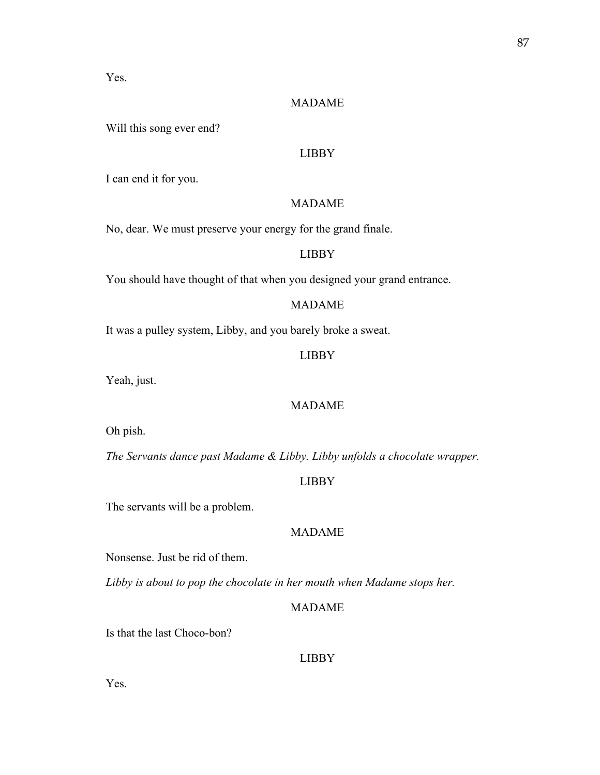Yes.

# MADAME

Will this song ever end?

## LIBBY

I can end it for you.

# MADAME

No, dear. We must preserve your energy for the grand finale.

# LIBBY

You should have thought of that when you designed your grand entrance.

#### MADAME

It was a pulley system, Libby, and you barely broke a sweat.

# LIBBY

Yeah, just.

# MADAME

Oh pish.

*The Servants dance past Madame & Libby. Libby unfolds a chocolate wrapper.* 

# LIBBY

The servants will be a problem.

# MADAME

Nonsense. Just be rid of them.

*Libby is about to pop the chocolate in her mouth when Madame stops her.* 

### MADAME

Is that the last Choco-bon?

# LIBBY

Yes.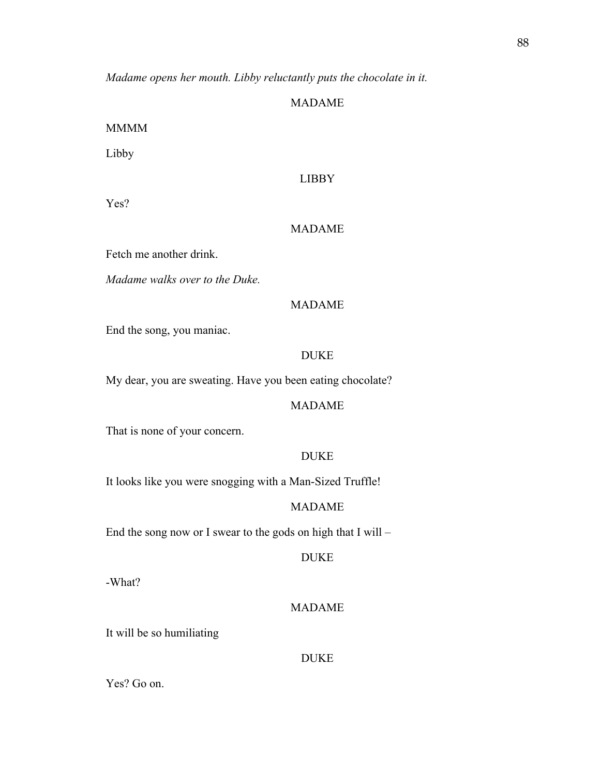*Madame opens her mouth. Libby reluctantly puts the chocolate in it.*

## MADAME

MMMM

Libby

# LIBBY

Yes?

# MADAME

Fetch me another drink.

*Madame walks over to the Duke.*

## MADAME

End the song, you maniac.

# DUKE

My dear, you are sweating. Have you been eating chocolate?

# MADAME

That is none of your concern.

### DUKE

It looks like you were snogging with a Man-Sized Truffle!

### MADAME

End the song now or I swear to the gods on high that I will –

DUKE

-What?

### MADAME

It will be so humiliating

# DUKE

Yes? Go on.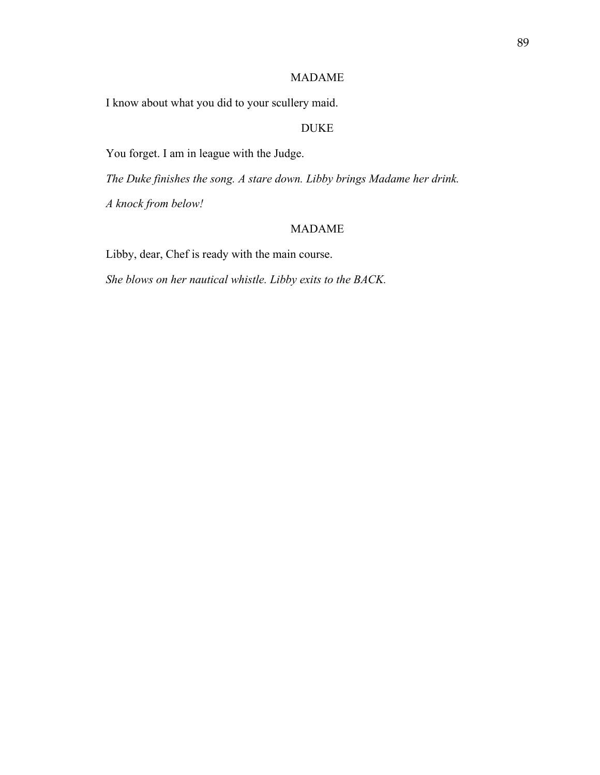# MADAME

I know about what you did to your scullery maid.

# DUKE

You forget. I am in league with the Judge.

*The Duke finishes the song. A stare down. Libby brings Madame her drink.*

*A knock from below!*

# MADAME

Libby, dear, Chef is ready with the main course.

*She blows on her nautical whistle. Libby exits to the BACK.*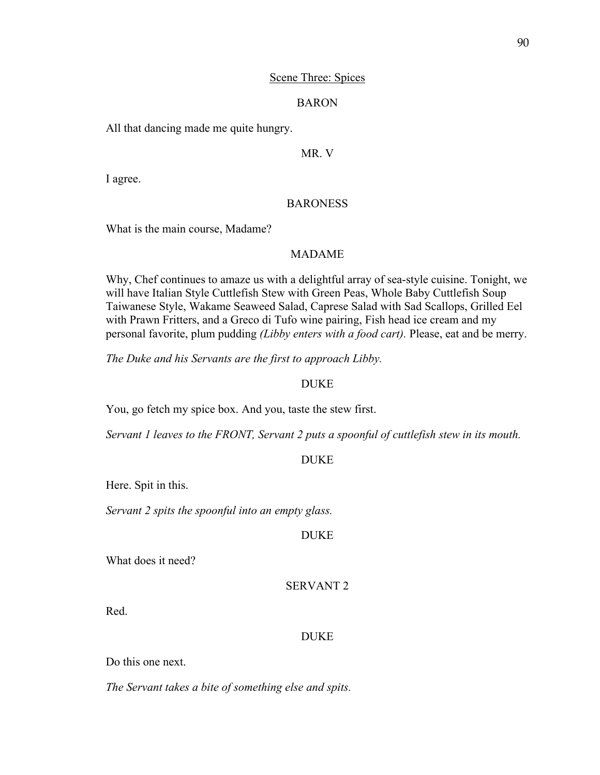## Scene Three: Spices

### BARON

All that dancing made me quite hungry.

## MR. V

I agree.

## BARONESS

What is the main course, Madame?

# MADAME

Why, Chef continues to amaze us with a delightful array of sea-style cuisine. Tonight, we will have Italian Style Cuttlefish Stew with Green Peas, Whole Baby Cuttlefish Soup Taiwanese Style, Wakame Seaweed Salad, Caprese Salad with Sad Scallops, Grilled Eel with Prawn Fritters, and a Greco di Tufo wine pairing, Fish head ice cream and my personal favorite, plum pudding *(Libby enters with a food cart).* Please, eat and be merry.

*The Duke and his Servants are the first to approach Libby.* 

#### DUKE

You, go fetch my spice box. And you, taste the stew first.

*Servant 1 leaves to the FRONT, Servant 2 puts a spoonful of cuttlefish stew in its mouth.* 

#### DUKE

Here. Spit in this.

*Servant 2 spits the spoonful into an empty glass.* 

## DUKE

What does it need?

SERVANT 2

Red.

#### DUKE

Do this one next.

*The Servant takes a bite of something else and spits.*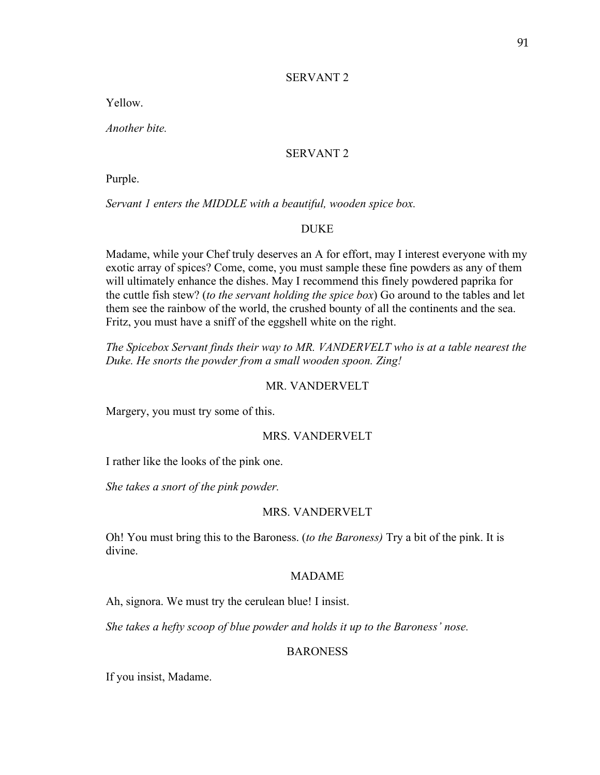### SERVANT 2

Yellow.

*Another bite.* 

### SERVANT 2

Purple.

*Servant 1 enters the MIDDLE with a beautiful, wooden spice box.* 

# DUKE

Madame, while your Chef truly deserves an A for effort, may I interest everyone with my exotic array of spices? Come, come, you must sample these fine powders as any of them will ultimately enhance the dishes. May I recommend this finely powdered paprika for the cuttle fish stew? (*to the servant holding the spice box*) Go around to the tables and let them see the rainbow of the world, the crushed bounty of all the continents and the sea. Fritz, you must have a sniff of the eggshell white on the right.

*The Spicebox Servant finds their way to MR. VANDERVELT who is at a table nearest the Duke. He snorts the powder from a small wooden spoon. Zing!*

### MR. VANDERVELT

Margery, you must try some of this.

### MRS. VANDERVELT

I rather like the looks of the pink one.

*She takes a snort of the pink powder.* 

#### MRS. VANDERVELT

Oh! You must bring this to the Baroness. (*to the Baroness)* Try a bit of the pink. It is divine.

## MADAME

Ah, signora. We must try the cerulean blue! I insist.

*She takes a hefty scoop of blue powder and holds it up to the Baroness' nose.* 

## **BARONESS**

If you insist, Madame.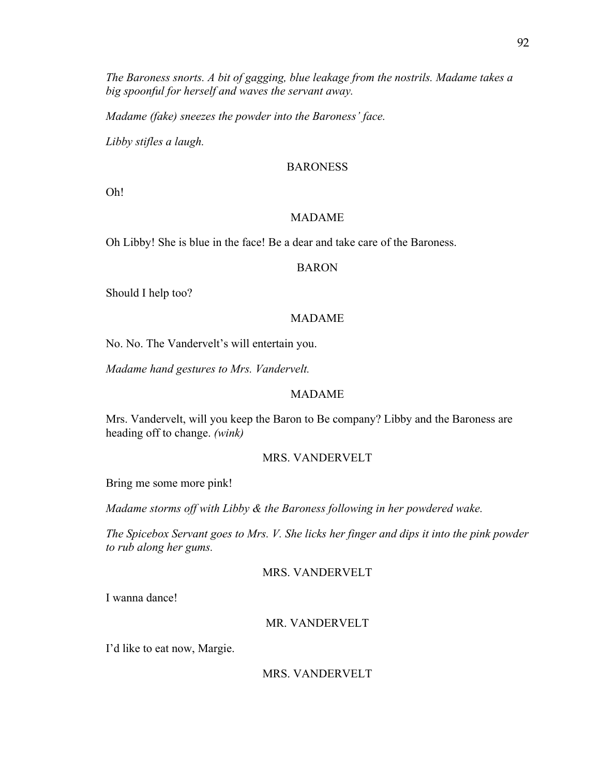*The Baroness snorts. A bit of gagging, blue leakage from the nostrils. Madame takes a big spoonful for herself and waves the servant away.* 

*Madame (fake) sneezes the powder into the Baroness' face.* 

*Libby stifles a laugh.*

# BARONESS

Oh!

# MADAME

Oh Libby! She is blue in the face! Be a dear and take care of the Baroness.

## BARON

Should I help too?

## MADAME

No. No. The Vandervelt's will entertain you.

*Madame hand gestures to Mrs. Vandervelt.*

# MADAME

Mrs. Vandervelt, will you keep the Baron to Be company? Libby and the Baroness are heading off to change. *(wink)*

## MRS. VANDERVELT

Bring me some more pink!

*Madame storms off with Libby & the Baroness following in her powdered wake.* 

*The Spicebox Servant goes to Mrs. V. She licks her finger and dips it into the pink powder to rub along her gums.* 

# MRS. VANDERVELT

I wanna dance!

# MR. VANDERVELT

I'd like to eat now, Margie.

# MRS. VANDERVELT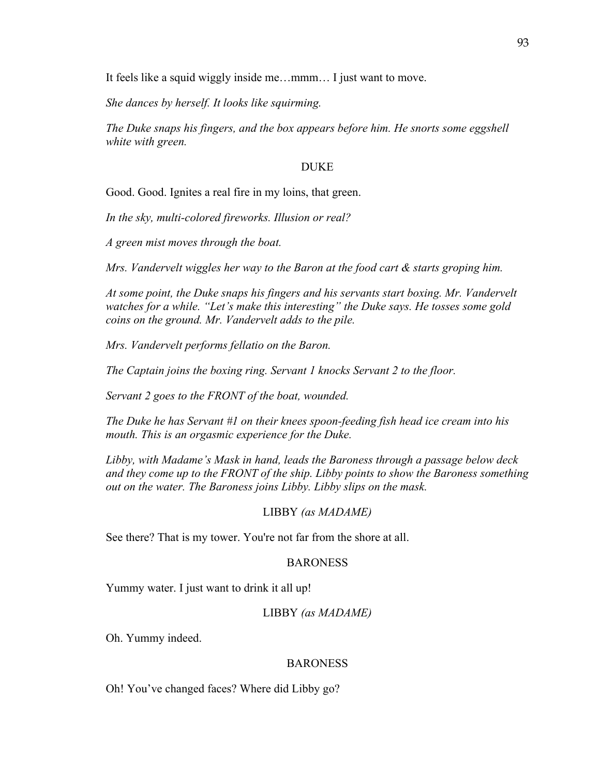It feels like a squid wiggly inside me…mmm… I just want to move.

*She dances by herself. It looks like squirming.* 

*The Duke snaps his fingers, and the box appears before him. He snorts some eggshell white with green.* 

### DUKE

Good. Good. Ignites a real fire in my loins, that green.

*In the sky, multi-colored fireworks. Illusion or real?* 

*A green mist moves through the boat.* 

*Mrs. Vandervelt wiggles her way to the Baron at the food cart & starts groping him.* 

*At some point, the Duke snaps his fingers and his servants start boxing. Mr. Vandervelt watches for a while. "Let's make this interesting" the Duke says. He tosses some gold coins on the ground. Mr. Vandervelt adds to the pile.* 

*Mrs. Vandervelt performs fellatio on the Baron.* 

*The Captain joins the boxing ring. Servant 1 knocks Servant 2 to the floor.* 

*Servant 2 goes to the FRONT of the boat, wounded.* 

*The Duke he has Servant #1 on their knees spoon-feeding fish head ice cream into his mouth. This is an orgasmic experience for the Duke.* 

*Libby, with Madame's Mask in hand, leads the Baroness through a passage below deck and they come up to the FRONT of the ship. Libby points to show the Baroness something out on the water. The Baroness joins Libby. Libby slips on the mask.* 

#### LIBBY *(as MADAME)*

See there? That is my tower. You're not far from the shore at all.

#### BARONESS

Yummy water. I just want to drink it all up!

#### LIBBY *(as MADAME)*

Oh. Yummy indeed.

### **BARONESS**

Oh! You've changed faces? Where did Libby go?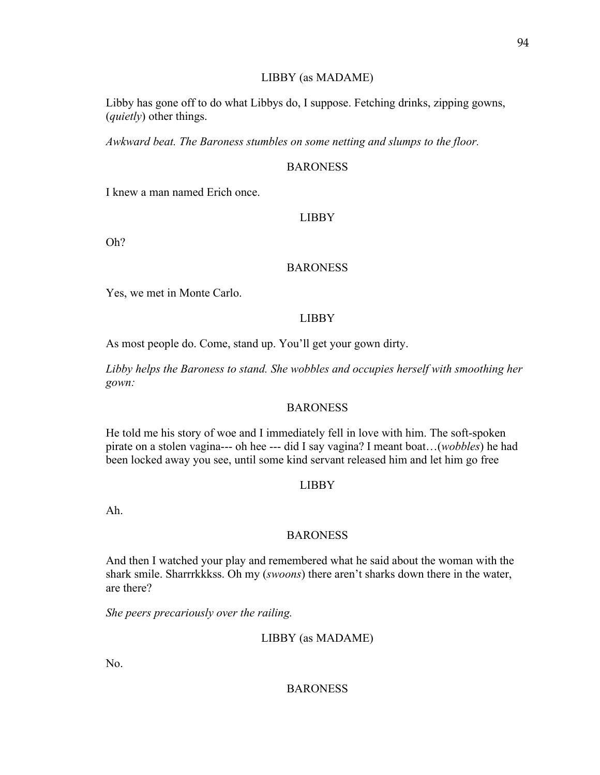## LIBBY (as MADAME)

Libby has gone off to do what Libbys do, I suppose. Fetching drinks, zipping gowns, (*quietly*) other things.

*Awkward beat. The Baroness stumbles on some netting and slumps to the floor.* 

# BARONESS

I knew a man named Erich once.

# LIBBY

Oh?

# BARONESS

Yes, we met in Monte Carlo.

# LIBBY

As most people do. Come, stand up. You'll get your gown dirty.

*Libby helps the Baroness to stand. She wobbles and occupies herself with smoothing her gown:*

## BARONESS

He told me his story of woe and I immediately fell in love with him. The soft-spoken pirate on a stolen vagina--- oh hee --- did I say vagina? I meant boat…(*wobbles*) he had been locked away you see, until some kind servant released him and let him go free

# LIBBY

Ah.

# **BARONESS**

And then I watched your play and remembered what he said about the woman with the shark smile. Sharrrkkkss. Oh my (*swoons*) there aren't sharks down there in the water, are there?

*She peers precariously over the railing.* 

LIBBY (as MADAME)

No.

# BARONESS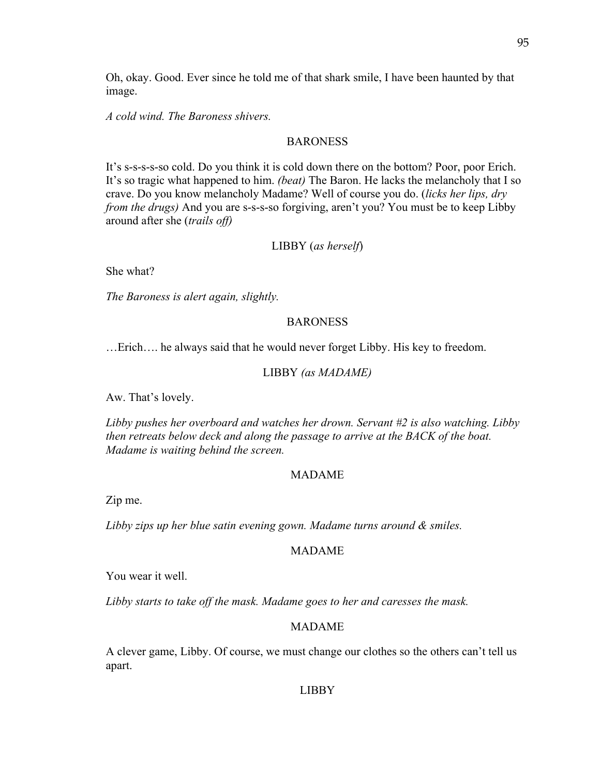Oh, okay. Good. Ever since he told me of that shark smile, I have been haunted by that image.

*A cold wind. The Baroness shivers.* 

# BARONESS

It's s-s-s-s-so cold. Do you think it is cold down there on the bottom? Poor, poor Erich. It's so tragic what happened to him. *(beat)* The Baron. He lacks the melancholy that I so crave. Do you know melancholy Madame? Well of course you do. (*licks her lips, dry from the drugs*) And you are s-s-s-so forgiving, aren't you? You must be to keep Libby around after she (*trails off)*

# LIBBY (*as herself*)

She what?

*The Baroness is alert again, slightly.* 

# BARONESS

…Erich…. he always said that he would never forget Libby. His key to freedom.

### LIBBY *(as MADAME)*

Aw. That's lovely.

*Libby pushes her overboard and watches her drown. Servant #2 is also watching. Libby then retreats below deck and along the passage to arrive at the BACK of the boat. Madame is waiting behind the screen.* 

#### MADAME

Zip me.

*Libby zips up her blue satin evening gown. Madame turns around & smiles.*

## MADAME

You wear it well.

*Libby starts to take off the mask. Madame goes to her and caresses the mask.*

## MADAME

A clever game, Libby. Of course, we must change our clothes so the others can't tell us apart.

#### LIBBY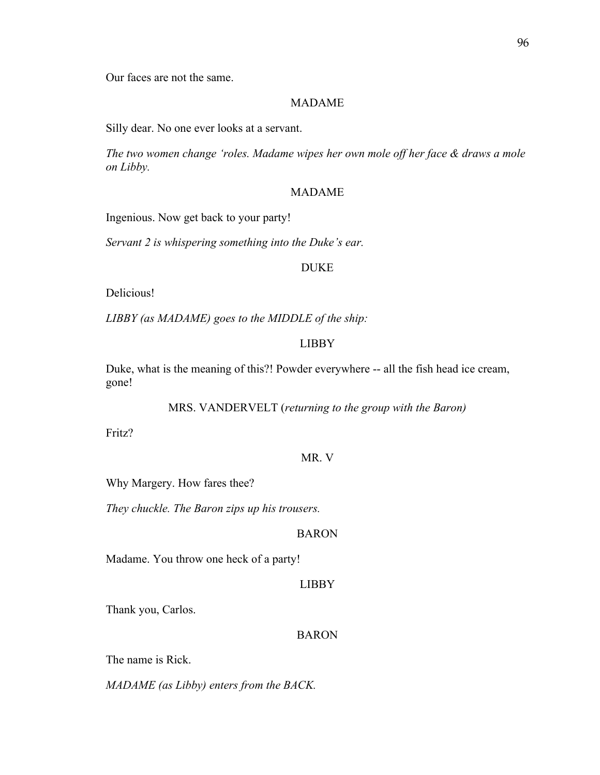Our faces are not the same.

## MADAME

Silly dear. No one ever looks at a servant.

*The two women change 'roles. Madame wipes her own mole off her face & draws a mole on Libby.*

#### MADAME

Ingenious. Now get back to your party!

*Servant 2 is whispering something into the Duke's ear.* 

#### DUKE

Delicious!

*LIBBY (as MADAME) goes to the MIDDLE of the ship:*

### LIBBY

Duke, what is the meaning of this?! Powder everywhere -- all the fish head ice cream, gone!

MRS. VANDERVELT (*returning to the group with the Baron)*

Fritz?

## MR. V

Why Margery. How fares thee?

*They chuckle. The Baron zips up his trousers.* 

# BARON

Madame. You throw one heck of a party!

## LIBBY

Thank you, Carlos.

## BARON

The name is Rick.

*MADAME (as Libby) enters from the BACK.*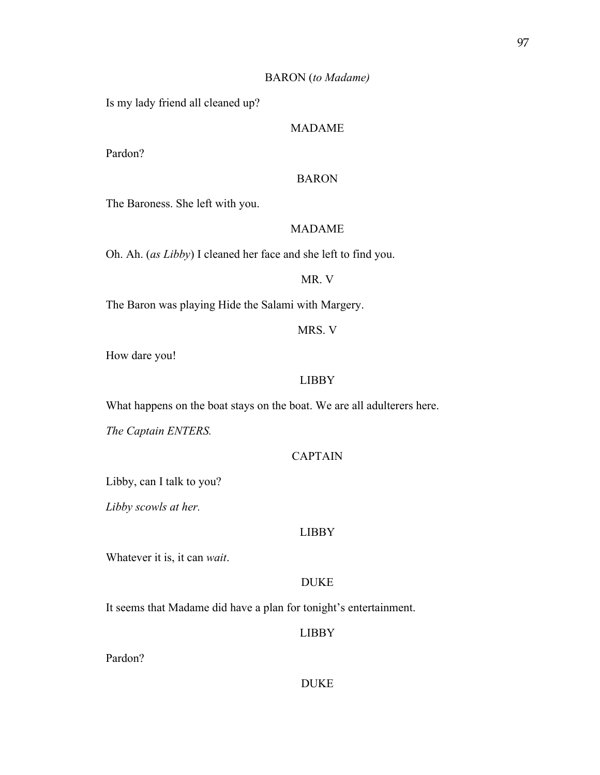### BARON (*to Madame)*

Is my lady friend all cleaned up?

# MADAME

Pardon?

# BARON

The Baroness. She left with you.

# MADAME

Oh. Ah. (*as Libby*) I cleaned her face and she left to find you.

#### MR. V

The Baron was playing Hide the Salami with Margery.

MRS. V

How dare you!

#### LIBBY

What happens on the boat stays on the boat. We are all adulterers here.

*The Captain ENTERS.*

### CAPTAIN

Libby, can I talk to you?

*Libby scowls at her.* 

#### LIBBY

Whatever it is, it can *wait*.

# DUKE

It seems that Madame did have a plan for tonight's entertainment.

## LIBBY

Pardon?

## DUKE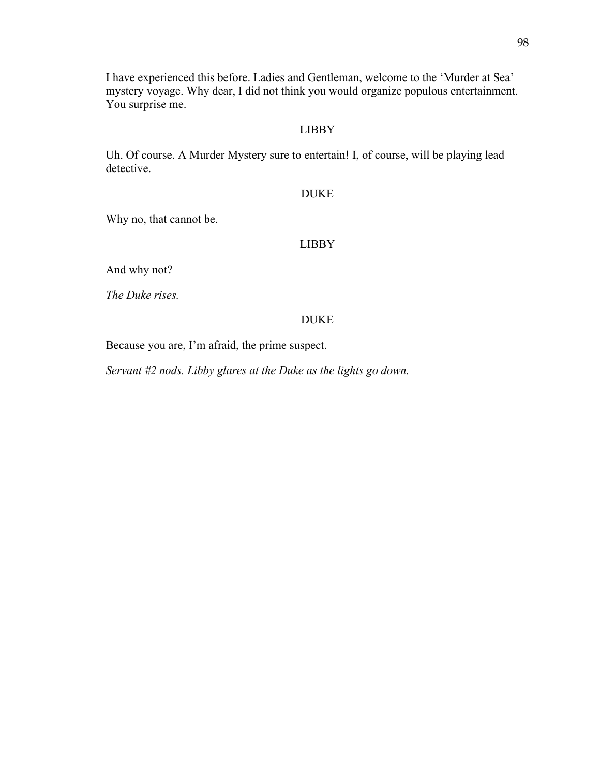I have experienced this before. Ladies and Gentleman, welcome to the 'Murder at Sea' mystery voyage. Why dear, I did not think you would organize populous entertainment. You surprise me.

# LIBBY

Uh. Of course. A Murder Mystery sure to entertain! I, of course, will be playing lead detective.

DUKE

Why no, that cannot be.

# LIBBY

And why not?

*The Duke rises.*

# DUKE

Because you are, I'm afraid, the prime suspect.

*Servant #2 nods. Libby glares at the Duke as the lights go down.*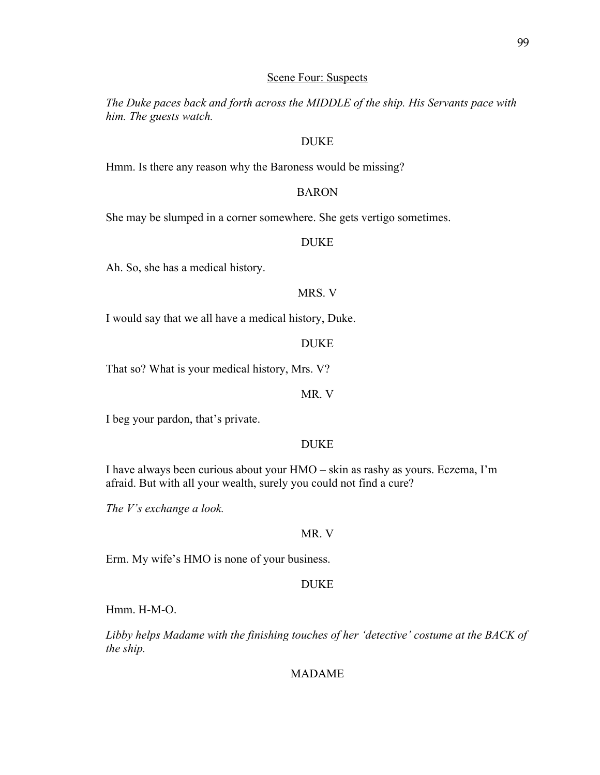### Scene Four: Suspects

*The Duke paces back and forth across the MIDDLE of the ship. His Servants pace with him. The guests watch.* 

# DUKE

Hmm. Is there any reason why the Baroness would be missing?

#### BARON

She may be slumped in a corner somewhere. She gets vertigo sometimes.

## DUKE

Ah. So, she has a medical history.

# MRS. V

I would say that we all have a medical history, Duke.

#### DUKE

That so? What is your medical history, Mrs. V?

MR. V

I beg your pardon, that's private.

#### DUKE

I have always been curious about your HMO – skin as rashy as yours. Eczema, I'm afraid. But with all your wealth, surely you could not find a cure?

*The V's exchange a look.*

# MR. V

Erm. My wife's HMO is none of your business.

## DUKE

Hmm. H-M-O.

*Libby helps Madame with the finishing touches of her 'detective' costume at the BACK of the ship.*

# MADAME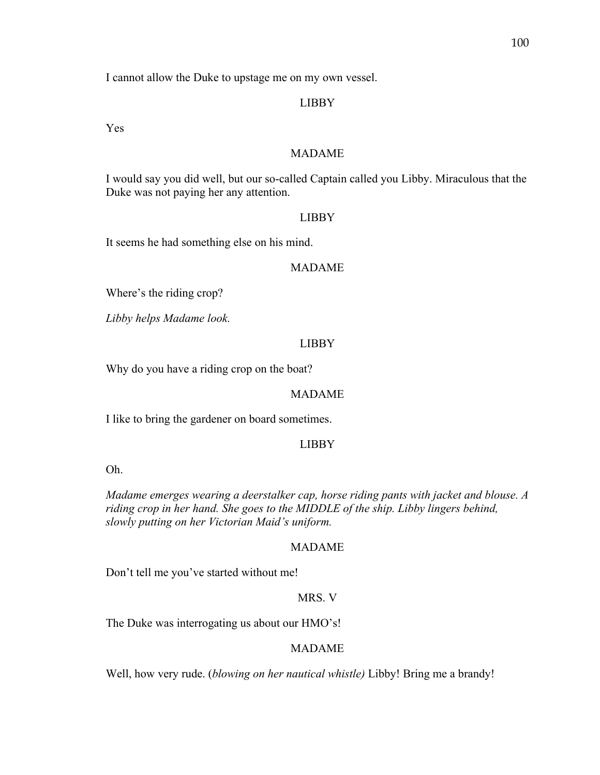I cannot allow the Duke to upstage me on my own vessel.

# LIBBY

Yes

## MADAME

I would say you did well, but our so-called Captain called you Libby. Miraculous that the Duke was not paying her any attention.

#### LIBBY

It seems he had something else on his mind.

### MADAME

Where's the riding crop?

*Libby helps Madame look.* 

#### LIBBY

Why do you have a riding crop on the boat?

## MADAME

I like to bring the gardener on board sometimes.

#### LIBBY

Oh.

*Madame emerges wearing a deerstalker cap, horse riding pants with jacket and blouse. A riding crop in her hand. She goes to the MIDDLE of the ship. Libby lingers behind, slowly putting on her Victorian Maid's uniform.* 

#### MADAME

Don't tell me you've started without me!

# MRS. V

The Duke was interrogating us about our HMO's!

## MADAME

Well, how very rude. (*blowing on her nautical whistle)* Libby! Bring me a brandy!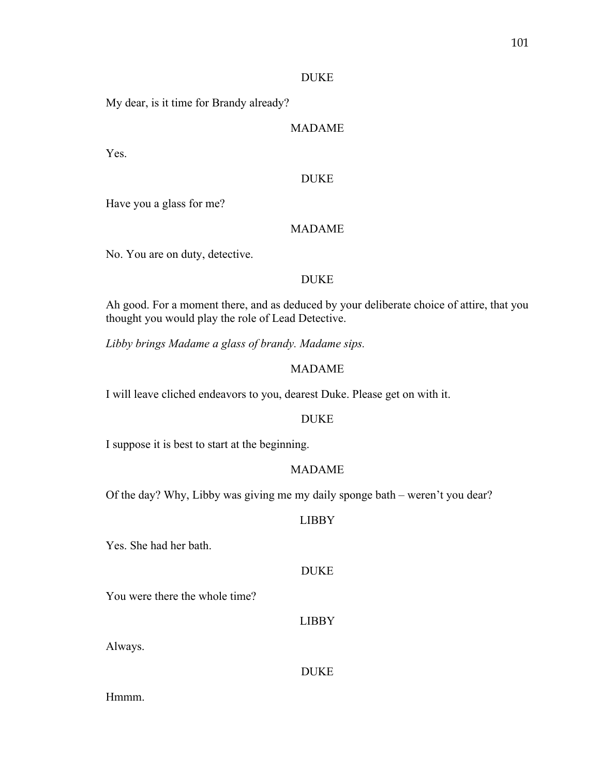### DUKE

My dear, is it time for Brandy already?

# MADAME

Yes.

# DUKE

Have you a glass for me?

# MADAME

No. You are on duty, detective.

## DUKE

Ah good. For a moment there, and as deduced by your deliberate choice of attire, that you thought you would play the role of Lead Detective.

*Libby brings Madame a glass of brandy. Madame sips.* 

# MADAME

I will leave cliched endeavors to you, dearest Duke. Please get on with it.

# DUKE

I suppose it is best to start at the beginning.

# MADAME

Of the day? Why, Libby was giving me my daily sponge bath – weren't you dear?

# LIBBY

Yes. She had her bath.

## DUKE

You were there the whole time?

#### LIBBY

Always.

### DUKE

Hmmm.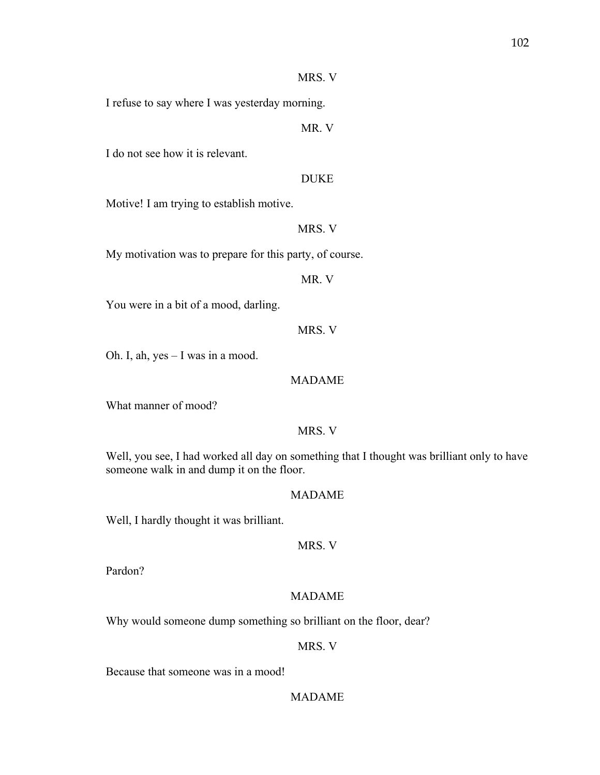## MRS. V

I refuse to say where I was yesterday morning.

MR. V

I do not see how it is relevant.

#### DUKE

Motive! I am trying to establish motive.

MRS. V

My motivation was to prepare for this party, of course.

MR. V

You were in a bit of a mood, darling.

MRS. V

Oh. I, ah, yes – I was in a mood.

#### MADAME

What manner of mood?

# MRS. V

Well, you see, I had worked all day on something that I thought was brilliant only to have someone walk in and dump it on the floor.

# MADAME

Well, I hardly thought it was brilliant.

MRS. V

Pardon?

# MADAME

Why would someone dump something so brilliant on the floor, dear?

MRS. V

Because that someone was in a mood!

# MADAME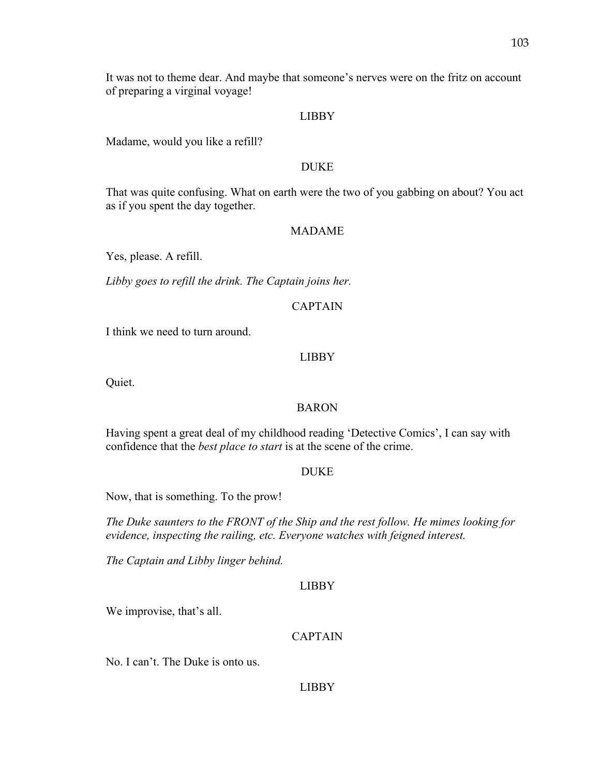It was not to theme dear. And maybe that someone's nerves were on the fritz on account of preparing a virginal voyage!

#### LIBBY

Madame, would you like a refill?

### DUKE

That was quite confusing. What on earth were the two of you gabbing on about? You act as if you spent the day together.

#### MADAME

Yes, please. A refill.

*Libby goes to refill the drink. The Captain joins her.* 

# CAPTAIN

I think we need to turn around.

### LIBBY

Quiet.

#### BARON

Having spent a great deal of my childhood reading 'Detective Comics', I can say with confidence that the *best place to start* is at the scene of the crime.

#### DUKE

Now, that is something. To the prow!

*The Duke saunters to the FRONT of the Ship and the rest follow. He mimes looking for evidence, inspecting the railing, etc. Everyone watches with feigned interest.* 

*The Captain and Libby linger behind.* 

#### LIBBY

We improvise, that's all.

# CAPTAIN

No. I can't. The Duke is onto us.

#### LIBBY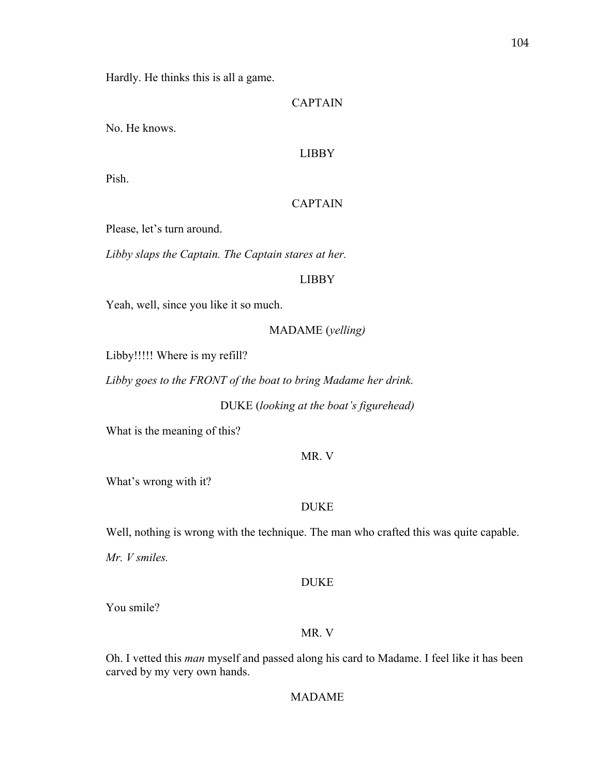Hardly. He thinks this is all a game.

## CAPTAIN

No. He knows.

## LIBBY

Pish.

## CAPTAIN

Please, let's turn around.

*Libby slaps the Captain. The Captain stares at her.* 

#### LIBBY

Yeah, well, since you like it so much.

### MADAME (*yelling)*

Libby!!!!! Where is my refill?

*Libby goes to the FRONT of the boat to bring Madame her drink.*

DUKE (*looking at the boat's figurehead)*

What is the meaning of this?

#### MR. V

What's wrong with it?

#### DUKE

Well, nothing is wrong with the technique. The man who crafted this was quite capable.

*Mr. V smiles.* 

#### DUKE

You smile?

#### MR. V

Oh. I vetted this *man* myself and passed along his card to Madame. I feel like it has been carved by my very own hands.

MADAME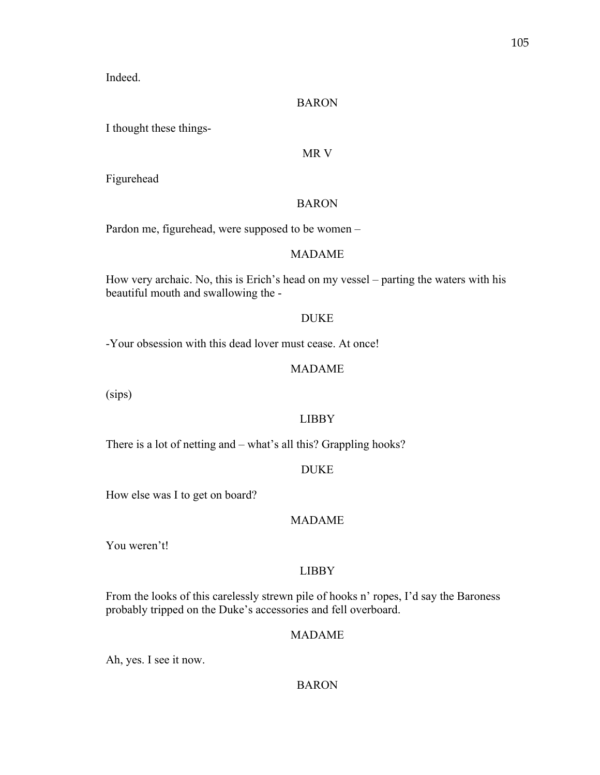Indeed.

### BARON

I thought these things-

## MR V

Figurehead

## BARON

Pardon me, figurehead, were supposed to be women –

# MADAME

How very archaic. No, this is Erich's head on my vessel – parting the waters with his beautiful mouth and swallowing the -

## DUKE

-Your obsession with this dead lover must cease. At once!

## MADAME

(sips)

# LIBBY

There is a lot of netting and – what's all this? Grappling hooks?

### DUKE

How else was I to get on board?

# MADAME

You weren't!

# LIBBY

From the looks of this carelessly strewn pile of hooks n' ropes, I'd say the Baroness probably tripped on the Duke's accessories and fell overboard.

## MADAME

Ah, yes. I see it now.

## BARON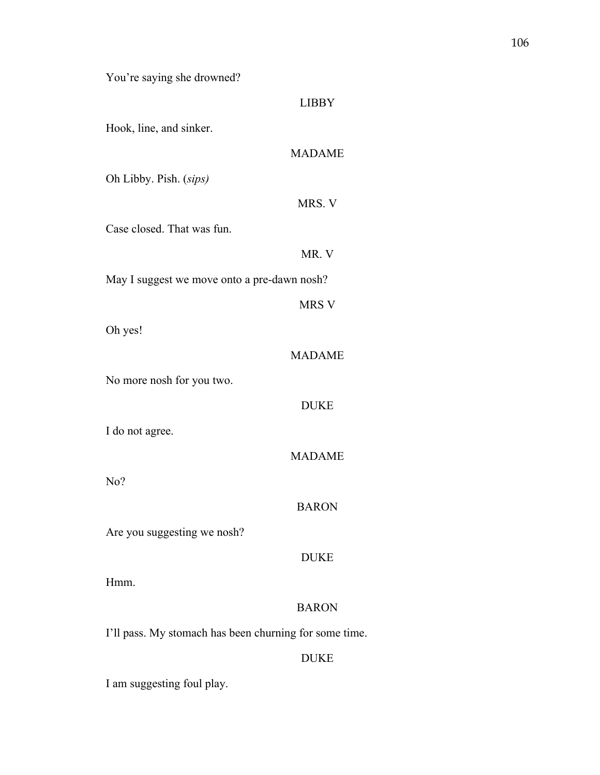You're saying she drowned?

### LIBBY

Hook, line, and sinker.

# MADAME

Oh Libby. Pish. (*sips)*

# MRS. V

Case closed. That was fun.

MR. V

MRS V

May I suggest we move onto a pre-dawn nosh?

Oh yes!

## MADAME

No more nosh for you two.

# DUKE

I do not agree.

### MADAME

No?

## BARON

Are you suggesting we nosh?

## DUKE

Hmm.

## BARON

I'll pass. My stomach has been churning for some time.

## DUKE

I am suggesting foul play.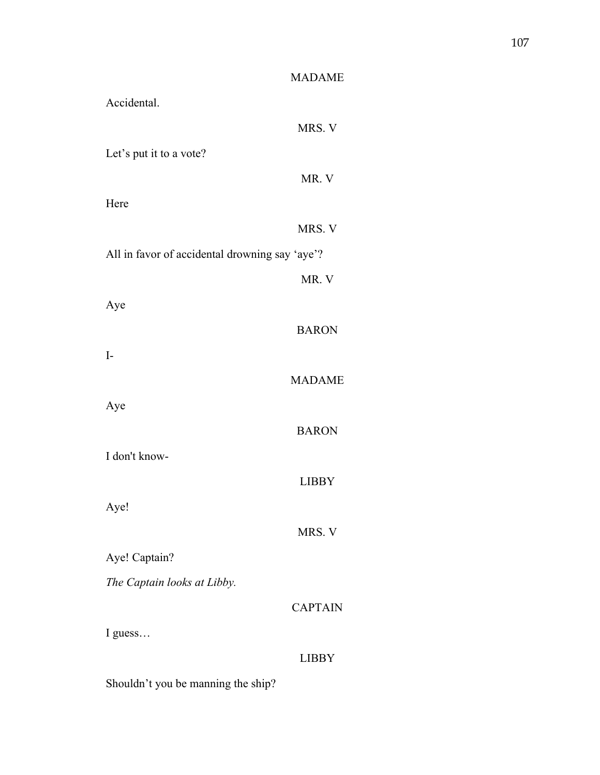| <b>MADAME</b>                                  |
|------------------------------------------------|
| Accidental.                                    |
| MRS. V                                         |
| Let's put it to a vote?                        |
| MR. V                                          |
| Here                                           |
| MRS. V                                         |
| All in favor of accidental drowning say 'aye'? |
| MR. V                                          |
| Aye                                            |
| <b>BARON</b>                                   |
| $I-$                                           |
| <b>MADAME</b>                                  |
| Aye                                            |
| <b>BARON</b>                                   |
| I don't know-                                  |
| <b>LIBBY</b>                                   |
| Aye!                                           |
| MRS. V                                         |
| Aye! Captain?                                  |
| The Captain looks at Libby.                    |
| <b>CAPTAIN</b>                                 |
| I guess                                        |
| <b>LIBBY</b>                                   |

Shouldn't you be manning the ship?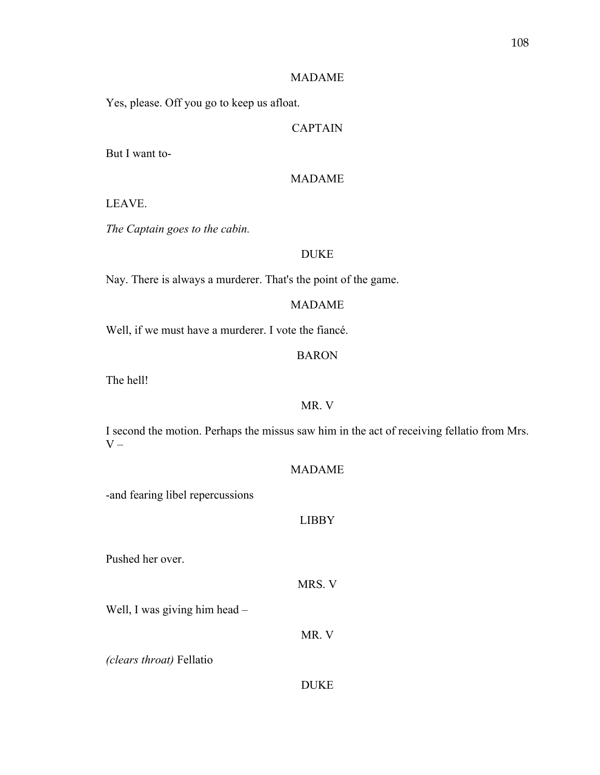## MADAME

Yes, please. Off you go to keep us afloat.

# CAPTAIN

But I want to-

# MADAME

#### LEAVE.

*The Captain goes to the cabin.*

# DUKE

Nay. There is always a murderer. That's the point of the game.

## MADAME

Well, if we must have a murderer. I vote the fiancé.

# BARON

The hell!

# MR. V

I second the motion. Perhaps the missus saw him in the act of receiving fellatio from Mrs.  $V -$ 

# MADAME

-and fearing libel repercussions

## LIBBY

Pushed her over.

MRS. V

Well, I was giving him head –

*(clears throat)* Fellatio

### DUKE

MR. V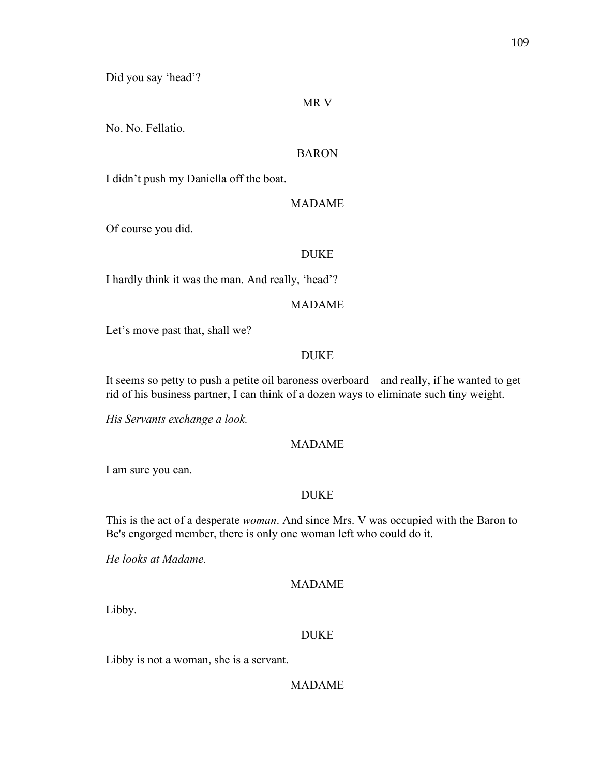Did you say 'head'?

### MR V

No. No. Fellatio.

## BARON

I didn't push my Daniella off the boat.

#### MADAME

Of course you did.

## DUKE

I hardly think it was the man. And really, 'head'?

#### MADAME

Let's move past that, shall we?

## DUKE

It seems so petty to push a petite oil baroness overboard – and really, if he wanted to get rid of his business partner, I can think of a dozen ways to eliminate such tiny weight.

*His Servants exchange a look.* 

#### MADAME

I am sure you can.

## DUKE

This is the act of a desperate *woman*. And since Mrs. V was occupied with the Baron to Be's engorged member, there is only one woman left who could do it.

*He looks at Madame.* 

### MADAME

Libby.

#### DUKE

Libby is not a woman, she is a servant.

## MADAME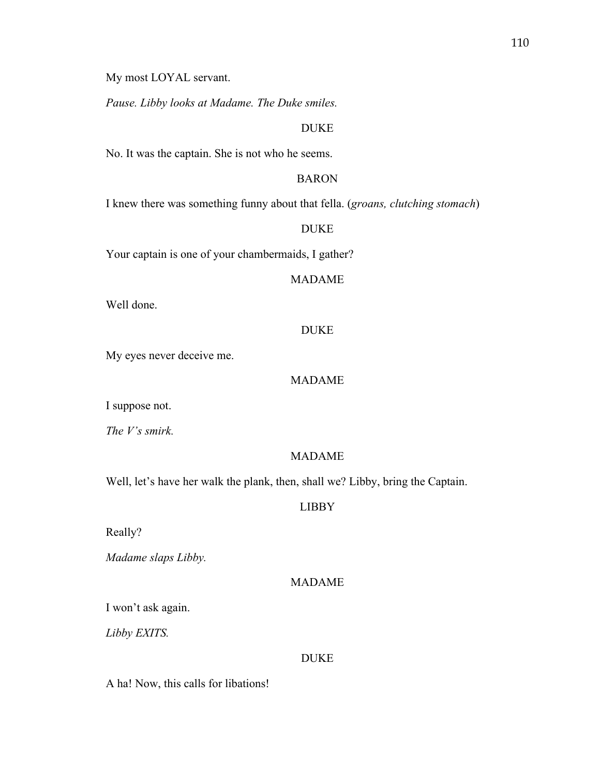My most LOYAL servant.

*Pause. Libby looks at Madame. The Duke smiles.*

## DUKE

No. It was the captain. She is not who he seems.

## BARON

I knew there was something funny about that fella. (*groans, clutching stomach*)

## DUKE

Your captain is one of your chambermaids, I gather?

#### MADAME

Well done.

## DUKE

My eyes never deceive me.

#### MADAME

I suppose not.

*The V's smirk.* 

#### MADAME

Well, let's have her walk the plank, then, shall we? Libby, bring the Captain.

#### LIBBY

Really?

*Madame slaps Libby.* 

#### MADAME

I won't ask again.

*Libby EXITS.* 

#### DUKE

A ha! Now, this calls for libations!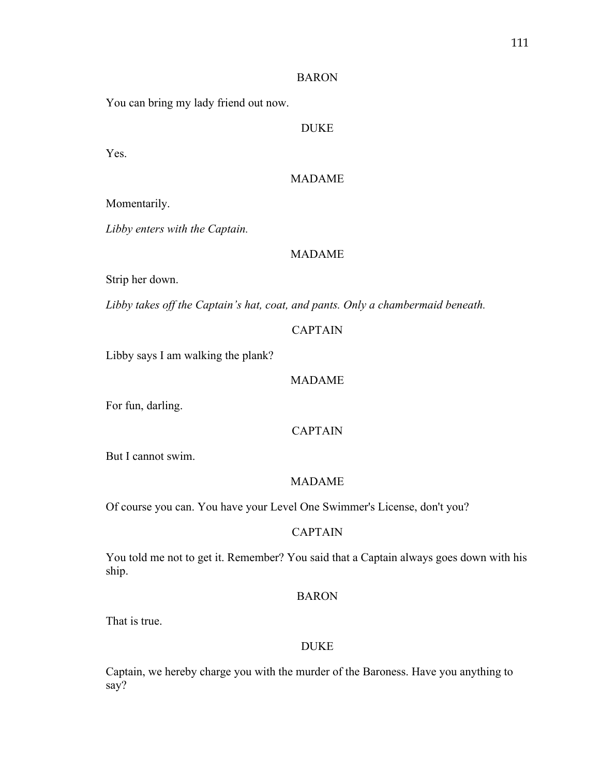#### BARON

You can bring my lady friend out now.

DUKE

Yes.

# MADAME

Momentarily.

*Libby enters with the Captain.* 

# MADAME

Strip her down.

*Libby takes off the Captain's hat, coat, and pants. Only a chambermaid beneath.* 

# CAPTAIN

Libby says I am walking the plank?

#### MADAME

For fun, darling.

# CAPTAIN

But I cannot swim.

# MADAME

Of course you can. You have your Level One Swimmer's License, don't you?

# CAPTAIN

You told me not to get it. Remember? You said that a Captain always goes down with his ship.

### BARON

That is true.

## DUKE

Captain, we hereby charge you with the murder of the Baroness. Have you anything to say?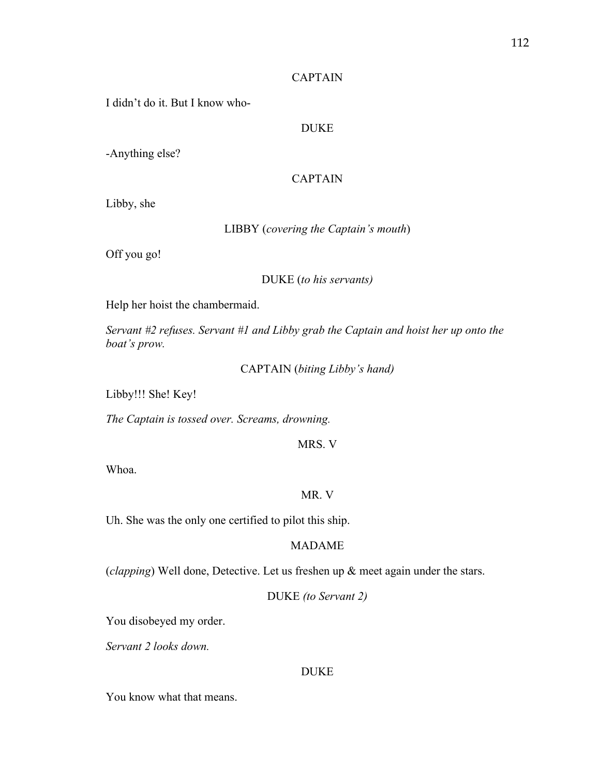## CAPTAIN

I didn't do it. But I know who-

# DUKE

-Anything else?

# CAPTAIN

Libby, she

LIBBY (*covering the Captain's mouth*)

Off you go!

## DUKE (*to his servants)*

Help her hoist the chambermaid.

*Servant #2 refuses. Servant #1 and Libby grab the Captain and hoist her up onto the boat's prow.* 

CAPTAIN (*biting Libby's hand)*

Libby!!! She! Key!

*The Captain is tossed over. Screams, drowning.* 

MRS. V

Whoa.

# MR. V

Uh. She was the only one certified to pilot this ship.

### MADAME

(*clapping*) Well done, Detective. Let us freshen up & meet again under the stars.

DUKE *(to Servant 2)*

You disobeyed my order.

*Servant 2 looks down.* 

### DUKE

You know what that means.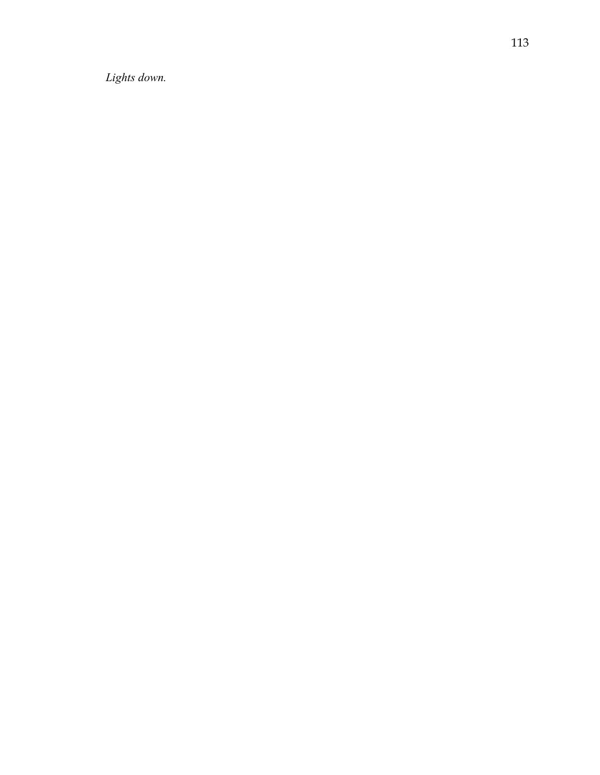*Lights down.*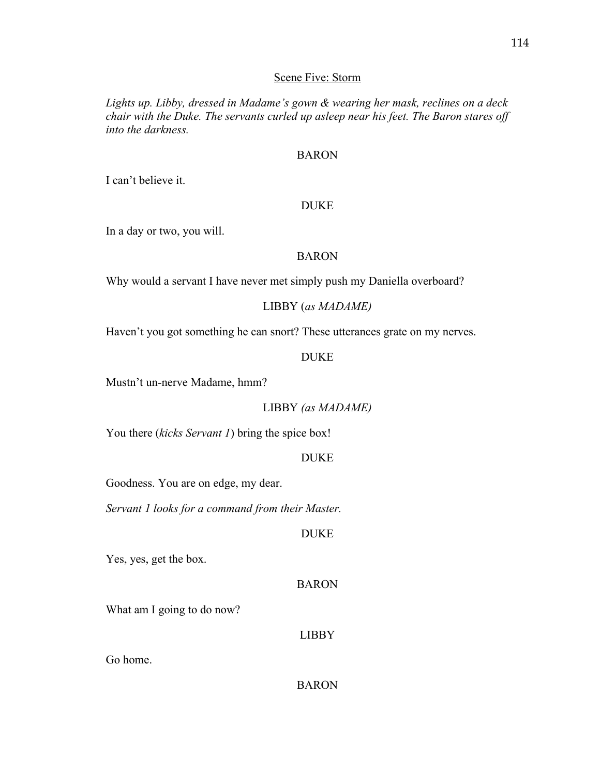### Scene Five: Storm

*Lights up. Libby, dressed in Madame's gown & wearing her mask, reclines on a deck chair with the Duke. The servants curled up asleep near his feet. The Baron stares off into the darkness.*

### BARON

I can't believe it.

### DUKE

In a day or two, you will.

### BARON

Why would a servant I have never met simply push my Daniella overboard?

# LIBBY (*as MADAME)*

Haven't you got something he can snort? These utterances grate on my nerves.

### DUKE

Mustn't un-nerve Madame, hmm?

# LIBBY *(as MADAME)*

You there *(kicks Servant 1)* bring the spice box!

### DUKE

Goodness. You are on edge, my dear.

*Servant 1 looks for a command from their Master.* 

# DUKE

Yes, yes, get the box.

### BARON

What am I going to do now?

## LIBBY

Go home.

BARON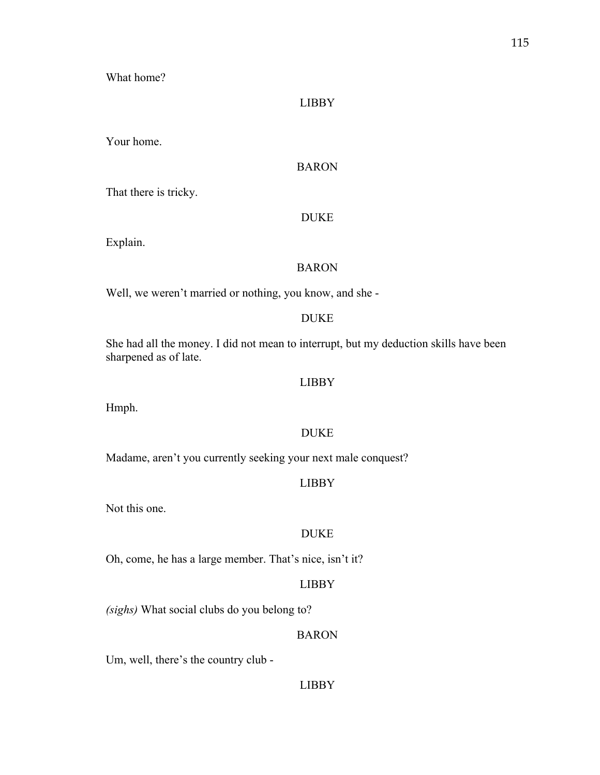What home?

### LIBBY

Your home.

# BARON

That there is tricky.

## DUKE

Explain.

## BARON

Well, we weren't married or nothing, you know, and she -

## DUKE

She had all the money. I did not mean to interrupt, but my deduction skills have been sharpened as of late.

## LIBBY

Hmph.

# DUKE

Madame, aren't you currently seeking your next male conquest?

## LIBBY

Not this one.

#### DUKE

Oh, come, he has a large member. That's nice, isn't it?

# LIBBY

*(sighs)* What social clubs do you belong to?

## BARON

Um, well, there's the country club -

## LIBBY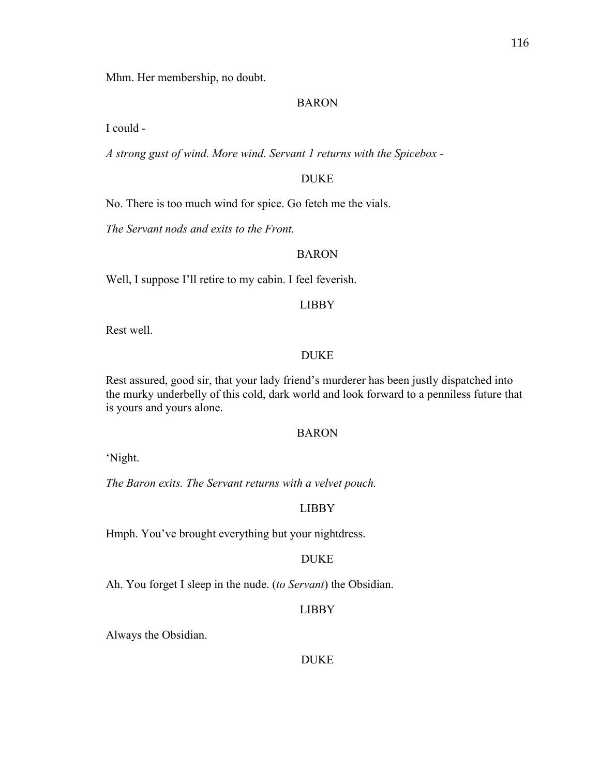116

Mhm. Her membership, no doubt.

# BARON

I could -

*A strong gust of wind. More wind. Servant 1 returns with the Spicebox -*

# DUKE

No. There is too much wind for spice. Go fetch me the vials.

*The Servant nods and exits to the Front.* 

# BARON

Well, I suppose I'll retire to my cabin. I feel feverish.

# LIBBY

Rest well.

# DUKE

Rest assured, good sir, that your lady friend's murderer has been justly dispatched into the murky underbelly of this cold, dark world and look forward to a penniless future that is yours and yours alone.

# BARON

'Night.

*The Baron exits. The Servant returns with a velvet pouch.* 

# LIBBY

Hmph. You've brought everything but your nightdress.

# DUKE

Ah. You forget I sleep in the nude. (*to Servant*) the Obsidian.

# LIBBY

Always the Obsidian.

# DUKE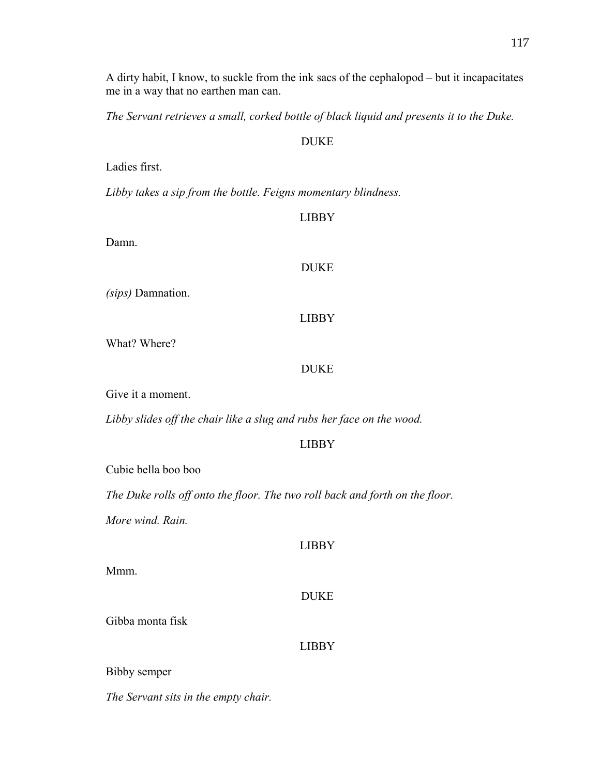A dirty habit, I know, to suckle from the ink sacs of the cephalopod – but it incapacitates me in a way that no earthen man can.

*The Servant retrieves a small, corked bottle of black liquid and presents it to the Duke.* 

## DUKE

Ladies first.

*Libby takes a sip from the bottle. Feigns momentary blindness.* 

### LIBBY

Damn.

## DUKE

*(sips)* Damnation.

# LIBBY

What? Where?

# DUKE

Give it a moment.

*Libby slides off the chair like a slug and rubs her face on the wood.* 

# LIBBY

Cubie bella boo boo

*The Duke rolls off onto the floor. The two roll back and forth on the floor.* 

*More wind. Rain.* 

Mmm.

| <b>LIBBY</b> |  |
|--------------|--|
| <b>DUKE</b>  |  |
| <b>LIBBY</b> |  |

Bibby semper

Gibba monta fisk

*The Servant sits in the empty chair.*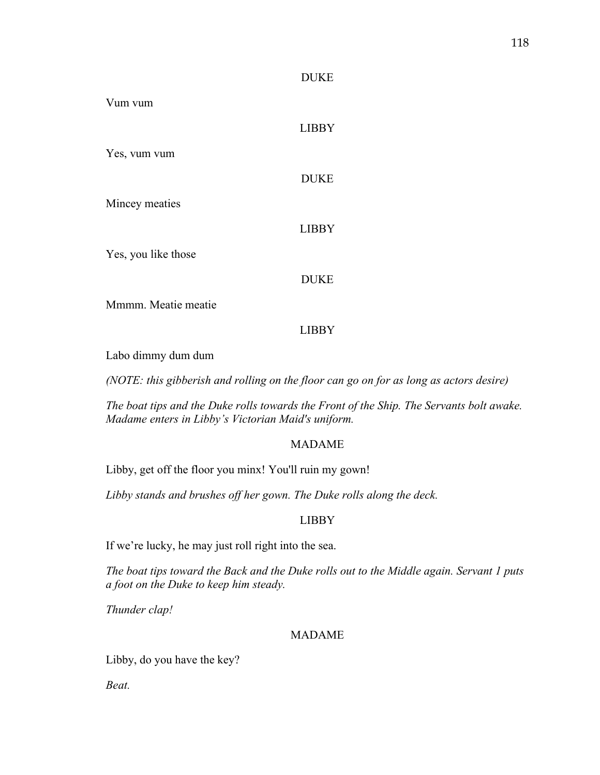### DUKE

| Vum vum             |              |
|---------------------|--------------|
|                     | <b>LIBBY</b> |
| Yes, vum vum        |              |
|                     | <b>DUKE</b>  |
| Mincey meaties      |              |
|                     | <b>LIBBY</b> |
| Yes, you like those |              |
|                     | <b>DUKE</b>  |
| Mmmm. Meatie meatie |              |
|                     | <b>LIBBY</b> |

Labo dimmy dum dum

*(NOTE: this gibberish and rolling on the floor can go on for as long as actors desire)*

*The boat tips and the Duke rolls towards the Front of the Ship. The Servants bolt awake. Madame enters in Libby's Victorian Maid's uniform.* 

### MADAME

Libby, get off the floor you minx! You'll ruin my gown!

*Libby stands and brushes off her gown. The Duke rolls along the deck.*

### LIBBY

If we're lucky, he may just roll right into the sea.

*The boat tips toward the Back and the Duke rolls out to the Middle again. Servant 1 puts a foot on the Duke to keep him steady.* 

*Thunder clap!* 

### MADAME

Libby, do you have the key?

*Beat.*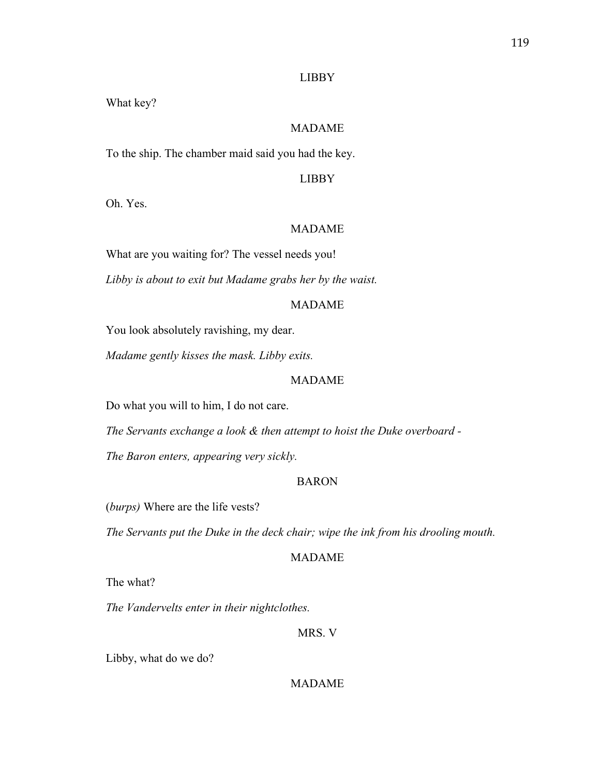#### LIBBY

What key?

## MADAME

To the ship. The chamber maid said you had the key.

# LIBBY

Oh. Yes.

# MADAME

What are you waiting for? The vessel needs you!

*Libby is about to exit but Madame grabs her by the waist.* 

#### MADAME

You look absolutely ravishing, my dear.

*Madame gently kisses the mask. Libby exits.*

#### MADAME

Do what you will to him, I do not care.

*The Servants exchange a look & then attempt to hoist the Duke overboard -*

*The Baron enters, appearing very sickly.* 

### BARON

(*burps)* Where are the life vests?

*The Servants put the Duke in the deck chair; wipe the ink from his drooling mouth.* 

#### MADAME

The what?

*The Vandervelts enter in their nightclothes.* 

### MRS. V

Libby, what do we do?

## MADAME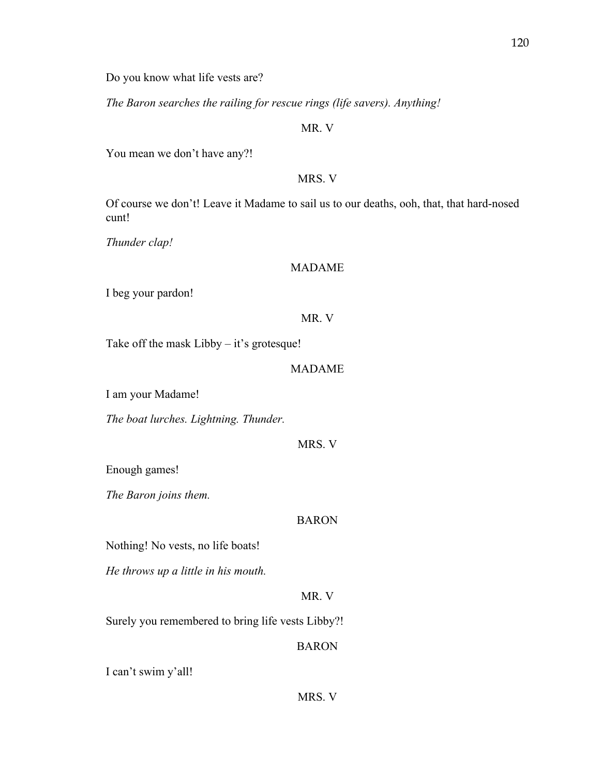Do you know what life vests are?

*The Baron searches the railing for rescue rings (life savers). Anything!*

# MR. V

You mean we don't have any?!

## MRS. V

Of course we don't! Leave it Madame to sail us to our deaths, ooh, that, that hard-nosed cunt!

*Thunder clap!*

## MADAME

I beg your pardon!

## MR. V

Take off the mask Libby – it's grotesque!

## MADAME

I am your Madame!

*The boat lurches. Lightning. Thunder.* 

MRS. V

Enough games!

*The Baron joins them.*

# BARON

Nothing! No vests, no life boats!

*He throws up a little in his mouth.*

# MR. V

Surely you remembered to bring life vests Libby?!

# BARON

I can't swim y'all!

MRS. V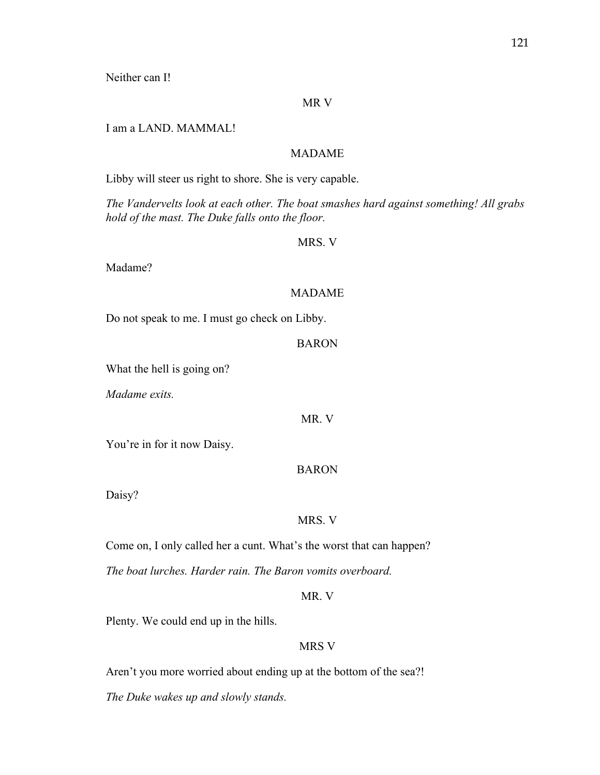Neither can I!

### MR V

I am a LAND. MAMMAL!

## MADAME

Libby will steer us right to shore. She is very capable.

*The Vandervelts look at each other. The boat smashes hard against something! All grabs hold of the mast. The Duke falls onto the floor.*

#### MRS. V

Madame?

## MADAME

Do not speak to me. I must go check on Libby.

#### BARON

What the hell is going on?

*Madame exits.* 

MR. V

You're in for it now Daisy.

## BARON

Daisy?

#### MRS. V

Come on, I only called her a cunt. What's the worst that can happen?

*The boat lurches. Harder rain. The Baron vomits overboard.* 

MR. V

Plenty. We could end up in the hills.

## MRS V

Aren't you more worried about ending up at the bottom of the sea?!

*The Duke wakes up and slowly stands.*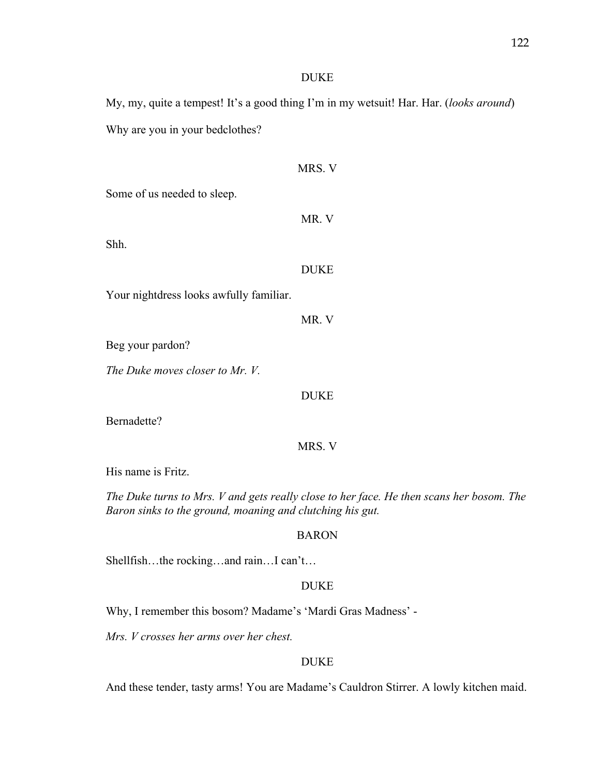## DUKE

My, my, quite a tempest! It's a good thing I'm in my wetsuit! Har. Har. (*looks around*) Why are you in your bedclothes?

|                                         | MRS. V      |
|-----------------------------------------|-------------|
| Some of us needed to sleep.             |             |
|                                         | MR. V       |
| Shh.                                    |             |
|                                         | <b>DUKE</b> |
| Your nightdress looks awfully familiar. |             |
|                                         | MR. V       |
| Beg your pardon?                        |             |
| The Duke moves closer to Mr. V.         |             |
|                                         | <b>DUKE</b> |
| Bernadette?                             |             |
|                                         | MRS. V      |
| His name is Fritz.                      |             |

*The Duke turns to Mrs. V and gets really close to her face. He then scans her bosom. The Baron sinks to the ground, moaning and clutching his gut.* 

## BARON

Shellfish…the rocking…and rain…I can't…

## DUKE

Why, I remember this bosom? Madame's 'Mardi Gras Madness' -

*Mrs. V crosses her arms over her chest.* 

# DUKE

And these tender, tasty arms! You are Madame's Cauldron Stirrer. A lowly kitchen maid.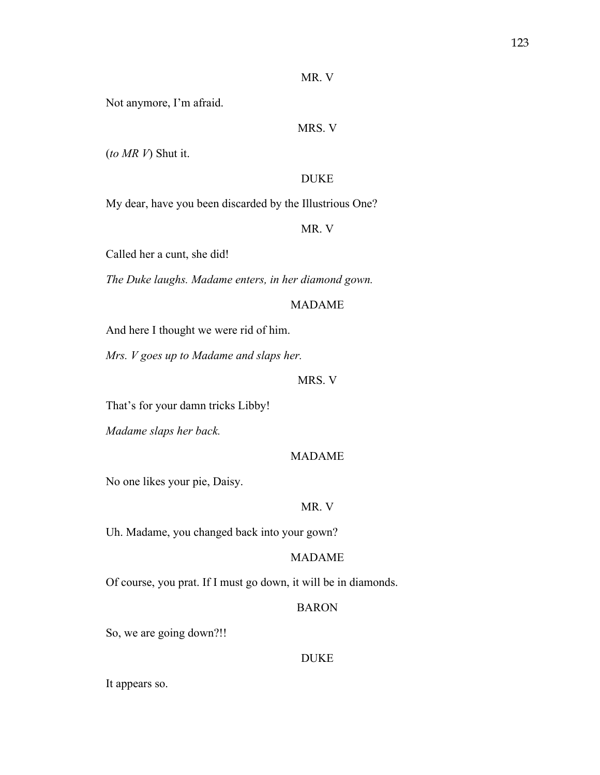#### MR. V

Not anymore, I'm afraid.

# MRS. V

(*to MR V*) Shut it.

#### DUKE

My dear, have you been discarded by the Illustrious One?

MR. V

Called her a cunt, she did!

*The Duke laughs. Madame enters, in her diamond gown.* 

### MADAME

And here I thought we were rid of him.

*Mrs. V goes up to Madame and slaps her.* 

#### MRS. V

That's for your damn tricks Libby!

*Madame slaps her back.*

#### MADAME

No one likes your pie, Daisy.

#### MR. V

Uh. Madame, you changed back into your gown?

## MADAME

Of course, you prat. If I must go down, it will be in diamonds.

### BARON

So, we are going down?!!

## DUKE

It appears so.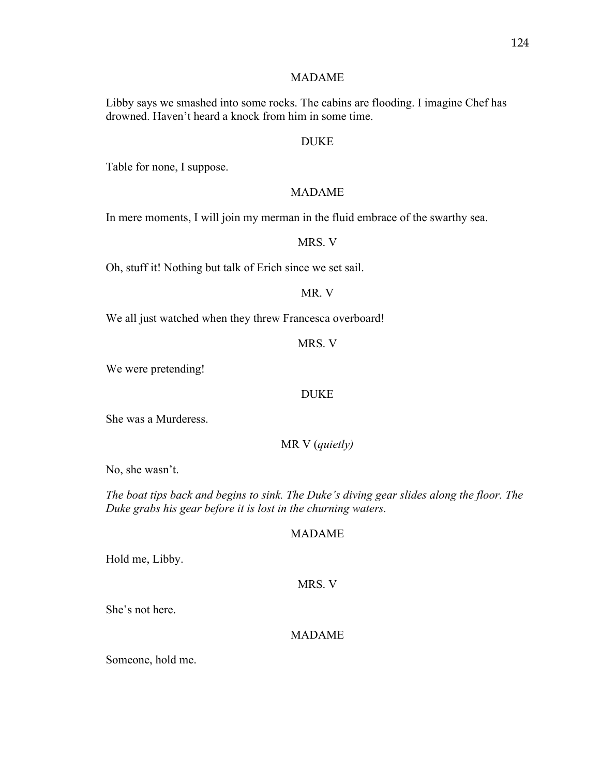### MADAME

Libby says we smashed into some rocks. The cabins are flooding. I imagine Chef has drowned. Haven't heard a knock from him in some time.

## DUKE

Table for none, I suppose.

### MADAME

In mere moments, I will join my merman in the fluid embrace of the swarthy sea.

## MRS. V

Oh, stuff it! Nothing but talk of Erich since we set sail.

## MR. V

We all just watched when they threw Francesca overboard!

#### MRS. V

We were pretending!

### DUKE

She was a Murderess.

MR V (*quietly)*

No, she wasn't.

*The boat tips back and begins to sink. The Duke's diving gear slides along the floor. The Duke grabs his gear before it is lost in the churning waters.* 

## MADAME

Hold me, Libby.

MRS. V

She's not here.

### MADAME

Someone, hold me.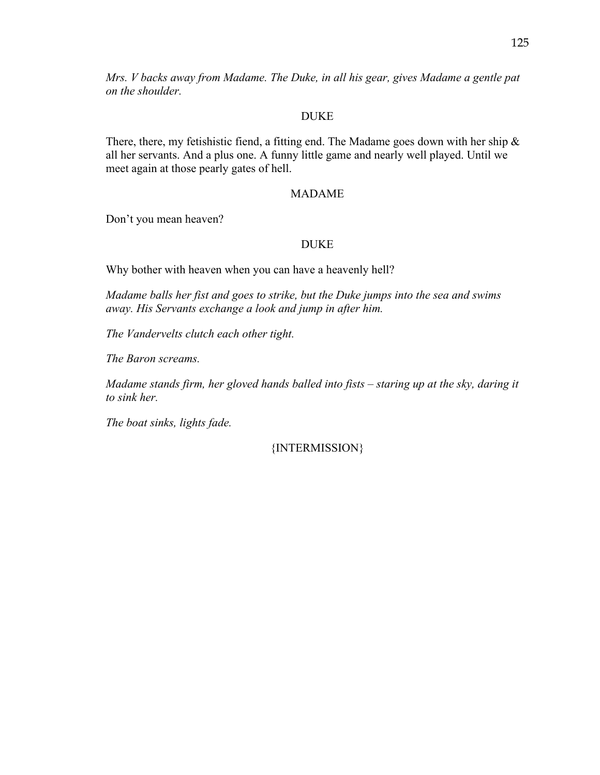*Mrs. V backs away from Madame. The Duke, in all his gear, gives Madame a gentle pat on the shoulder.* 

# DUKE

There, there, my fetishistic fiend, a fitting end. The Madame goes down with her ship  $\&$ all her servants. And a plus one. A funny little game and nearly well played. Until we meet again at those pearly gates of hell.

# MADAME

Don't you mean heaven?

# DUKE

Why bother with heaven when you can have a heavenly hell?

*Madame balls her fist and goes to strike, but the Duke jumps into the sea and swims away. His Servants exchange a look and jump in after him.* 

*The Vandervelts clutch each other tight.* 

*The Baron screams.* 

*Madame stands firm, her gloved hands balled into fists – staring up at the sky, daring it to sink her.*

*The boat sinks, lights fade.* 

{INTERMISSION}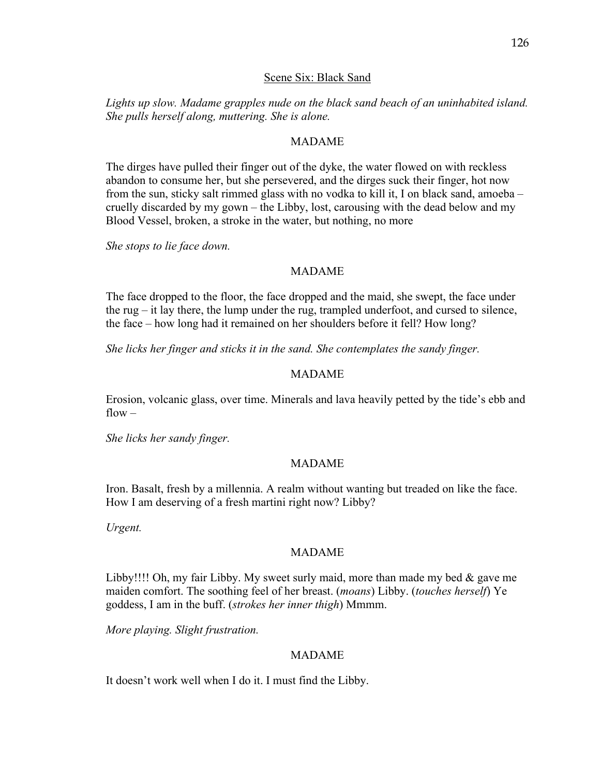### Scene Six: Black Sand

*Lights up slow. Madame grapples nude on the black sand beach of an uninhabited island. She pulls herself along, muttering. She is alone.* 

#### MADAME

The dirges have pulled their finger out of the dyke, the water flowed on with reckless abandon to consume her, but she persevered, and the dirges suck their finger, hot now from the sun, sticky salt rimmed glass with no vodka to kill it, I on black sand, amoeba – cruelly discarded by my gown – the Libby, lost, carousing with the dead below and my Blood Vessel, broken, a stroke in the water, but nothing, no more

*She stops to lie face down.* 

#### MADAME

The face dropped to the floor, the face dropped and the maid, she swept, the face under the rug – it lay there, the lump under the rug, trampled underfoot, and cursed to silence, the face – how long had it remained on her shoulders before it fell? How long?

*She licks her finger and sticks it in the sand. She contemplates the sandy finger.* 

### MADAME

Erosion, volcanic glass, over time. Minerals and lava heavily petted by the tide's ebb and  $flow -$ 

*She licks her sandy finger.* 

#### MADAME

Iron. Basalt, fresh by a millennia. A realm without wanting but treaded on like the face. How I am deserving of a fresh martini right now? Libby?

*Urgent.* 

#### MADAME

Libby!!!! Oh, my fair Libby. My sweet surly maid, more than made my bed & gave me maiden comfort. The soothing feel of her breast. (*moans*) Libby. (*touches herself*) Ye goddess, I am in the buff. (*strokes her inner thigh*) Mmmm.

*More playing. Slight frustration.* 

#### MADAME

It doesn't work well when I do it. I must find the Libby.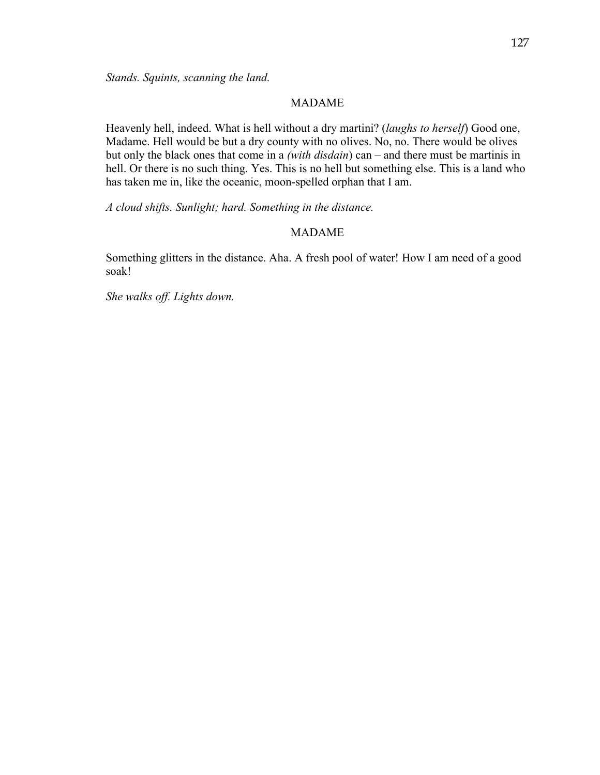#### MADAME

Heavenly hell, indeed. What is hell without a dry martini? (*laughs to herself*) Good one, Madame. Hell would be but a dry county with no olives. No, no. There would be olives but only the black ones that come in a *(with disdain*) can – and there must be martinis in hell. Or there is no such thing. Yes. This is no hell but something else. This is a land who has taken me in, like the oceanic, moon-spelled orphan that I am.

*A cloud shifts. Sunlight; hard. Something in the distance.* 

#### MADAME

Something glitters in the distance. Aha. A fresh pool of water! How I am need of a good soak!

*She walks off. Lights down.*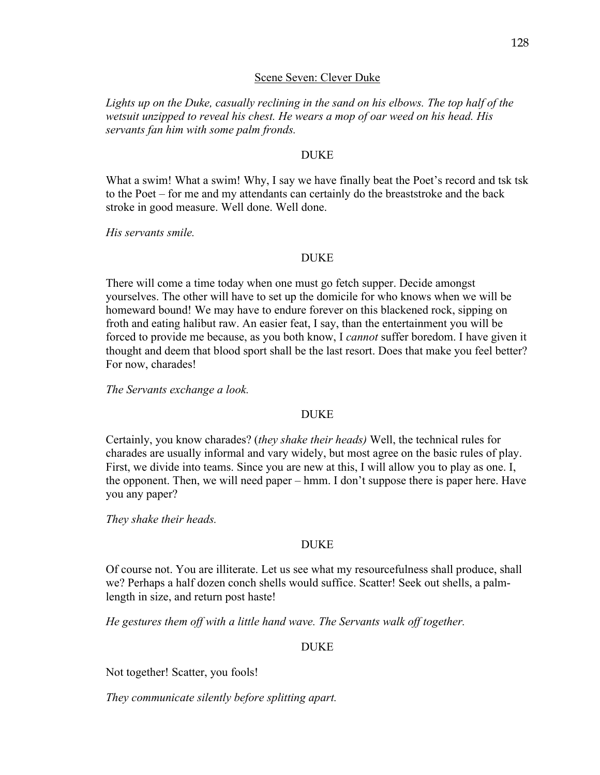### Scene Seven: Clever Duke

*Lights up on the Duke, casually reclining in the sand on his elbows. The top half of the wetsuit unzipped to reveal his chest. He wears a mop of oar weed on his head. His servants fan him with some palm fronds.*

#### DUKE

What a swim! What a swim! Why, I say we have finally beat the Poet's record and tsk tsk to the Poet – for me and my attendants can certainly do the breaststroke and the back stroke in good measure. Well done. Well done.

*His servants smile.*

#### DUKE

There will come a time today when one must go fetch supper. Decide amongst yourselves. The other will have to set up the domicile for who knows when we will be homeward bound! We may have to endure forever on this blackened rock, sipping on froth and eating halibut raw. An easier feat, I say, than the entertainment you will be forced to provide me because, as you both know, I *cannot* suffer boredom. I have given it thought and deem that blood sport shall be the last resort. Does that make you feel better? For now, charades!

*The Servants exchange a look.* 

### DUKE

Certainly, you know charades? (*they shake their heads)* Well, the technical rules for charades are usually informal and vary widely, but most agree on the basic rules of play. First, we divide into teams. Since you are new at this, I will allow you to play as one. I, the opponent. Then, we will need paper – hmm. I don't suppose there is paper here. Have you any paper?

*They shake their heads.*

#### DUKE

Of course not. You are illiterate. Let us see what my resourcefulness shall produce, shall we? Perhaps a half dozen conch shells would suffice. Scatter! Seek out shells, a palmlength in size, and return post haste!

*He gestures them off with a little hand wave. The Servants walk off together.* 

#### DUKE

Not together! Scatter, you fools!

*They communicate silently before splitting apart.*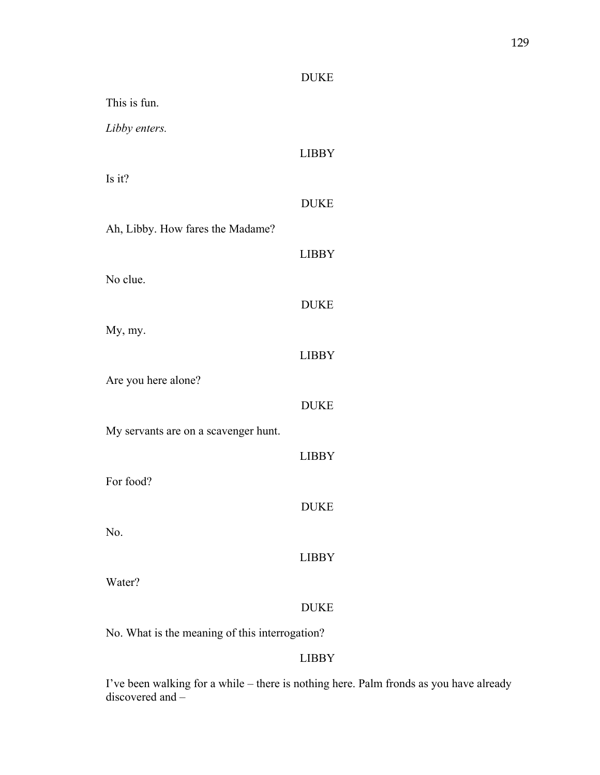# DUKE

| This is fun.                                   |              |
|------------------------------------------------|--------------|
| Libby enters.                                  |              |
|                                                | <b>LIBBY</b> |
| Is it?                                         |              |
|                                                | <b>DUKE</b>  |
| Ah, Libby. How fares the Madame?               |              |
|                                                | <b>LIBBY</b> |
| No clue.                                       |              |
|                                                | <b>DUKE</b>  |
| My, my.                                        |              |
|                                                | <b>LIBBY</b> |
| Are you here alone?                            |              |
|                                                | <b>DUKE</b>  |
| My servants are on a scavenger hunt.           |              |
|                                                | <b>LIBBY</b> |
| For food?                                      |              |
|                                                | <b>DUKE</b>  |
| No.                                            |              |
|                                                | <b>LIBBY</b> |
| Water?                                         |              |
|                                                | <b>DUKE</b>  |
| No. What is the meaning of this interrogation? |              |

# LIBBY

I've been walking for a while – there is nothing here. Palm fronds as you have already discovered and –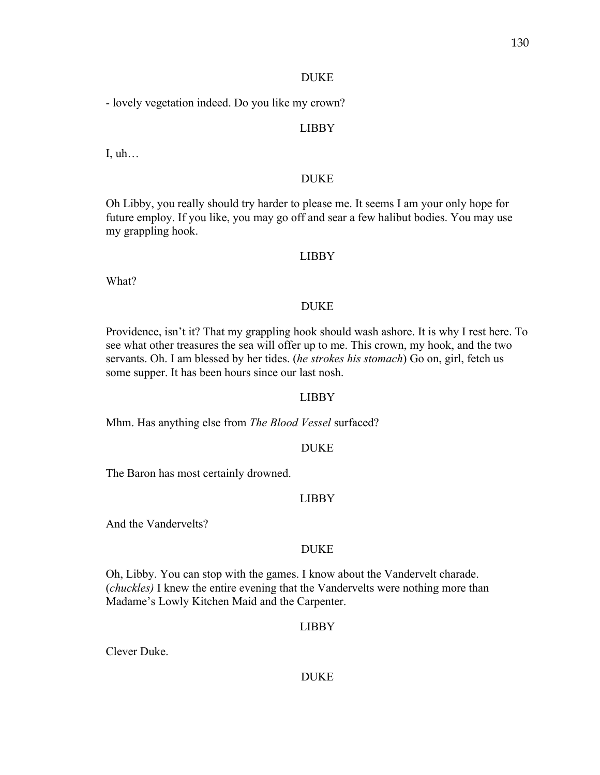### DUKE

- lovely vegetation indeed. Do you like my crown?

# LIBBY

I, uh…

# DUKE

Oh Libby, you really should try harder to please me. It seems I am your only hope for future employ. If you like, you may go off and sear a few halibut bodies. You may use my grappling hook.

# LIBBY

What?

# DUKE

Providence, isn't it? That my grappling hook should wash ashore. It is why I rest here. To see what other treasures the sea will offer up to me. This crown, my hook, and the two servants. Oh. I am blessed by her tides. (*he strokes his stomach*) Go on, girl, fetch us some supper. It has been hours since our last nosh.

# LIBBY

Mhm. Has anything else from *The Blood Vessel* surfaced?

# DUKE

The Baron has most certainly drowned.

# LIBBY

And the Vandervelts?

# DUKE

Oh, Libby. You can stop with the games. I know about the Vandervelt charade. (*chuckles)* I knew the entire evening that the Vandervelts were nothing more than Madame's Lowly Kitchen Maid and the Carpenter.

# LIBBY

Clever Duke.

# DUKE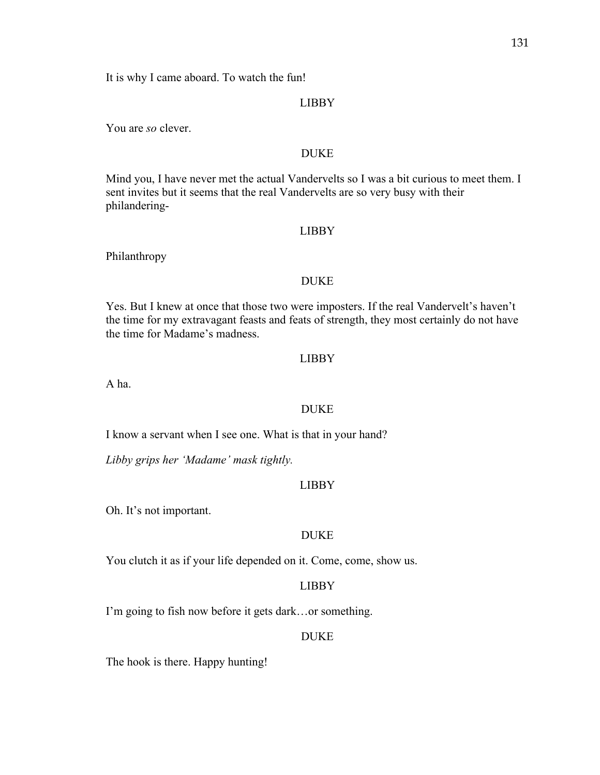It is why I came aboard. To watch the fun!

### LIBBY

You are *so* clever.

## DUKE

Mind you, I have never met the actual Vandervelts so I was a bit curious to meet them. I sent invites but it seems that the real Vandervelts are so very busy with their philandering-

### LIBBY

Philanthropy

#### DUKE

Yes. But I knew at once that those two were imposters. If the real Vandervelt's haven't the time for my extravagant feasts and feats of strength, they most certainly do not have the time for Madame's madness.

#### LIBBY

A ha.

### DUKE

I know a servant when I see one. What is that in your hand?

*Libby grips her 'Madame' mask tightly.* 

## LIBBY

Oh. It's not important.

### DUKE

You clutch it as if your life depended on it. Come, come, show us.

### LIBBY

I'm going to fish now before it gets dark…or something.

### DUKE

The hook is there. Happy hunting!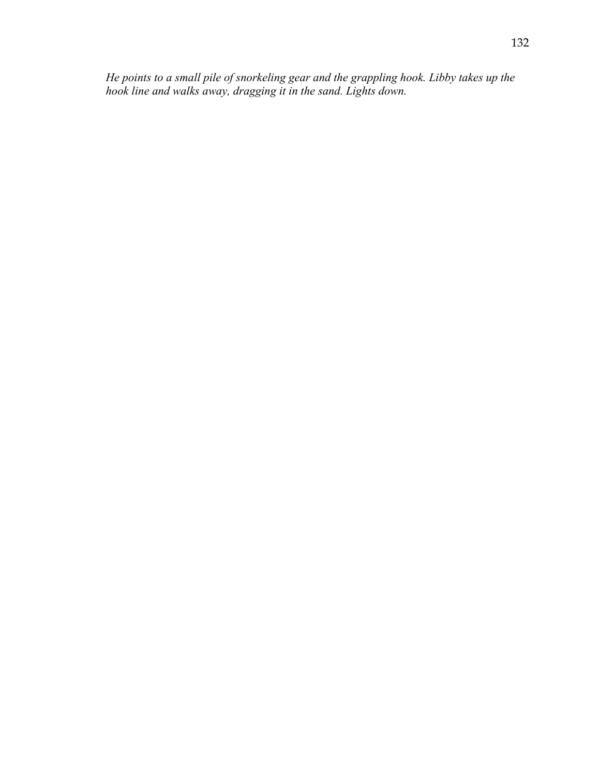*He points to a small pile of snorkeling gear and the grappling hook. Libby takes up the hook line and walks away, dragging it in the sand. Lights down.*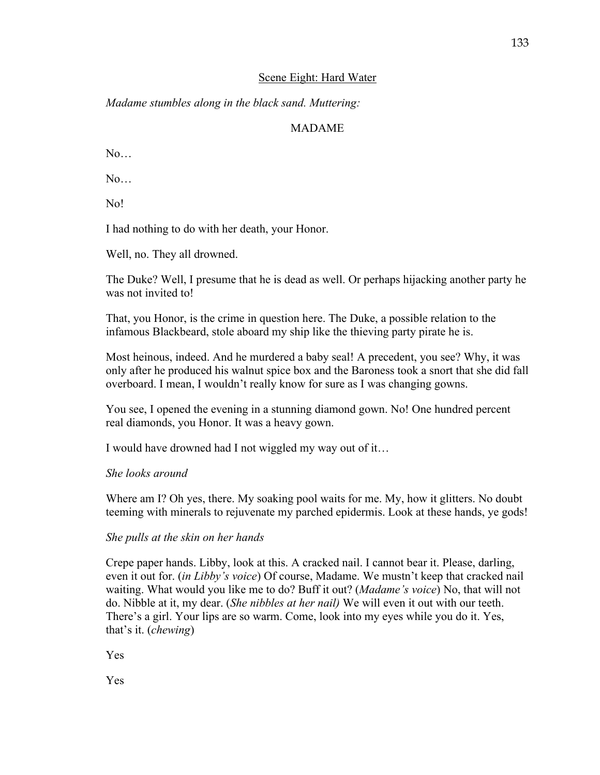# Scene Eight: Hard Water

*Madame stumbles along in the black sand. Muttering:*

# MADAME

 $N_{\Omega}$ 

No…

No!

I had nothing to do with her death, your Honor.

Well, no. They all drowned.

The Duke? Well, I presume that he is dead as well. Or perhaps hijacking another party he was not invited to!

That, you Honor, is the crime in question here. The Duke, a possible relation to the infamous Blackbeard, stole aboard my ship like the thieving party pirate he is.

Most heinous, indeed. And he murdered a baby seal! A precedent, you see? Why, it was only after he produced his walnut spice box and the Baroness took a snort that she did fall overboard. I mean, I wouldn't really know for sure as I was changing gowns.

You see, I opened the evening in a stunning diamond gown. No! One hundred percent real diamonds, you Honor. It was a heavy gown.

I would have drowned had I not wiggled my way out of it…

# *She looks around*

Where am I? Oh yes, there. My soaking pool waits for me. My, how it glitters. No doubt teeming with minerals to rejuvenate my parched epidermis. Look at these hands, ye gods!

# *She pulls at the skin on her hands*

Crepe paper hands. Libby, look at this. A cracked nail. I cannot bear it. Please, darling, even it out for. (*in Libby's voice*) Of course, Madame. We mustn't keep that cracked nail waiting. What would you like me to do? Buff it out? (*Madame's voice*) No, that will not do. Nibble at it, my dear. (*She nibbles at her nail)* We will even it out with our teeth. There's a girl. Your lips are so warm. Come, look into my eyes while you do it. Yes, that's it. (*chewing*)

Yes

Yes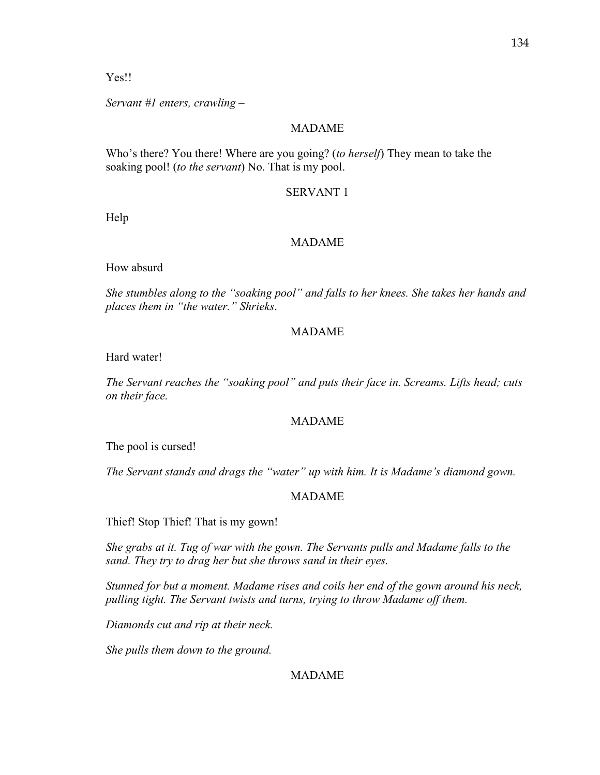Yes!!

*Servant #1 enters, crawling –*

# MADAME

Who's there? You there! Where are you going? (*to herself*) They mean to take the soaking pool! (*to the servant*) No. That is my pool.

# SERVANT 1

Help

# MADAME

How absurd

*She stumbles along to the "soaking pool" and falls to her knees. She takes her hands and places them in "the water." Shrieks*.

# MADAME

Hard water!

*The Servant reaches the "soaking pool" and puts their face in. Screams. Lifts head; cuts on their face.* 

# MADAME

The pool is cursed!

*The Servant stands and drags the "water" up with him. It is Madame's diamond gown.* 

# MADAME

Thief! Stop Thief! That is my gown!

*She grabs at it. Tug of war with the gown. The Servants pulls and Madame falls to the sand. They try to drag her but she throws sand in their eyes.* 

*Stunned for but a moment. Madame rises and coils her end of the gown around his neck, pulling tight. The Servant twists and turns, trying to throw Madame off them.* 

*Diamonds cut and rip at their neck.* 

*She pulls them down to the ground.*

# MADAME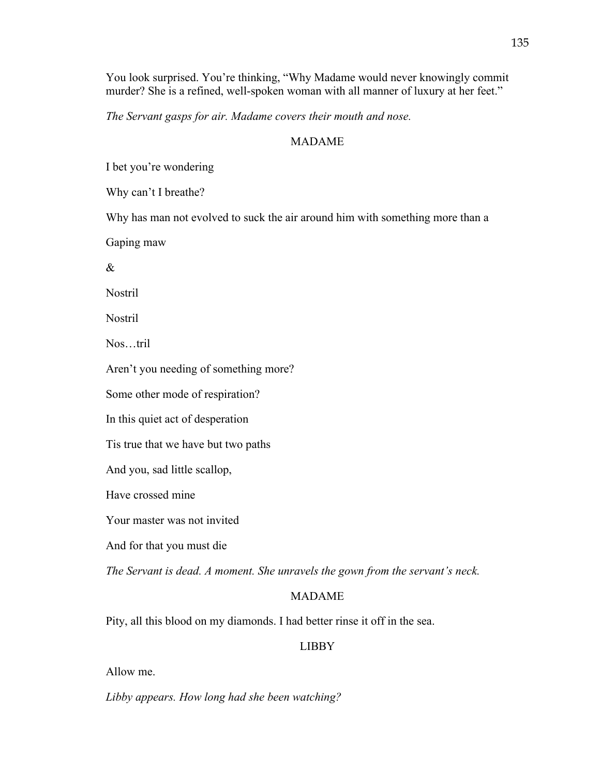You look surprised. You're thinking, "Why Madame would never knowingly commit murder? She is a refined, well-spoken woman with all manner of luxury at her feet."

*The Servant gasps for air. Madame covers their mouth and nose.* 

### MADAME

I bet you're wondering

Why can't I breathe?

Why has man not evolved to suck the air around him with something more than a

Gaping maw

&

Nostril

Nostril

Nos…tril

Aren't you needing of something more?

Some other mode of respiration?

In this quiet act of desperation

Tis true that we have but two paths

And you, sad little scallop,

Have crossed mine

Your master was not invited

And for that you must die

*The Servant is dead. A moment. She unravels the gown from the servant's neck.*

#### MADAME

Pity, all this blood on my diamonds. I had better rinse it off in the sea.

#### LIBBY

Allow me.

*Libby appears. How long had she been watching?*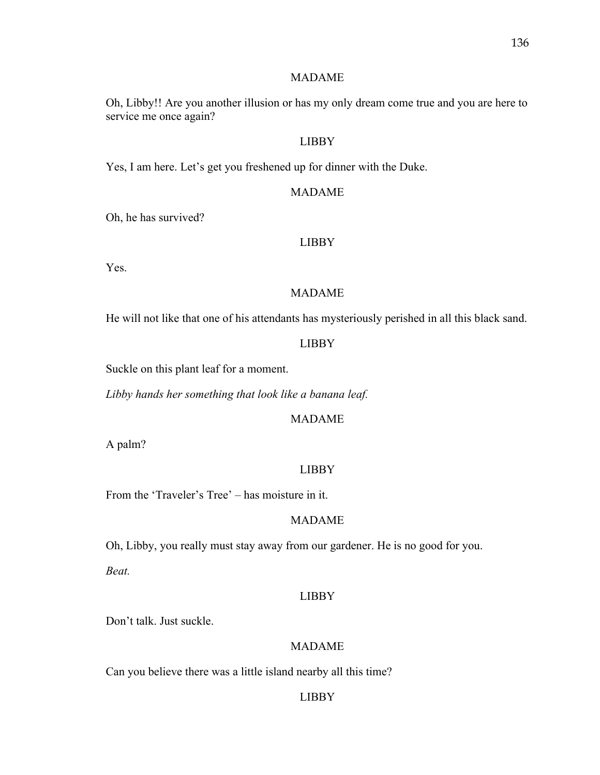#### MADAME

Oh, Libby!! Are you another illusion or has my only dream come true and you are here to service me once again?

## LIBBY

Yes, I am here. Let's get you freshened up for dinner with the Duke.

#### MADAME

Oh, he has survived?

#### LIBBY

Yes.

# MADAME

He will not like that one of his attendants has mysteriously perished in all this black sand.

#### LIBBY

Suckle on this plant leaf for a moment.

*Libby hands her something that look like a banana leaf.* 

# MADAME

A palm?

### LIBBY

From the 'Traveler's Tree' – has moisture in it.

#### MADAME

Oh, Libby, you really must stay away from our gardener. He is no good for you. *Beat.*

#### LIBBY

Don't talk. Just suckle.

## MADAME

Can you believe there was a little island nearby all this time?

### LIBBY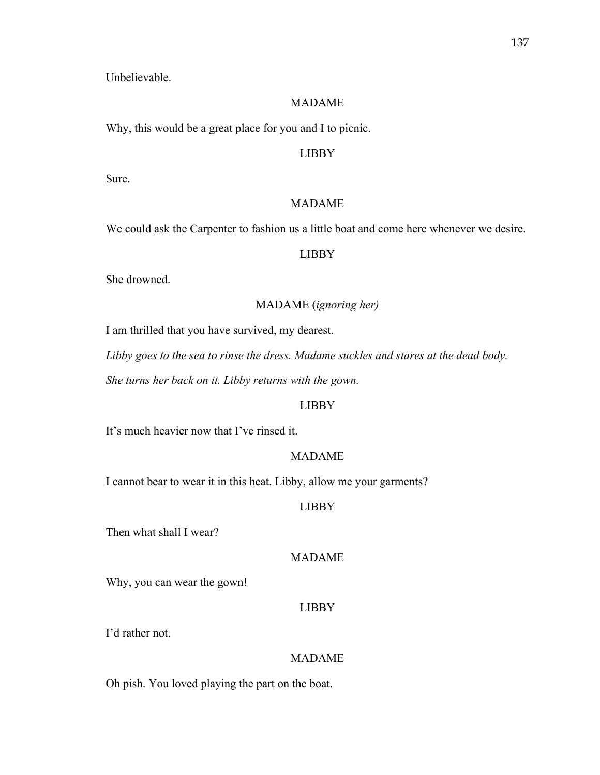Unbelievable.

## MADAME

Why, this would be a great place for you and I to picnic.

## LIBBY

Sure.

## MADAME

We could ask the Carpenter to fashion us a little boat and come here whenever we desire.

### LIBBY

She drowned.

# MADAME (*ignoring her)*

I am thrilled that you have survived, my dearest.

*Libby goes to the sea to rinse the dress. Madame suckles and stares at the dead body.* 

*She turns her back on it. Libby returns with the gown.* 

### LIBBY

It's much heavier now that I've rinsed it.

### MADAME

I cannot bear to wear it in this heat. Libby, allow me your garments?

## LIBBY

Then what shall I wear?

## MADAME

Why, you can wear the gown!

### LIBBY

I'd rather not.

## MADAME

Oh pish. You loved playing the part on the boat.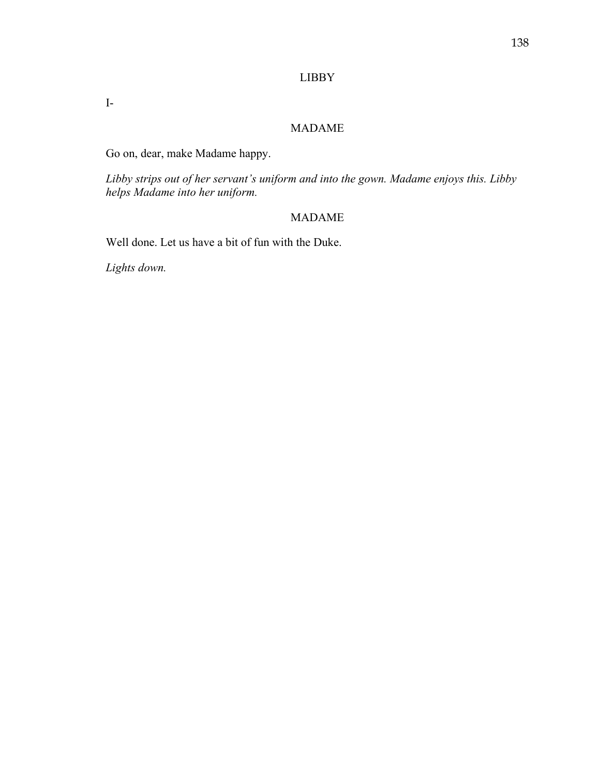# LIBBY

I-

# MADAME

Go on, dear, make Madame happy.

*Libby strips out of her servant's uniform and into the gown. Madame enjoys this. Libby helps Madame into her uniform.* 

# MADAME

Well done. Let us have a bit of fun with the Duke.

*Lights down.*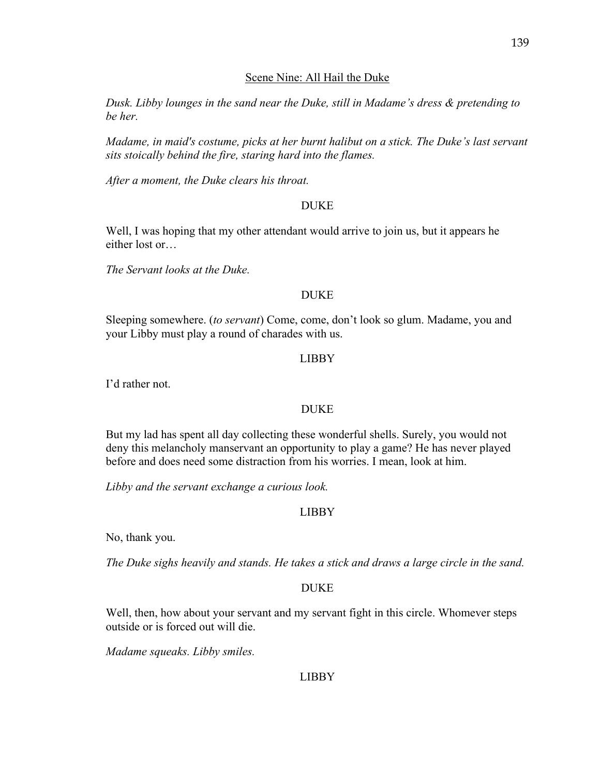## Scene Nine: All Hail the Duke

*Dusk. Libby lounges in the sand near the Duke, still in Madame's dress & pretending to be her.*

*Madame, in maid's costume, picks at her burnt halibut on a stick. The Duke's last servant sits stoically behind the fire, staring hard into the flames.* 

*After a moment, the Duke clears his throat.* 

## DUKE

Well, I was hoping that my other attendant would arrive to join us, but it appears he either lost or…

*The Servant looks at the Duke.*

### DUKE

Sleeping somewhere. (*to servant*) Come, come, don't look so glum. Madame, you and your Libby must play a round of charades with us.

## LIBBY

I'd rather not.

# DUKE

But my lad has spent all day collecting these wonderful shells. Surely, you would not deny this melancholy manservant an opportunity to play a game? He has never played before and does need some distraction from his worries. I mean, look at him.

*Libby and the servant exchange a curious look.*

# LIBBY

No, thank you.

*The Duke sighs heavily and stands. He takes a stick and draws a large circle in the sand.* 

### DUKE

Well, then, how about your servant and my servant fight in this circle. Whomever steps outside or is forced out will die.

*Madame squeaks. Libby smiles.* 

# LIBBY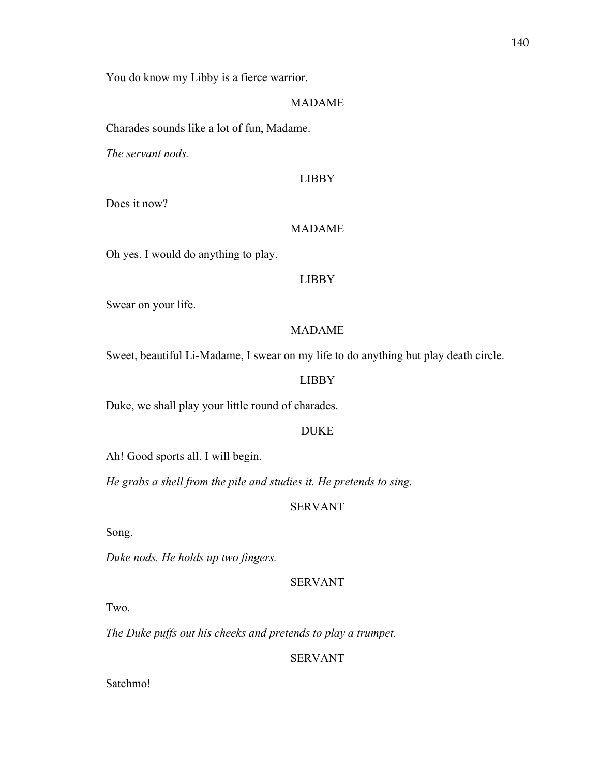You do know my Libby is a fierce warrior.

### MADAME

Charades sounds like a lot of fun, Madame.

*The servant nods.* 

#### LIBBY

Does it now?

### MADAME

Oh yes. I would do anything to play.

#### LIBBY

Swear on your life.

### MADAME

Sweet, beautiful Li-Madame, I swear on my life to do anything but play death circle.

#### LIBBY

Duke, we shall play your little round of charades.

### DUKE

Ah! Good sports all. I will begin.

*He grabs a shell from the pile and studies it. He pretends to sing.* 

### SERVANT

Song.

*Duke nods. He holds up two fingers.*

### SERVANT

Two.

*The Duke puffs out his cheeks and pretends to play a trumpet.* 

## SERVANT

Satchmo!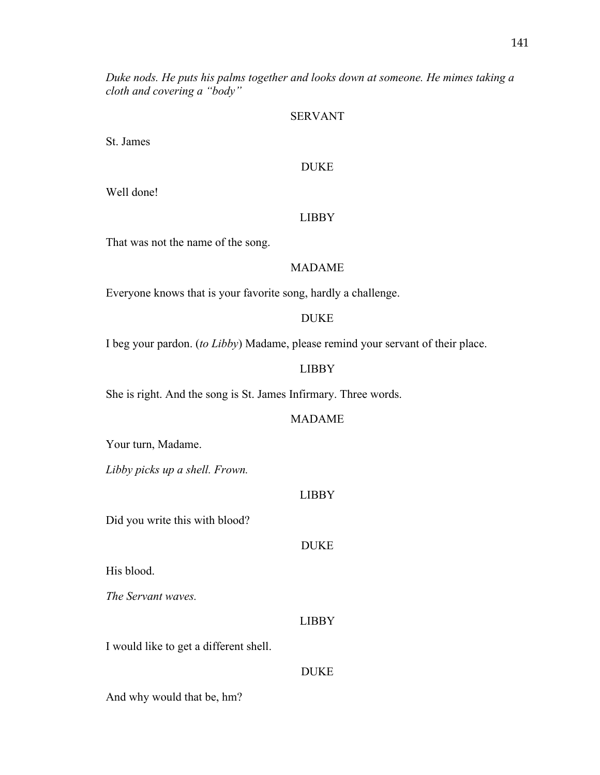*Duke nods. He puts his palms together and looks down at someone. He mimes taking a cloth and covering a "body"*

#### SERVANT

St. James

### DUKE

Well done!

#### LIBBY

That was not the name of the song.

### MADAME

Everyone knows that is your favorite song, hardly a challenge.

### DUKE

I beg your pardon. (*to Libby*) Madame, please remind your servant of their place.

### LIBBY

She is right. And the song is St. James Infirmary. Three words.

### MADAME

Your turn, Madame.

*Libby picks up a shell. Frown.* 

#### LIBBY

Did you write this with blood?

#### DUKE

His blood.

*The Servant waves.*

#### LIBBY

I would like to get a different shell.

### DUKE

And why would that be, hm?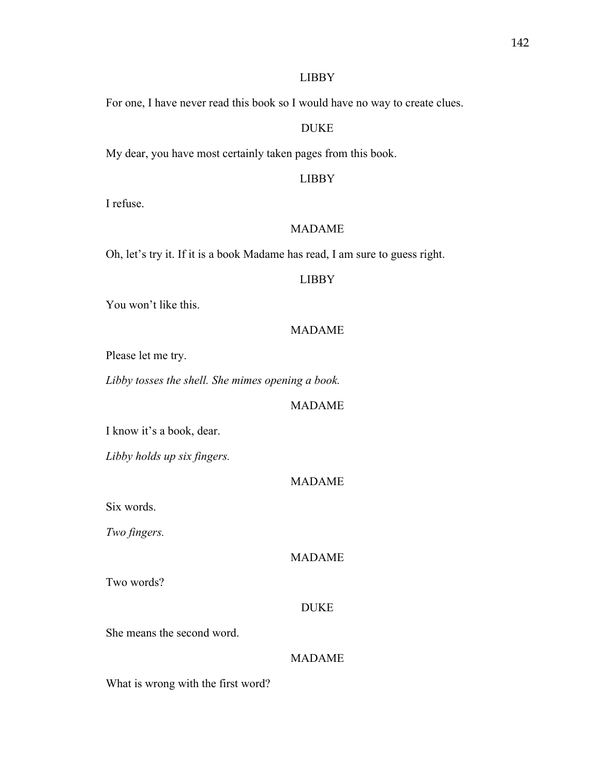### LIBBY

For one, I have never read this book so I would have no way to create clues.

### DUKE

My dear, you have most certainly taken pages from this book.

### LIBBY

I refuse.

### MADAME

Oh, let's try it. If it is a book Madame has read, I am sure to guess right.

#### LIBBY

You won't like this.

### MADAME

Please let me try.

*Libby tosses the shell. She mimes opening a book.* 

### MADAME

I know it's a book, dear.

*Libby holds up six fingers.* 

### MADAME

Six words.

*Two fingers.* 

### MADAME

Two words?

#### DUKE

She means the second word.

## MADAME

What is wrong with the first word?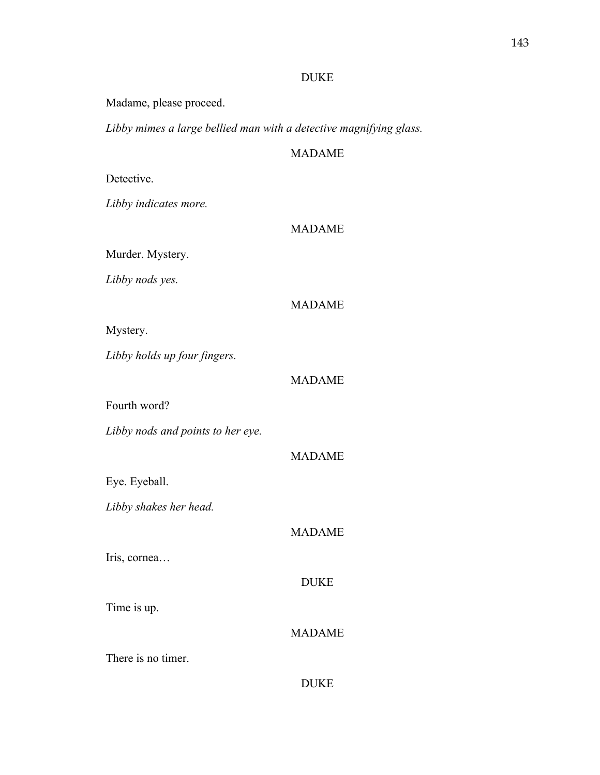### DUKE

Madame, please proceed.

*Libby mimes a large bellied man with a detective magnifying glass.* 

## MADAME

## Detective.

*Libby indicates more.* 

### MADAME

Murder. Mystery.

*Libby nods yes.* 

## MADAME

Mystery.

*Libby holds up four fingers.*

### MADAME

Fourth word?

*Libby nods and points to her eye.* 

Eye. Eyeball.

*Libby shakes her head.* 

## MADAME

MADAME

Iris, cornea…

## DUKE

Time is up.

## MADAME

There is no timer.

|--|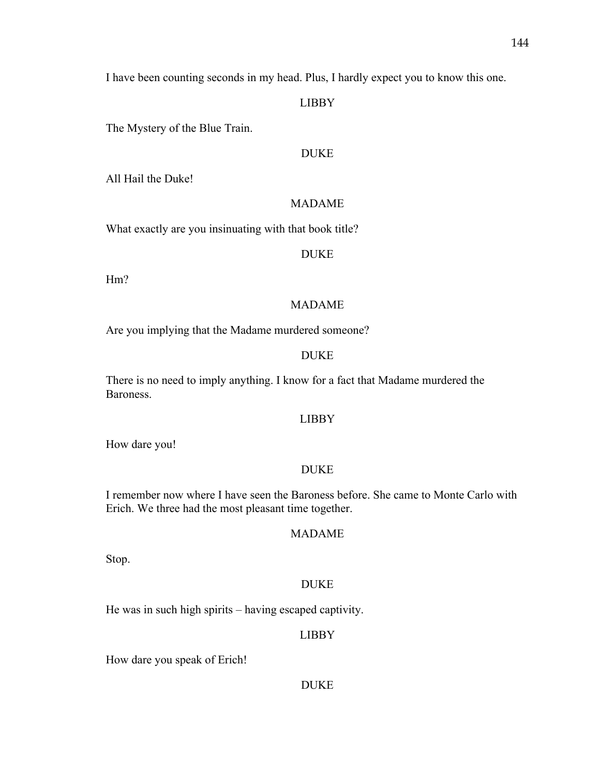I have been counting seconds in my head. Plus, I hardly expect you to know this one.

### LIBBY

The Mystery of the Blue Train.

### DUKE

All Hail the Duke!

### MADAME

What exactly are you insinuating with that book title?

### DUKE

Hm?

#### MADAME

Are you implying that the Madame murdered someone?

### DUKE

There is no need to imply anything. I know for a fact that Madame murdered the Baroness.

### LIBBY

How dare you!

### DUKE

I remember now where I have seen the Baroness before. She came to Monte Carlo with Erich. We three had the most pleasant time together.

### MADAME

Stop.

### DUKE

He was in such high spirits – having escaped captivity.

### LIBBY

How dare you speak of Erich!

### DUKE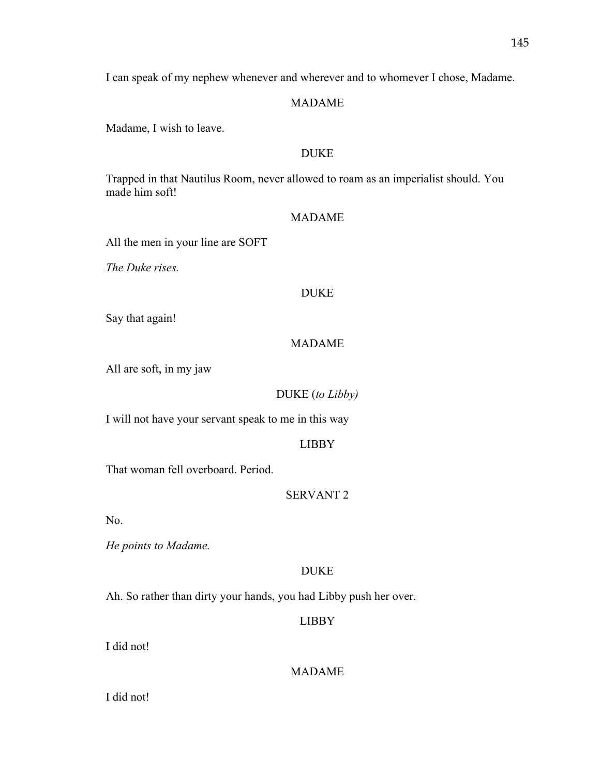I can speak of my nephew whenever and wherever and to whomever I chose, Madame.

### MADAME

Madame, I wish to leave.

### DUKE

Trapped in that Nautilus Room, never allowed to roam as an imperialist should. You made him soft!

### MADAME

All the men in your line are SOFT

*The Duke rises.* 

### DUKE

Say that again!

### MADAME

All are soft, in my jaw

### DUKE (*to Libby)*

I will not have your servant speak to me in this way

### LIBBY

That woman fell overboard. Period.

### SERVANT 2

No.

*He points to Madame.* 

### DUKE

Ah. So rather than dirty your hands, you had Libby push her over.

### LIBBY

I did not!

### MADAME

I did not!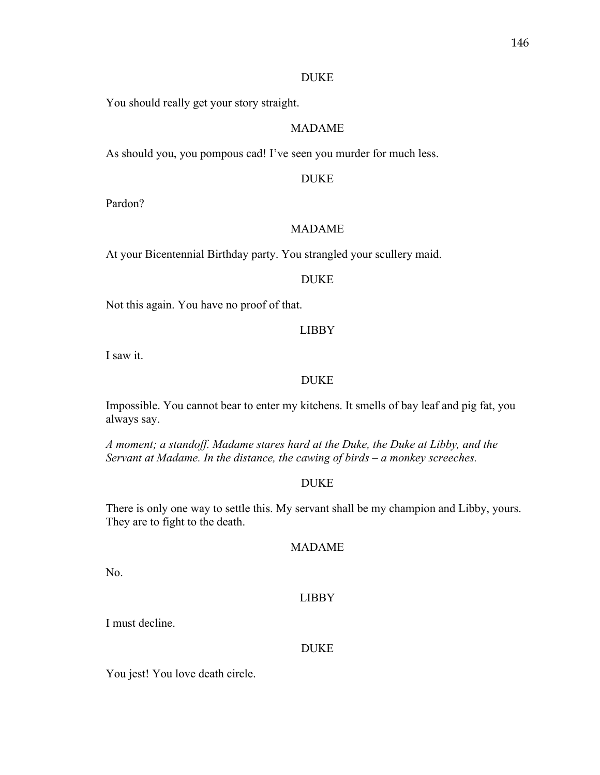#### DUKE

You should really get your story straight.

### MADAME

As should you, you pompous cad! I've seen you murder for much less.

#### DUKE

Pardon?

### MADAME

At your Bicentennial Birthday party. You strangled your scullery maid.

### DUKE

Not this again. You have no proof of that.

### LIBBY

I saw it.

### DUKE

Impossible. You cannot bear to enter my kitchens. It smells of bay leaf and pig fat, you always say.

*A moment; a standoff. Madame stares hard at the Duke, the Duke at Libby, and the Servant at Madame. In the distance, the cawing of birds – a monkey screeches.* 

### DUKE

There is only one way to settle this. My servant shall be my champion and Libby, yours. They are to fight to the death.

### MADAME

No.

### LIBBY

I must decline.

### DUKE

You jest! You love death circle.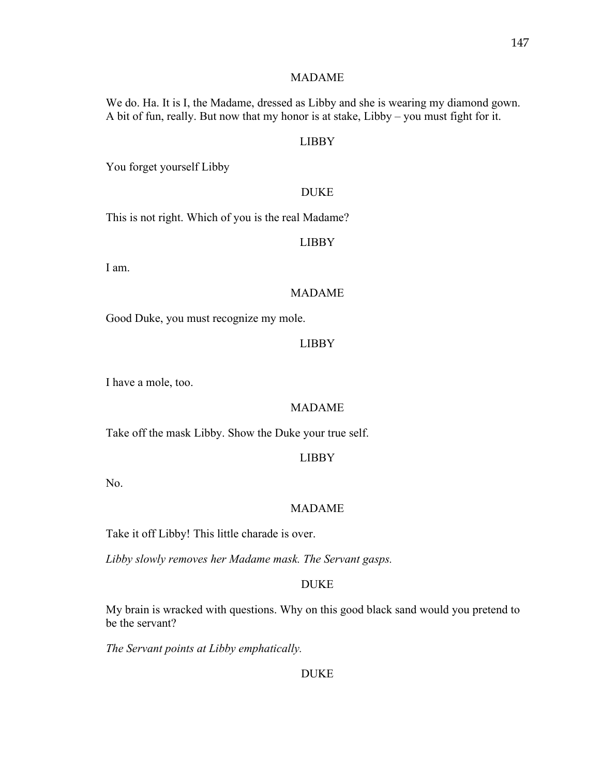### MADAME

We do. Ha. It is I, the Madame, dressed as Libby and she is wearing my diamond gown. A bit of fun, really. But now that my honor is at stake, Libby – you must fight for it.

#### LIBBY

You forget yourself Libby

#### DUKE

This is not right. Which of you is the real Madame?

#### LIBBY

I am.

### MADAME

Good Duke, you must recognize my mole.

#### LIBBY

I have a mole, too.

#### MADAME

Take off the mask Libby. Show the Duke your true self.

### LIBBY

No.

#### MADAME

Take it off Libby! This little charade is over.

*Libby slowly removes her Madame mask. The Servant gasps.* 

### DUKE

My brain is wracked with questions. Why on this good black sand would you pretend to be the servant?

*The Servant points at Libby emphatically.* 

### DUKE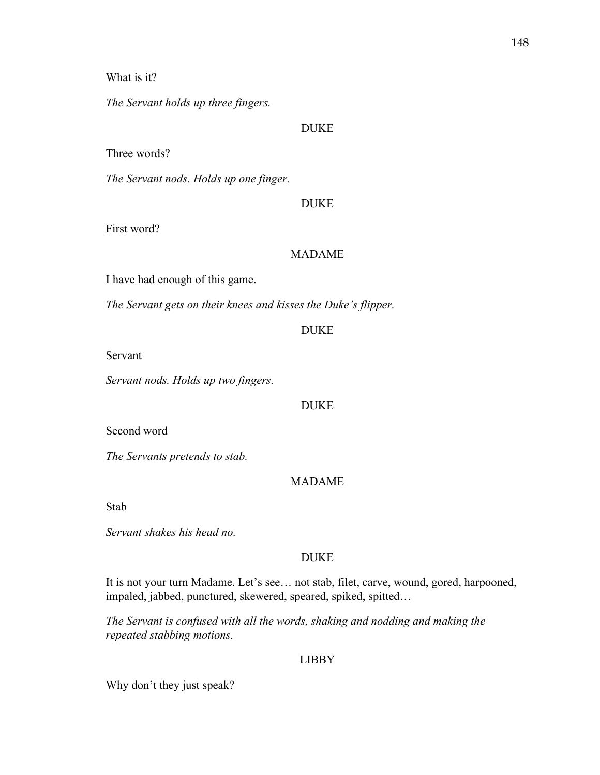### What is it?

*The Servant holds up three fingers.* 

### DUKE

### Three words?

*The Servant nods. Holds up one finger.* 

#### DUKE

First word?

### MADAME

I have had enough of this game.

*The Servant gets on their knees and kisses the Duke's flipper.* 

### DUKE

Servant

*Servant nods. Holds up two fingers.*

#### DUKE

Second word

*The Servants pretends to stab.* 

## MADAME

Stab

*Servant shakes his head no.* 

#### DUKE

It is not your turn Madame. Let's see… not stab, filet, carve, wound, gored, harpooned, impaled, jabbed, punctured, skewered, speared, spiked, spitted…

*The Servant is confused with all the words, shaking and nodding and making the repeated stabbing motions.* 

### LIBBY

Why don't they just speak?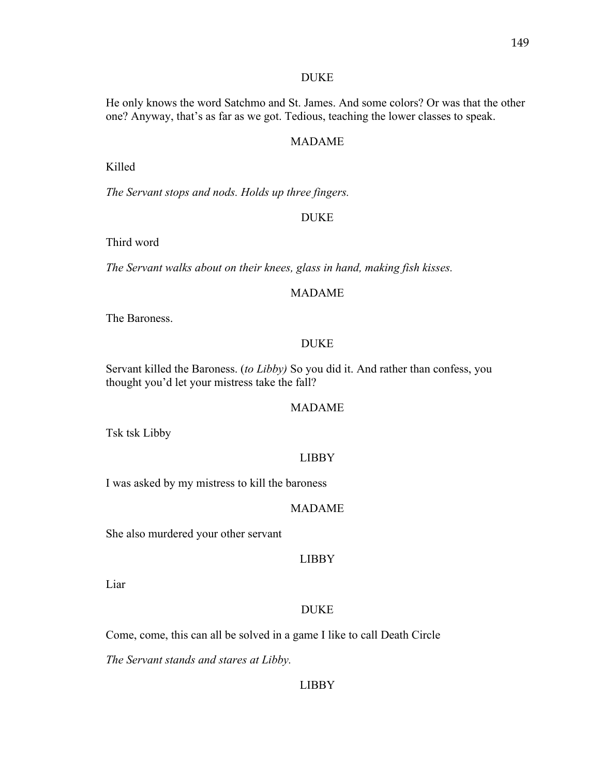#### DUKE

He only knows the word Satchmo and St. James. And some colors? Or was that the other one? Anyway, that's as far as we got. Tedious, teaching the lower classes to speak.

### MADAME

Killed

*The Servant stops and nods. Holds up three fingers.*

### DUKE

Third word

*The Servant walks about on their knees, glass in hand, making fish kisses.*

#### MADAME

The Baroness.

#### DUKE

Servant killed the Baroness. (*to Libby)* So you did it. And rather than confess, you thought you'd let your mistress take the fall?

#### MADAME

Tsk tsk Libby

#### LIBBY

I was asked by my mistress to kill the baroness

#### MADAME

She also murdered your other servant

### LIBBY

Liar

#### DUKE

Come, come, this can all be solved in a game I like to call Death Circle

*The Servant stands and stares at Libby.*

#### LIBBY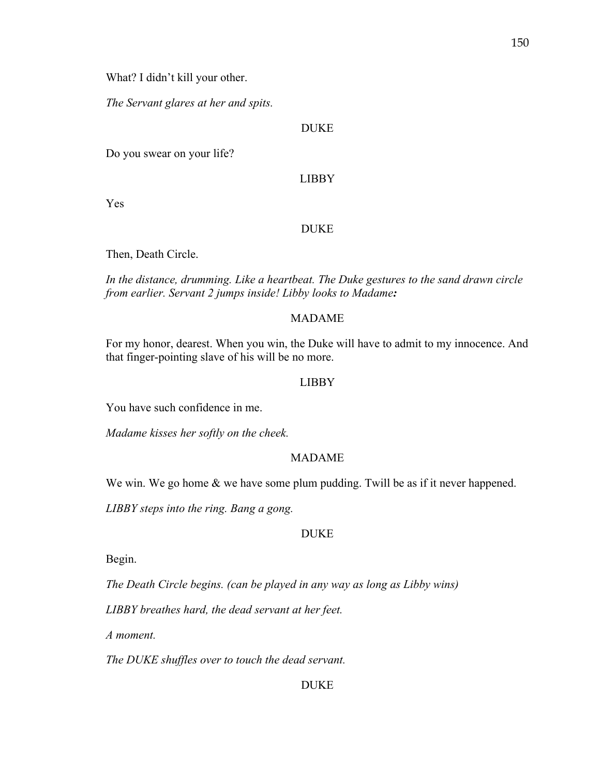What? I didn't kill your other.

*The Servant glares at her and spits.* 

### DUKE

Do you swear on your life?

LIBBY

Yes

### DUKE

Then, Death Circle.

*In the distance, drumming. Like a heartbeat. The Duke gestures to the sand drawn circle from earlier. Servant 2 jumps inside! Libby looks to Madame:*

### MADAME

For my honor, dearest. When you win, the Duke will have to admit to my innocence. And that finger-pointing slave of his will be no more.

#### LIBBY

You have such confidence in me.

*Madame kisses her softly on the cheek.*

#### MADAME

We win. We go home & we have some plum pudding. Twill be as if it never happened.

*LIBBY steps into the ring. Bang a gong.* 

### DUKE

Begin.

*The Death Circle begins. (can be played in any way as long as Libby wins)*

*LIBBY breathes hard, the dead servant at her feet.* 

*A moment.* 

*The DUKE shuffles over to touch the dead servant.* 

#### DUKE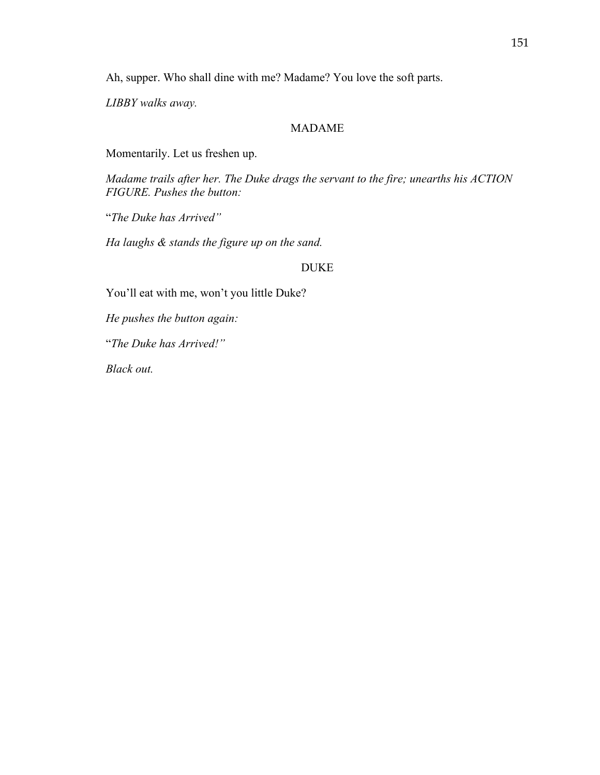Ah, supper. Who shall dine with me? Madame? You love the soft parts.

*LIBBY walks away.*

### MADAME

Momentarily. Let us freshen up.

*Madame trails after her. The Duke drags the servant to the fire; unearths his ACTION FIGURE. Pushes the button:*

"*The Duke has Arrived"*

*Ha laughs & stands the figure up on the sand.* 

#### DUKE

You'll eat with me, won't you little Duke?

*He pushes the button again:*

"*The Duke has Arrived!"*

*Black out.*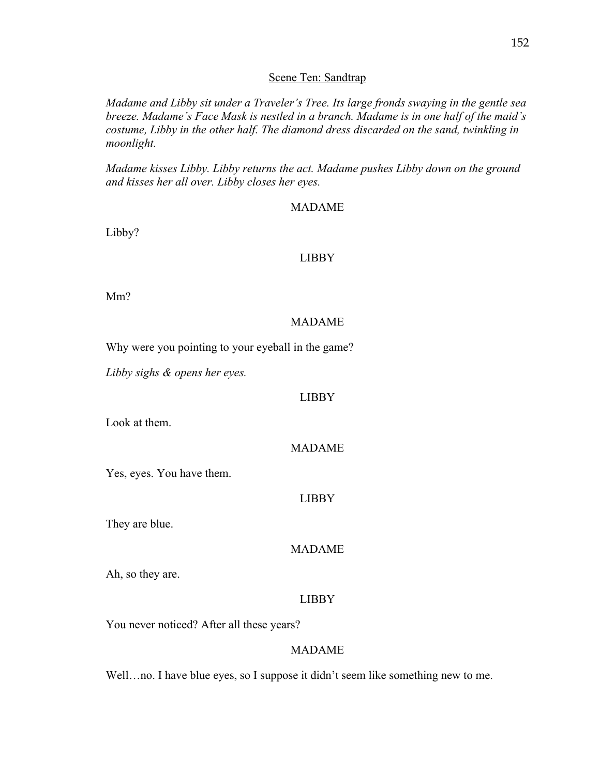### 152

#### Scene Ten: Sandtrap

*Madame and Libby sit under a Traveler's Tree. Its large fronds swaying in the gentle sea breeze. Madame's Face Mask is nestled in a branch. Madame is in one half of the maid's costume, Libby in the other half. The diamond dress discarded on the sand, twinkling in moonlight.* 

*Madame kisses Libby. Libby returns the act. Madame pushes Libby down on the ground and kisses her all over. Libby closes her eyes.*

#### MADAME

Libby?

#### LIBBY

Mm?

#### MADAME

Why were you pointing to your eyeball in the game?

*Libby sighs & opens her eyes.* 

#### LIBBY

Look at them.

### MADAME

Yes, eyes. You have them.

### LIBBY

They are blue.

### MADAME

Ah, so they are.

#### LIBBY

You never noticed? After all these years?

#### MADAME

Well...no. I have blue eyes, so I suppose it didn't seem like something new to me.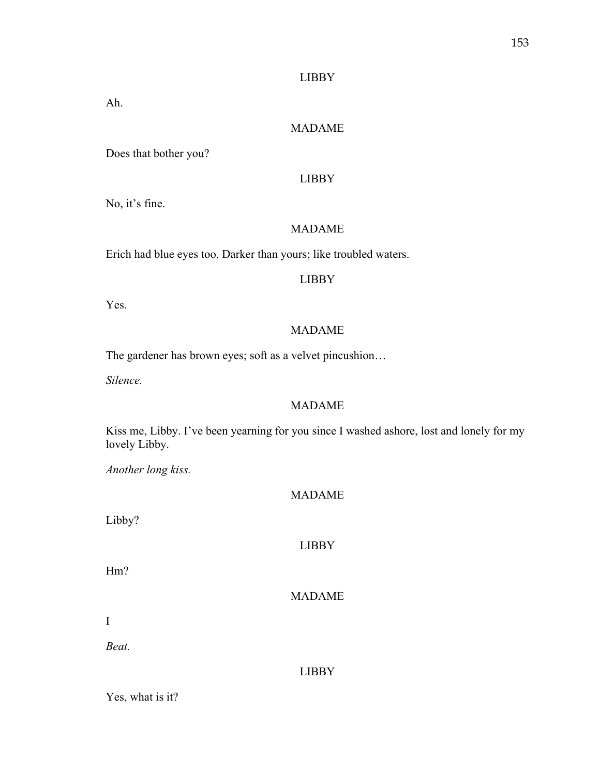### LIBBY

Ah.

## MADAME

Does that bother you?

## LIBBY

No, it's fine.

## MADAME

Erich had blue eyes too. Darker than yours; like troubled waters.

### LIBBY

Yes.

## MADAME

The gardener has brown eyes; soft as a velvet pincushion…

*Silence.* 

### MADAME

Kiss me, Libby. I've been yearning for you since I washed ashore, lost and lonely for my lovely Libby.

*Another long kiss.* 

### MADAME

Libby?

### LIBBY

Hm?

### MADAME

I

*Beat.*

### LIBBY

Yes, what is it?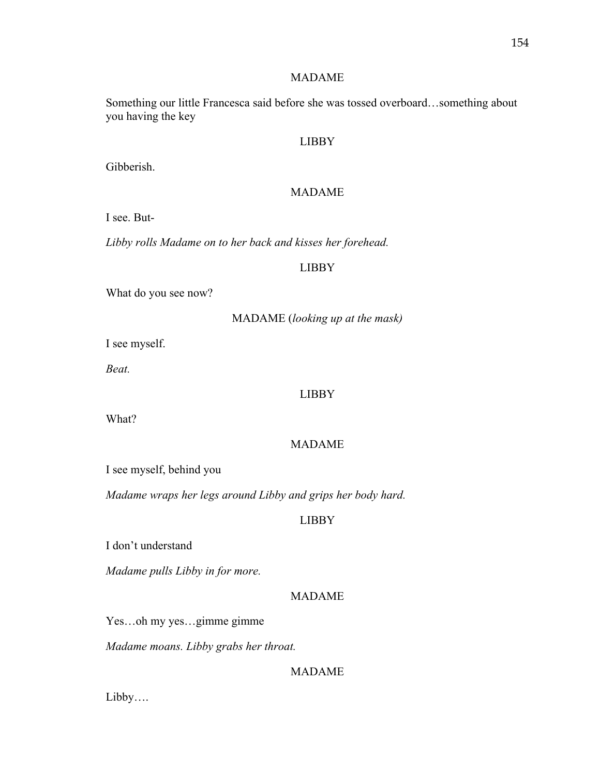### MADAME

Something our little Francesca said before she was tossed overboard…something about you having the key

#### LIBBY

Gibberish.

#### MADAME

I see. But-

*Libby rolls Madame on to her back and kisses her forehead.* 

#### LIBBY

What do you see now?

### MADAME (*looking up at the mask)*

I see myself.

*Beat.*

### LIBBY

What?

#### MADAME

I see myself, behind you

*Madame wraps her legs around Libby and grips her body hard.* 

#### LIBBY

I don't understand

*Madame pulls Libby in for more.* 

### MADAME

Yes…oh my yes…gimme gimme

*Madame moans. Libby grabs her throat.* 

### MADAME

Libby….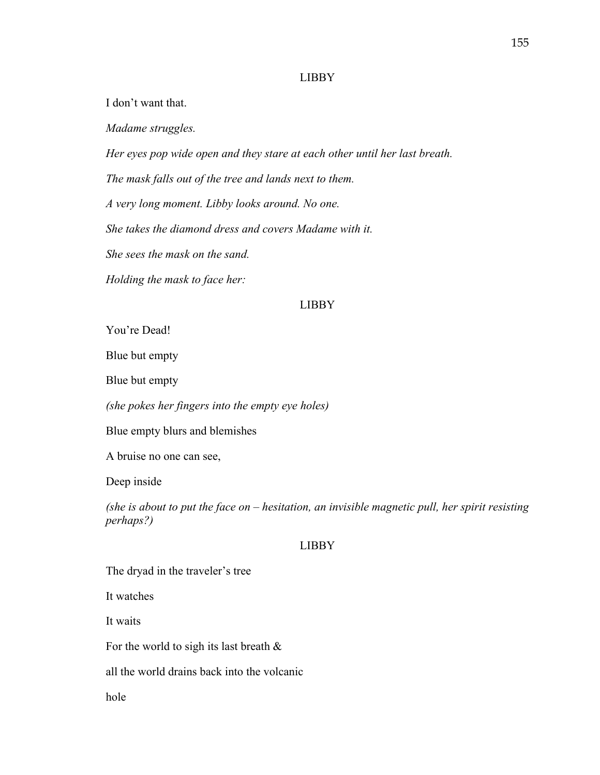#### LIBBY

I don't want that.

*Madame struggles.* 

*Her eyes pop wide open and they stare at each other until her last breath.* 

*The mask falls out of the tree and lands next to them.* 

*A very long moment. Libby looks around. No one.* 

*She takes the diamond dress and covers Madame with it.* 

*She sees the mask on the sand.* 

*Holding the mask to face her:*

#### LIBBY

You're Dead!

Blue but empty

Blue but empty

*(she pokes her fingers into the empty eye holes)*

Blue empty blurs and blemishes

A bruise no one can see,

Deep inside

*(she is about to put the face on – hesitation, an invisible magnetic pull, her spirit resisting perhaps?)*

#### LIBBY

The dryad in the traveler's tree

It watches

It waits

For the world to sigh its last breath  $\&$ 

all the world drains back into the volcanic

hole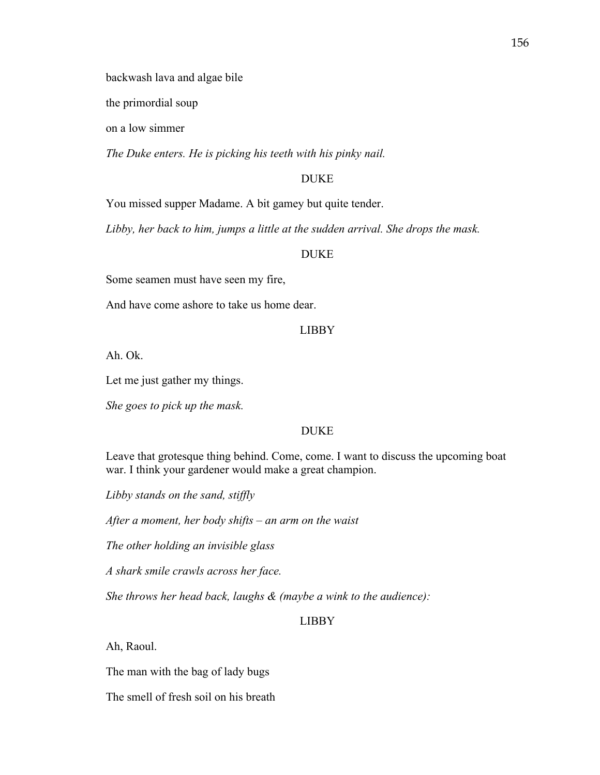backwash lava and algae bile

the primordial soup

on a low simmer

*The Duke enters. He is picking his teeth with his pinky nail.* 

### DUKE

You missed supper Madame. A bit gamey but quite tender.

*Libby, her back to him, jumps a little at the sudden arrival. She drops the mask.*

### DUKE

Some seamen must have seen my fire,

And have come ashore to take us home dear.

### LIBBY

Ah. Ok.

Let me just gather my things.

*She goes to pick up the mask.* 

#### DUKE

Leave that grotesque thing behind. Come, come. I want to discuss the upcoming boat war. I think your gardener would make a great champion.

*Libby stands on the sand, stiffly*

*After a moment, her body shifts – an arm on the waist*

*The other holding an invisible glass* 

*A shark smile crawls across her face.* 

*She throws her head back, laughs & (maybe a wink to the audience):*

### LIBBY

Ah, Raoul.

The man with the bag of lady bugs

The smell of fresh soil on his breath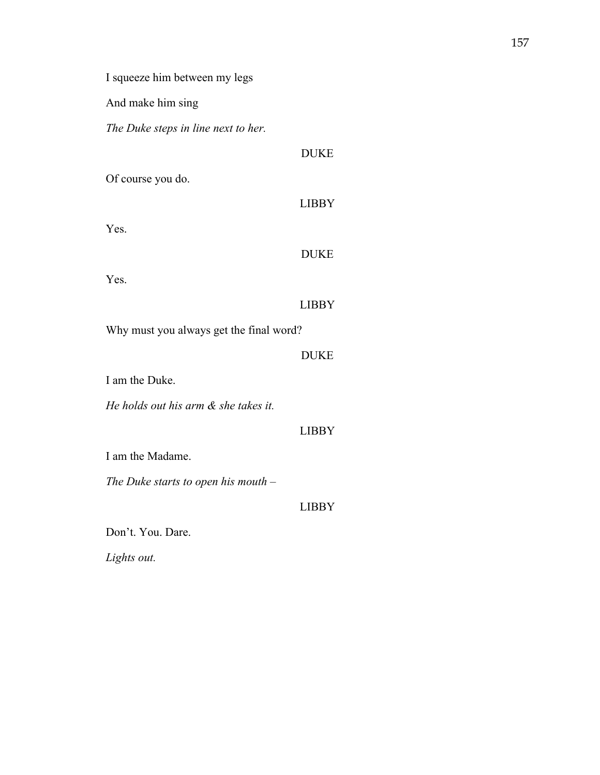I squeeze him between my legs

And make him sing

Of course you do.

Yes.

*The Duke steps in line next to her.* 

|                                         | <b>DUKE</b>  |
|-----------------------------------------|--------------|
| Yes.                                    |              |
|                                         | <b>LIBBY</b> |
| Why must you always get the final word? |              |
|                                         | <b>DUKE</b>  |
| I am the Duke.                          |              |
| He holds out his arm & she takes it.    |              |
|                                         | <b>LIBBY</b> |
| I am the Madame.                        |              |
| The Duke starts to open his mouth $-$   |              |
|                                         | LIBBY        |
| Don't. You. Dare.                       |              |

DUKE

LIBBY

*Lights out.*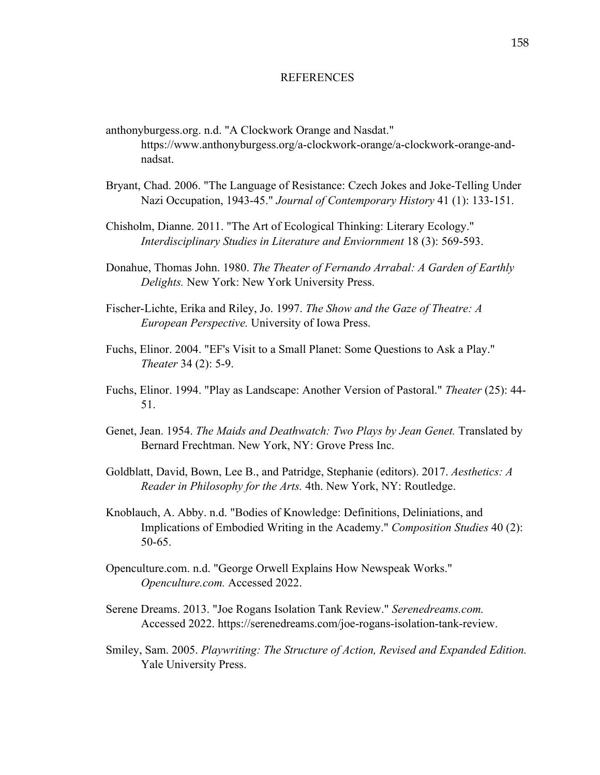#### **REFERENCES**

- anthonyburgess.org. n.d. "A Clockwork Orange and Nasdat." https://www.anthonyburgess.org/a-clockwork-orange/a-clockwork-orange-andnadsat.
- Bryant, Chad. 2006. "The Language of Resistance: Czech Jokes and Joke-Telling Under Nazi Occupation, 1943-45." *Journal of Contemporary History* 41 (1): 133-151.
- Chisholm, Dianne. 2011. "The Art of Ecological Thinking: Literary Ecology." *Interdisciplinary Studies in Literature and Enviornment* 18 (3): 569-593.
- Donahue, Thomas John. 1980. *The Theater of Fernando Arrabal: A Garden of Earthly Delights.* New York: New York University Press.
- Fischer-Lichte, Erika and Riley, Jo. 1997. *The Show and the Gaze of Theatre: A European Perspective.* University of Iowa Press.
- Fuchs, Elinor. 2004. "EF's Visit to a Small Planet: Some Questions to Ask a Play." *Theater* 34 (2): 5-9.
- Fuchs, Elinor. 1994. "Play as Landscape: Another Version of Pastoral." *Theater* (25): 44- 51.
- Genet, Jean. 1954. *The Maids and Deathwatch: Two Plays by Jean Genet.* Translated by Bernard Frechtman. New York, NY: Grove Press Inc.
- Goldblatt, David, Bown, Lee B., and Patridge, Stephanie (editors). 2017. *Aesthetics: A Reader in Philosophy for the Arts.* 4th. New York, NY: Routledge.
- Knoblauch, A. Abby. n.d. "Bodies of Knowledge: Definitions, Deliniations, and Implications of Embodied Writing in the Academy." *Composition Studies* 40 (2): 50-65.
- Openculture.com. n.d. "George Orwell Explains How Newspeak Works." *Openculture.com.* Accessed 2022.
- Serene Dreams. 2013. "Joe Rogans Isolation Tank Review." *Serenedreams.com.* Accessed 2022. https://serenedreams.com/joe-rogans-isolation-tank-review.
- Smiley, Sam. 2005. *Playwriting: The Structure of Action, Revised and Expanded Edition.* Yale University Press.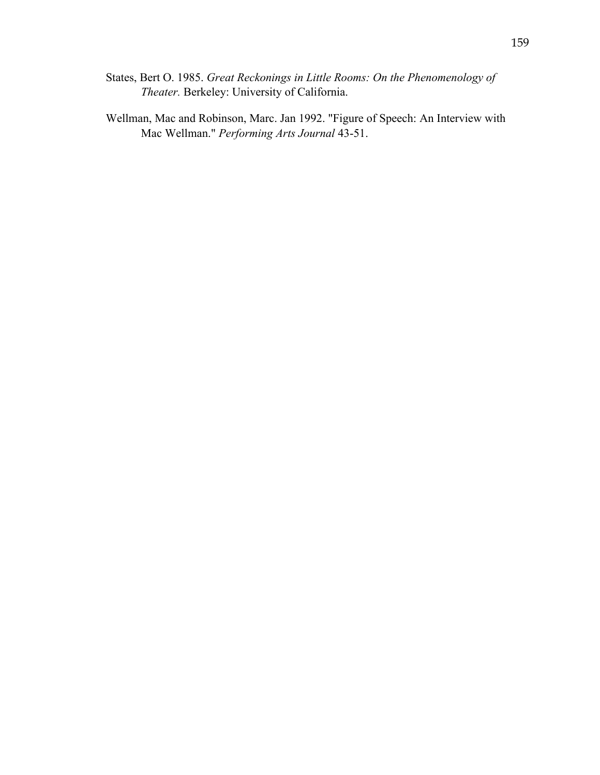- States, Bert O. 1985. *Great Reckonings in Little Rooms: On the Phenomenology of Theater.* Berkeley: University of California.
- Wellman, Mac and Robinson, Marc. Jan 1992. "Figure of Speech: An Interview with Mac Wellman." *Performing Arts Journal* 43-51.